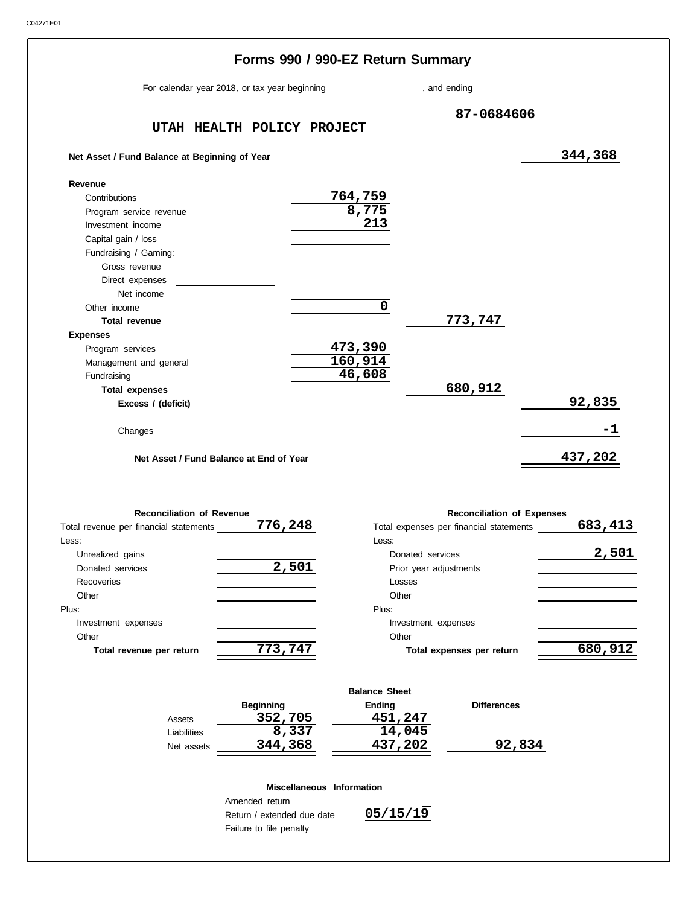**Other** 

**Total revenue per return**

Assets Liabilities Net assets

| For calendar year 2018, or tax year beginning          |       |                         | , and ending                            |         |
|--------------------------------------------------------|-------|-------------------------|-----------------------------------------|---------|
| UTAH HEALTH POLICY PROJECT                             |       |                         | 87-0684606                              |         |
| Net Asset / Fund Balance at Beginning of Year          |       |                         |                                         | 344,368 |
| Revenue                                                |       |                         |                                         |         |
| Contributions                                          |       | 764,759                 |                                         |         |
| Program service revenue                                |       | 8,775                   |                                         |         |
| Investment income                                      |       | $\overline{2}13$        |                                         |         |
| Capital gain / loss                                    |       |                         |                                         |         |
| Fundraising / Gaming:                                  |       |                         |                                         |         |
| Gross revenue                                          |       |                         |                                         |         |
| Direct expenses                                        |       |                         |                                         |         |
| Net income                                             |       |                         |                                         |         |
| Other income                                           |       | $\overline{\mathbf{0}}$ |                                         |         |
| <b>Total revenue</b>                                   |       |                         | 773,747                                 |         |
| <b>Expenses</b>                                        |       |                         |                                         |         |
| Program services                                       |       | 473,390                 |                                         |         |
| Management and general                                 |       | 160,914                 |                                         |         |
| Fundraising                                            |       | 46,608                  |                                         |         |
| <b>Total expenses</b>                                  |       |                         | 680,912                                 |         |
| Excess / (deficit)                                     |       |                         |                                         | 92,835  |
| Changes                                                |       |                         |                                         | -1      |
| Net Asset / Fund Balance at End of Year                |       |                         |                                         | 437,202 |
| <b>Reconciliation of Revenue</b>                       |       |                         | <b>Reconciliation of Expenses</b>       |         |
| Total revenue per financial statements ________776,248 |       |                         | Total expenses per financial statements | 683,413 |
| Less:                                                  |       | Less:                   |                                         |         |
| Unrealized gains                                       |       |                         | Donated services                        | 2,501   |
| Donated services                                       | 2,501 |                         | Prior year adjustments                  |         |
| Recoveries                                             |       |                         | Losses                                  |         |
| Other                                                  |       |                         | Other                                   |         |
| Plus:                                                  |       | Plus:                   |                                         |         |
| Investment expenses                                    |       |                         | Investment expenses                     |         |

### **Miscellaneous Information**

**Beginning Ending**

**352,705 451,247**  $\overline{)344,368}$   $\overline{)44,045}$ <br>344,368  $\overline{)437,202}$ 

| Amended return             |
|----------------------------|
| Return / extended due date |
| Failure to file penalty    |

**773,747**

**05/15/19**

Other

**Balance Sheet**

**Total expenses per return**

**Differences**

**344,368 437,202 92,834**

**680,912**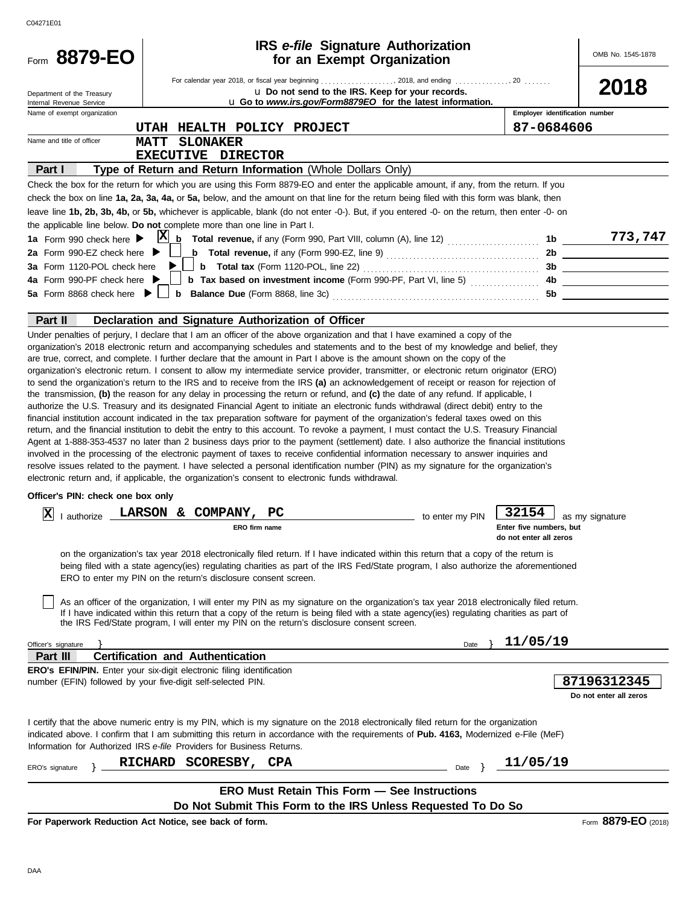| C04271E01                                                                                                                                                                                                                                                                                                                                                                                                                                                                                                                                                                                                                                                                                                                                                                                                                                                                                                                                                                                                                                                                                                                                                                                                                                  |           |                                                            |                                       |
|--------------------------------------------------------------------------------------------------------------------------------------------------------------------------------------------------------------------------------------------------------------------------------------------------------------------------------------------------------------------------------------------------------------------------------------------------------------------------------------------------------------------------------------------------------------------------------------------------------------------------------------------------------------------------------------------------------------------------------------------------------------------------------------------------------------------------------------------------------------------------------------------------------------------------------------------------------------------------------------------------------------------------------------------------------------------------------------------------------------------------------------------------------------------------------------------------------------------------------------------|-----------|------------------------------------------------------------|---------------------------------------|
| <b>IRS</b> e-file Signature Authorization<br>Form 8879-EO<br>for an Exempt Organization                                                                                                                                                                                                                                                                                                                                                                                                                                                                                                                                                                                                                                                                                                                                                                                                                                                                                                                                                                                                                                                                                                                                                    |           |                                                            | OMB No. 1545-1878                     |
|                                                                                                                                                                                                                                                                                                                                                                                                                                                                                                                                                                                                                                                                                                                                                                                                                                                                                                                                                                                                                                                                                                                                                                                                                                            |           |                                                            | 2018                                  |
| u Do not send to the IRS. Keep for your records.<br>Department of the Treasury<br>u Go to www.irs.gov/Form8879EO for the latest information.<br>Internal Revenue Service                                                                                                                                                                                                                                                                                                                                                                                                                                                                                                                                                                                                                                                                                                                                                                                                                                                                                                                                                                                                                                                                   |           |                                                            |                                       |
| Name of exempt organization                                                                                                                                                                                                                                                                                                                                                                                                                                                                                                                                                                                                                                                                                                                                                                                                                                                                                                                                                                                                                                                                                                                                                                                                                |           | Employer identification number                             |                                       |
| UTAH I<br>HEALTH POLICY PROJECT                                                                                                                                                                                                                                                                                                                                                                                                                                                                                                                                                                                                                                                                                                                                                                                                                                                                                                                                                                                                                                                                                                                                                                                                            |           | 87-0684606                                                 |                                       |
| Name and title of officer<br><b>SLONAKER</b><br><b>MATT</b>                                                                                                                                                                                                                                                                                                                                                                                                                                                                                                                                                                                                                                                                                                                                                                                                                                                                                                                                                                                                                                                                                                                                                                                |           |                                                            |                                       |
| EXECUTIVE DIRECTOR                                                                                                                                                                                                                                                                                                                                                                                                                                                                                                                                                                                                                                                                                                                                                                                                                                                                                                                                                                                                                                                                                                                                                                                                                         |           |                                                            |                                       |
| Type of Return and Return Information (Whole Dollars Only)<br>Part I                                                                                                                                                                                                                                                                                                                                                                                                                                                                                                                                                                                                                                                                                                                                                                                                                                                                                                                                                                                                                                                                                                                                                                       |           |                                                            |                                       |
| Check the box for the return for which you are using this Form 8879-EO and enter the applicable amount, if any, from the return. If you<br>check the box on line 1a, 2a, 3a, 4a, or 5a, below, and the amount on that line for the return being filed with this form was blank, then                                                                                                                                                                                                                                                                                                                                                                                                                                                                                                                                                                                                                                                                                                                                                                                                                                                                                                                                                       |           |                                                            |                                       |
| leave line 1b, 2b, 3b, 4b, or 5b, whichever is applicable, blank (do not enter -0-). But, if you entered -0- on the return, then enter -0- on                                                                                                                                                                                                                                                                                                                                                                                                                                                                                                                                                                                                                                                                                                                                                                                                                                                                                                                                                                                                                                                                                              |           |                                                            |                                       |
| the applicable line below. Do not complete more than one line in Part I.                                                                                                                                                                                                                                                                                                                                                                                                                                                                                                                                                                                                                                                                                                                                                                                                                                                                                                                                                                                                                                                                                                                                                                   |           |                                                            |                                       |
| 1a Form 990 check here $\blacktriangleright$                                                                                                                                                                                                                                                                                                                                                                                                                                                                                                                                                                                                                                                                                                                                                                                                                                                                                                                                                                                                                                                                                                                                                                                               |           |                                                            | 773,747                               |
| <b>b</b> Total revenue, if any (Form 990-EZ, line 9) $\ldots$ $\ldots$ $\ldots$ $\ldots$ $\ldots$ $\ldots$<br>2a Form 990-EZ check here $\blacktriangleright$                                                                                                                                                                                                                                                                                                                                                                                                                                                                                                                                                                                                                                                                                                                                                                                                                                                                                                                                                                                                                                                                              |           |                                                            | 2b                                    |
| 3a Form 1120-POL check here $\blacktriangleright$                                                                                                                                                                                                                                                                                                                                                                                                                                                                                                                                                                                                                                                                                                                                                                                                                                                                                                                                                                                                                                                                                                                                                                                          |           |                                                            |                                       |
| 4a Form 990-PF check here ▶                                                                                                                                                                                                                                                                                                                                                                                                                                                                                                                                                                                                                                                                                                                                                                                                                                                                                                                                                                                                                                                                                                                                                                                                                |           |                                                            |                                       |
|                                                                                                                                                                                                                                                                                                                                                                                                                                                                                                                                                                                                                                                                                                                                                                                                                                                                                                                                                                                                                                                                                                                                                                                                                                            |           |                                                            |                                       |
|                                                                                                                                                                                                                                                                                                                                                                                                                                                                                                                                                                                                                                                                                                                                                                                                                                                                                                                                                                                                                                                                                                                                                                                                                                            |           |                                                            |                                       |
| Part II<br>Declaration and Signature Authorization of Officer<br>Under penalties of perjury, I declare that I am an officer of the above organization and that I have examined a copy of the                                                                                                                                                                                                                                                                                                                                                                                                                                                                                                                                                                                                                                                                                                                                                                                                                                                                                                                                                                                                                                               |           |                                                            |                                       |
| to send the organization's return to the IRS and to receive from the IRS (a) an acknowledgement of receipt or reason for rejection of<br>the transmission, (b) the reason for any delay in processing the return or refund, and (c) the date of any refund. If applicable, I<br>authorize the U.S. Treasury and its designated Financial Agent to initiate an electronic funds withdrawal (direct debit) entry to the<br>financial institution account indicated in the tax preparation software for payment of the organization's federal taxes owed on this<br>return, and the financial institution to debit the entry to this account. To revoke a payment, I must contact the U.S. Treasury Financial<br>Agent at 1-888-353-4537 no later than 2 business days prior to the payment (settlement) date. I also authorize the financial institutions<br>involved in the processing of the electronic payment of taxes to receive confidential information necessary to answer inquiries and<br>resolve issues related to the payment. I have selected a personal identification number (PIN) as my signature for the organization's<br>electronic return and, if applicable, the organization's consent to electronic funds withdrawal. |           |                                                            |                                       |
| Officer's PIN: check one box only                                                                                                                                                                                                                                                                                                                                                                                                                                                                                                                                                                                                                                                                                                                                                                                                                                                                                                                                                                                                                                                                                                                                                                                                          |           |                                                            |                                       |
| I authorize LARSON & COMPANY, PC<br> x <br>to enter my PIN<br>ERO firm name                                                                                                                                                                                                                                                                                                                                                                                                                                                                                                                                                                                                                                                                                                                                                                                                                                                                                                                                                                                                                                                                                                                                                                |           | 32154<br>Enter five numbers, but<br>do not enter all zeros | as my signature                       |
| on the organization's tax year 2018 electronically filed return. If I have indicated within this return that a copy of the return is<br>being filed with a state agency(ies) regulating charities as part of the IRS Fed/State program, I also authorize the aforementioned<br>ERO to enter my PIN on the return's disclosure consent screen.                                                                                                                                                                                                                                                                                                                                                                                                                                                                                                                                                                                                                                                                                                                                                                                                                                                                                              |           |                                                            |                                       |
| As an officer of the organization, I will enter my PIN as my signature on the organization's tax year 2018 electronically filed return.<br>If I have indicated within this return that a copy of the return is being filed with a state agency(ies) regulating charities as part of<br>the IRS Fed/State program, I will enter my PIN on the return's disclosure consent screen.                                                                                                                                                                                                                                                                                                                                                                                                                                                                                                                                                                                                                                                                                                                                                                                                                                                           |           |                                                            |                                       |
| Officer's signature                                                                                                                                                                                                                                                                                                                                                                                                                                                                                                                                                                                                                                                                                                                                                                                                                                                                                                                                                                                                                                                                                                                                                                                                                        | Date      | 11/05/19                                                   |                                       |
| <b>Certification and Authentication</b><br>Part III                                                                                                                                                                                                                                                                                                                                                                                                                                                                                                                                                                                                                                                                                                                                                                                                                                                                                                                                                                                                                                                                                                                                                                                        |           |                                                            |                                       |
| <b>ERO's EFIN/PIN.</b> Enter your six-digit electronic filing identification<br>number (EFIN) followed by your five-digit self-selected PIN.                                                                                                                                                                                                                                                                                                                                                                                                                                                                                                                                                                                                                                                                                                                                                                                                                                                                                                                                                                                                                                                                                               |           |                                                            | 87196312345<br>Do not enter all zeros |
| I certify that the above numeric entry is my PIN, which is my signature on the 2018 electronically filed return for the organization<br>indicated above. I confirm that I am submitting this return in accordance with the requirements of Pub. 4163, Modernized e-File (MeF)<br>Information for Authorized IRS e-file Providers for Business Returns.                                                                                                                                                                                                                                                                                                                                                                                                                                                                                                                                                                                                                                                                                                                                                                                                                                                                                     |           |                                                            |                                       |
| <b>RICHARD</b><br>SCORESBY,<br><b>CPA</b><br>ERO's signature                                                                                                                                                                                                                                                                                                                                                                                                                                                                                                                                                                                                                                                                                                                                                                                                                                                                                                                                                                                                                                                                                                                                                                               | Date $\}$ | 11/05/19                                                   |                                       |
| <b>ERO Must Retain This Form - See Instructions</b><br>Do Not Submit This Form to the IRS Unless Requested To Do So                                                                                                                                                                                                                                                                                                                                                                                                                                                                                                                                                                                                                                                                                                                                                                                                                                                                                                                                                                                                                                                                                                                        |           |                                                            |                                       |

DAA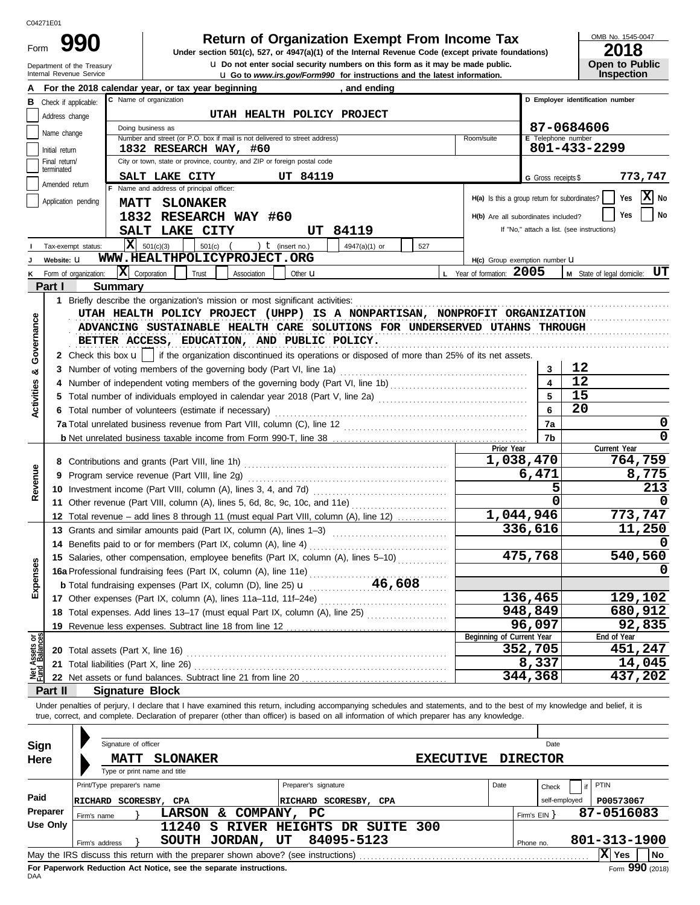Department of the Treasury Form

Internal Revenue Service **Latest information. u** Go to *www.irs.gov/Form990* for instructions and the latest information. **u** Do not enter social security numbers on this form as it may be made public. **990 1990 2018 2018 Depend on Solution Cynemic State of Accept Accept Prom Income Tax 1947(a)(1) of the Internal Revenue Code (except private foundations)** 

OMB No. 1545-0047

| <b>ZU18</b>           |
|-----------------------|
| <b>Open to Public</b> |
| <b>Inspection</b>     |

|                                |                                 | For the 2018 calendar year, or tax year beginning<br>and ending                                                                                                                                                                          |                                               |                                    |                                            |  |  |  |
|--------------------------------|---------------------------------|------------------------------------------------------------------------------------------------------------------------------------------------------------------------------------------------------------------------------------------|-----------------------------------------------|------------------------------------|--------------------------------------------|--|--|--|
| в                              | Check if applicable:            | C Name of organization                                                                                                                                                                                                                   |                                               |                                    | D Employer identification number           |  |  |  |
|                                | Address change                  | UTAH HEALTH POLICY PROJECT                                                                                                                                                                                                               |                                               |                                    |                                            |  |  |  |
|                                | Name change                     | Doing business as                                                                                                                                                                                                                        |                                               |                                    | 87-0684606                                 |  |  |  |
|                                |                                 | Number and street (or P.O. box if mail is not delivered to street address)                                                                                                                                                               | Room/suite                                    | E Telephone number<br>801-433-2299 |                                            |  |  |  |
|                                | Initial return<br>Final return/ | 1832 RESEARCH WAY, #60<br>City or town, state or province, country, and ZIP or foreign postal code                                                                                                                                       |                                               |                                    |                                            |  |  |  |
|                                | terminated                      |                                                                                                                                                                                                                                          |                                               |                                    |                                            |  |  |  |
|                                | Amended return                  | UT 84119<br>SALT LAKE CITY<br>F Name and address of principal officer:                                                                                                                                                                   |                                               | G Gross receipts \$                | 773,747                                    |  |  |  |
|                                | Application pending             |                                                                                                                                                                                                                                          | H(a) Is this a group return for subordinates? |                                    | X No<br>Yes                                |  |  |  |
|                                |                                 | <b>MATT SLONAKER</b>                                                                                                                                                                                                                     |                                               |                                    | No<br>Yes                                  |  |  |  |
|                                |                                 | 1832 RESEARCH WAY #60                                                                                                                                                                                                                    | H(b) Are all subordinates included?           |                                    |                                            |  |  |  |
|                                |                                 | SALT LAKE CITY<br>UT 84119                                                                                                                                                                                                               |                                               |                                    | If "No," attach a list. (see instructions) |  |  |  |
|                                | Tax-exempt status:              | $\overline{\mathbf{X}}$ 501(c)(3)<br>) $t$ (insert no.)<br>501(c)<br>4947(a)(1) or<br>527                                                                                                                                                |                                               |                                    |                                            |  |  |  |
|                                | Website: U                      | WWW.HEALTHPOLICYPROJECT.ORG                                                                                                                                                                                                              | H(c) Group exemption number <b>LI</b>         |                                    |                                            |  |  |  |
|                                |                                 | $ \mathbf{X} $ Corporation<br>Trust<br>Form of organization:<br>Association<br>Other <b>u</b>                                                                                                                                            | L Year of formation: 2005                     |                                    | M State of legal domicile: UT              |  |  |  |
|                                | Part I                          | <b>Summary</b>                                                                                                                                                                                                                           |                                               |                                    |                                            |  |  |  |
|                                |                                 | 1 Briefly describe the organization's mission or most significant activities:                                                                                                                                                            |                                               |                                    |                                            |  |  |  |
|                                |                                 | UTAH HEALTH POLICY PROJECT (UHPP) IS A NONPARTISAN, NONPROFIT ORGANIZATION                                                                                                                                                               |                                               |                                    |                                            |  |  |  |
|                                |                                 | ADVANCING SUSTAINABLE HEALTH CARE SOLUTIONS FOR UNDERSERVED UTAHNS THROUGH                                                                                                                                                               |                                               |                                    |                                            |  |  |  |
| Governance                     |                                 | BETTER ACCESS, EDUCATION, AND PUBLIC POLICY.                                                                                                                                                                                             |                                               |                                    |                                            |  |  |  |
|                                |                                 | 2 Check this box $\mathbf{u}$   if the organization discontinued its operations or disposed of more than 25% of its net assets.                                                                                                          |                                               |                                    |                                            |  |  |  |
| ಯ                              |                                 | 3 Number of voting members of the governing body (Part VI, line 1a)                                                                                                                                                                      |                                               | 3                                  | 12                                         |  |  |  |
|                                |                                 |                                                                                                                                                                                                                                          |                                               | $\blacktriangle$                   | 12                                         |  |  |  |
| Activities                     |                                 | Total number of individuals employed in calendar year 2018 (Part V, line 2a) [[[[[[[[[[[[[[[[[[[[[[[[[[[[[[[[                                                                                                                            |                                               | 5                                  | 15                                         |  |  |  |
|                                |                                 | 6 Total number of volunteers (estimate if necessary)                                                                                                                                                                                     |                                               | 6                                  | 20                                         |  |  |  |
|                                |                                 |                                                                                                                                                                                                                                          |                                               | 7a                                 | 0                                          |  |  |  |
|                                |                                 |                                                                                                                                                                                                                                          |                                               | 7b                                 | 0                                          |  |  |  |
|                                |                                 |                                                                                                                                                                                                                                          | Prior Year                                    |                                    | Current Year                               |  |  |  |
|                                |                                 |                                                                                                                                                                                                                                          |                                               | 1,038,470                          | 764,759                                    |  |  |  |
|                                | 9                               | Program service revenue (Part VIII, line 2g)                                                                                                                                                                                             |                                               | 6,471                              | 8,775                                      |  |  |  |
| Revenue                        |                                 |                                                                                                                                                                                                                                          |                                               | 5                                  | 213                                        |  |  |  |
|                                |                                 | 11 Other revenue (Part VIII, column (A), lines 5, 6d, 8c, 9c, 10c, and 11e)                                                                                                                                                              |                                               | 0                                  |                                            |  |  |  |
|                                |                                 | 12 Total revenue - add lines 8 through 11 (must equal Part VIII, column (A), line 12)                                                                                                                                                    |                                               | 1,044,946                          | 773,747                                    |  |  |  |
|                                |                                 | 13 Grants and similar amounts paid (Part IX, column (A), lines 1-3)                                                                                                                                                                      |                                               | 336,616                            | 11,250                                     |  |  |  |
|                                |                                 | 14 Benefits paid to or for members (Part IX, column (A), line 4)                                                                                                                                                                         |                                               |                                    |                                            |  |  |  |
|                                |                                 | 15 Salaries, other compensation, employee benefits (Part IX, column (A), lines 5-10)<br>15 Salaries, other componenties, and the California (A), line 11e)<br>16a Professional fundraising fees (Part IX, column (A), line 25) 11 46,608 |                                               | 475,768                            | 540,560                                    |  |  |  |
| xpenses                        |                                 |                                                                                                                                                                                                                                          |                                               |                                    |                                            |  |  |  |
| ш                              |                                 |                                                                                                                                                                                                                                          |                                               |                                    |                                            |  |  |  |
|                                |                                 | 17 Other expenses (Part IX, column (A), lines 11a-11d, 11f-24e)                                                                                                                                                                          |                                               | 136,465                            | 129,102                                    |  |  |  |
|                                |                                 | 18 Total expenses. Add lines 13-17 (must equal Part IX, column (A), line 25)                                                                                                                                                             |                                               | 948,849                            | 680,912                                    |  |  |  |
|                                |                                 | 19 Revenue less expenses. Subtract line 18 from line 12                                                                                                                                                                                  | Beginning of Current Year                     | 96,097                             | 92,835<br>End of Year                      |  |  |  |
|                                |                                 | 20 Total assets (Part X, line 16)                                                                                                                                                                                                        |                                               | 352,705                            | 451,247                                    |  |  |  |
| Net Assets or<br>Fund Balances |                                 | 21 Total liabilities (Part X, line 26)                                                                                                                                                                                                   |                                               | 8,337                              | 14,045                                     |  |  |  |
|                                |                                 | 22 Net assets or fund balances. Subtract line 21 from line 20                                                                                                                                                                            |                                               | 344,368                            | 437,202                                    |  |  |  |
|                                | Part II                         | <b>Signature Block</b>                                                                                                                                                                                                                   |                                               |                                    |                                            |  |  |  |
|                                |                                 | Under penalties of perjury, I declare that I have examined this return, including accompanying schedules and statements, and to the best of my knowledge and belief, it is                                                               |                                               |                                    |                                            |  |  |  |
|                                |                                 | true, correct, and complete. Declaration of preparer (other than officer) is based on all information of which preparer has any knowledge.                                                                                               |                                               |                                    |                                            |  |  |  |
|                                |                                 |                                                                                                                                                                                                                                          |                                               |                                    |                                            |  |  |  |
| Sign                           |                                 | Signature of officer                                                                                                                                                                                                                     |                                               | Date                               |                                            |  |  |  |
| Here                           |                                 | <b>MATT</b><br><b>SLONAKER</b><br><b>EXECUTIVE</b>                                                                                                                                                                                       |                                               | <b>DIRECTOR</b>                    |                                            |  |  |  |
|                                |                                 | Type or print name and title                                                                                                                                                                                                             |                                               |                                    |                                            |  |  |  |
|                                |                                 | Preparer's signature<br>Print/Type preparer's name                                                                                                                                                                                       | Date                                          | Check                              | PTIN                                       |  |  |  |
| Paid                           |                                 | RICHARD SCORESBY, CPA<br>RICHARD SCORESBY, CPA                                                                                                                                                                                           |                                               | self-employed                      | P00573067                                  |  |  |  |
|                                | Preparer                        | LARSON & COMPANY,<br>PC<br>Firm's name                                                                                                                                                                                                   |                                               | Firm's $EIN$ }                     | 87-0516083                                 |  |  |  |
|                                | <b>Use Only</b>                 | 11240 S RIVER HEIGHTS DR SUITE 300                                                                                                                                                                                                       |                                               |                                    |                                            |  |  |  |
|                                |                                 | 84095-5123<br>UT<br>SOUTH JORDAN,<br>Firm's address                                                                                                                                                                                      |                                               | Phone no.                          | 801-313-1900                               |  |  |  |
|                                |                                 |                                                                                                                                                                                                                                          |                                               |                                    | X Yes<br>  No                              |  |  |  |

| Sign     | Signature of officer                                                              |                                |                 | Date                       |
|----------|-----------------------------------------------------------------------------------|--------------------------------|-----------------|----------------------------|
| Here     | <b>SLONAKER</b><br><b>MATT</b>                                                    | <b>EXECUTIVE</b>               | <b>DIRECTOR</b> |                            |
|          | Type or print name and title                                                      |                                |                 |                            |
|          | Print/Type preparer's name                                                        | Preparer's signature           | Date            | $\vert$ if   PTIN<br>Check |
| Paid     | SCORESBY, CPA<br>RICHARD                                                          | SCORESBY, CPA<br>RICHARD       |                 | P00573067<br>self-employed |
| Preparer | <b>LARSON</b><br>COMPANY,<br>&.<br>Firm's name                                    | PC.                            | Firm's EIN Y    | 87-0516083                 |
| Use Only | 11240<br>s<br><b>RIVER</b>                                                        | <b>HEIGHTS</b><br>DR SUITE 300 |                 |                            |
|          | JORDAN,<br><b>SOUTH</b><br>Firm's address                                         | 84095-5123<br>UT               | Phone no.       | 801-313-1900               |
|          | May the IRS discuss this return with the preparer shown above? (see instructions) |                                |                 | IХ<br>  No<br>Yes          |
|          | For Paperwork Reduction Act Notice, see the separate instructions.                |                                |                 | Form 990 (2018)            |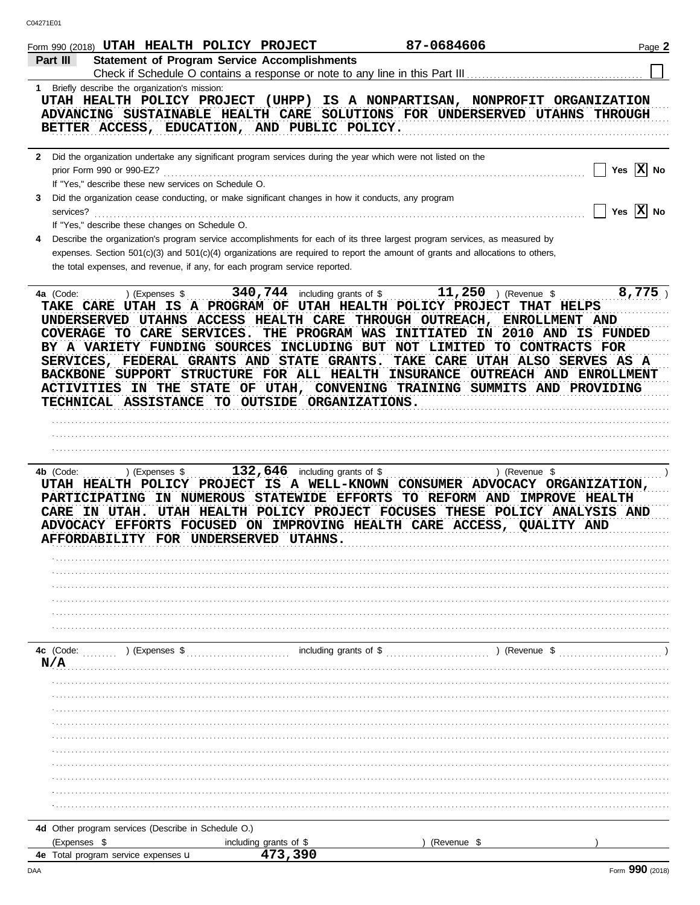|    | Form 990 (2018) UTAH HEALTH POLICY PROJECT                                                                                                                                                                                                                                                                                                                                                                                                                                                                                                                                                         |                                             | 87-0684606                                                | Page 2                   |
|----|----------------------------------------------------------------------------------------------------------------------------------------------------------------------------------------------------------------------------------------------------------------------------------------------------------------------------------------------------------------------------------------------------------------------------------------------------------------------------------------------------------------------------------------------------------------------------------------------------|---------------------------------------------|-----------------------------------------------------------|--------------------------|
|    | <b>Statement of Program Service Accomplishments</b><br>Part III                                                                                                                                                                                                                                                                                                                                                                                                                                                                                                                                    |                                             |                                                           |                          |
|    |                                                                                                                                                                                                                                                                                                                                                                                                                                                                                                                                                                                                    |                                             |                                                           |                          |
| 1. | Briefly describe the organization's mission:<br>UTAH HEALTH POLICY PROJECT (UHPP) IS A NONPARTISAN, NONPROFIT ORGANIZATION<br>ADVANCING SUSTAINABLE HEALTH CARE SOLUTIONS FOR UNDERSERVED UTAHNS THROUGH<br>BETTER ACCESS, EDUCATION, AND PUBLIC POLICY.                                                                                                                                                                                                                                                                                                                                           |                                             |                                                           |                          |
|    | 2 Did the organization undertake any significant program services during the year which were not listed on the                                                                                                                                                                                                                                                                                                                                                                                                                                                                                     |                                             |                                                           |                          |
| 3  | prior Form 990 or 990-EZ?<br>If "Yes," describe these new services on Schedule O.<br>Did the organization cease conducting, or make significant changes in how it conducts, any program<br>services?                                                                                                                                                                                                                                                                                                                                                                                               |                                             |                                                           | Yes $X$ No<br>Yes $X$ No |
|    | If "Yes," describe these changes on Schedule O.                                                                                                                                                                                                                                                                                                                                                                                                                                                                                                                                                    |                                             |                                                           |                          |
| 4  | Describe the organization's program service accomplishments for each of its three largest program services, as measured by<br>expenses. Section 501(c)(3) and 501(c)(4) organizations are required to report the amount of grants and allocations to others,<br>the total expenses, and revenue, if any, for each program service reported.                                                                                                                                                                                                                                                        |                                             |                                                           |                          |
|    | 4a (Code:<br>) (Expenses \$<br>TAKE CARE UTAH IS A PROGRAM OF UTAH HEALTH POLICY PROJECT THAT HELPS<br>UNDERSERVED UTAHNS ACCESS HEALTH CARE THROUGH OUTREACH, ENROLLMENT AND<br>COVERAGE TO CARE SERVICES. THE PROGRAM WAS INITIATED IN 2010 AND IS FUNDED<br>BY A VARIETY FUNDING SOURCES INCLUDING BUT NOT LIMITED TO CONTRACTS FOR<br>SERVICES, FEDERAL GRANTS AND STATE GRANTS.<br>BACKBONE SUPPORT STRUCTURE FOR ALL HEALTH INSURANCE OUTREACH AND ENROLLMENT<br>ACTIVITIES IN THE STATE OF UTAH, CONVENING TRAINING SUMMITS AND PROVIDING<br>TECHNICAL ASSISTANCE TO OUTSIDE ORGANIZATIONS. | 340, 744 including grants of $\sqrt[6]{\ }$ | 11, 250 ) (Revenue $$$<br>TAKE CARE UTAH ALSO SERVES AS A | 8,775                    |
|    |                                                                                                                                                                                                                                                                                                                                                                                                                                                                                                                                                                                                    |                                             |                                                           |                          |
|    |                                                                                                                                                                                                                                                                                                                                                                                                                                                                                                                                                                                                    | 132,646 including grants of \$              | ) (Revenue \$                                             |                          |
|    | 4b (Code:<br>) (Expenses \$<br>UTAH HEALTH POLICY PROJECT IS A WELL-KNOWN CONSUMER ADVOCACY ORGANIZATION,<br>PARTICIPATING IN NUMEROUS STATEWIDE EFFORTS TO REFORM AND IMPROVE HEALTH<br>CARE IN UTAH. UTAH HEALTH POLICY PROJECT FOCUSES THESE POLICY ANALYSIS AND<br>ADVOCACY EFFORTS FOCUSED ON IMPROVING HEALTH CARE ACCESS, QUALITY AND<br>AFFORDABILITY FOR UNDERSERVED UTAHNS.                                                                                                                                                                                                              |                                             |                                                           |                          |
|    | 4c (Code:<br>) (Expenses \$<br>N/A                                                                                                                                                                                                                                                                                                                                                                                                                                                                                                                                                                 | including grants of \$                      | ) (Revenue \$                                             |                          |
|    |                                                                                                                                                                                                                                                                                                                                                                                                                                                                                                                                                                                                    |                                             |                                                           |                          |
|    |                                                                                                                                                                                                                                                                                                                                                                                                                                                                                                                                                                                                    |                                             |                                                           |                          |
|    |                                                                                                                                                                                                                                                                                                                                                                                                                                                                                                                                                                                                    |                                             |                                                           |                          |
|    | 4d Other program services (Describe in Schedule O.)<br>(Expenses \$                                                                                                                                                                                                                                                                                                                                                                                                                                                                                                                                | including grants of \$<br>473,390           | (Revenue \$                                               |                          |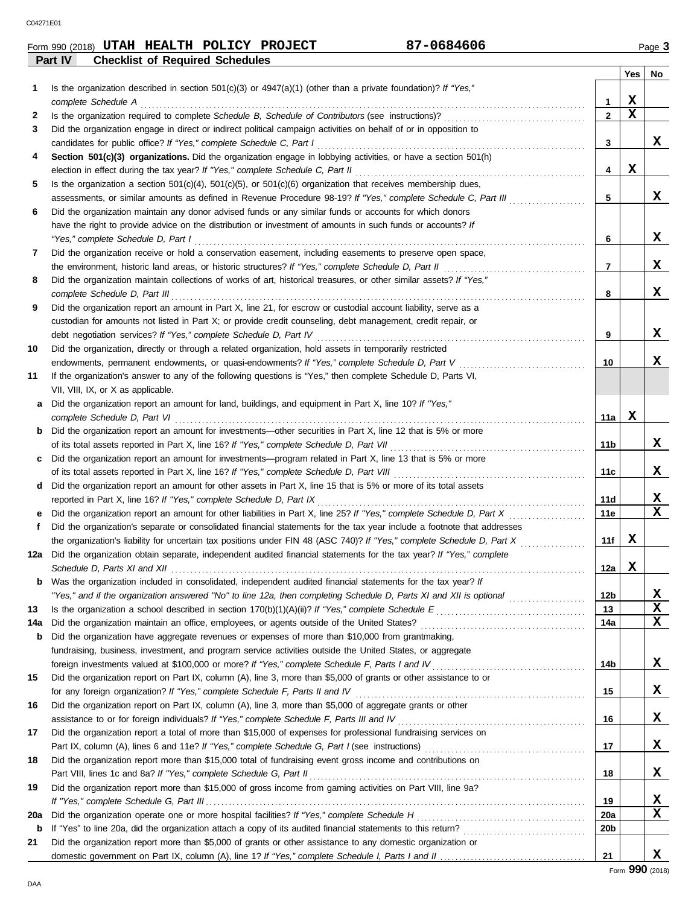| Form 990 (2018) UTAH | <b>HEALTH</b>                          | POLICY | <b>PROJECT</b> | '-0684606 | $P$ aqe |
|----------------------|----------------------------------------|--------|----------------|-----------|---------|
| Part IV              | <b>Checklist of Required Schedules</b> |        |                |           |         |

|     |                                                                                                                                                                                                               |                 | Yes | No |
|-----|---------------------------------------------------------------------------------------------------------------------------------------------------------------------------------------------------------------|-----------------|-----|----|
| 1   | Is the organization described in section $501(c)(3)$ or $4947(a)(1)$ (other than a private foundation)? If "Yes,"                                                                                             |                 |     |    |
|     | complete Schedule A                                                                                                                                                                                           | 1               | x   |    |
| 2   |                                                                                                                                                                                                               | $\mathbf{2}$    | x   |    |
| 3   | Did the organization engage in direct or indirect political campaign activities on behalf of or in opposition to                                                                                              |                 |     |    |
|     | candidates for public office? If "Yes," complete Schedule C, Part I                                                                                                                                           | 3               |     | x  |
| 4   | Section 501(c)(3) organizations. Did the organization engage in lobbying activities, or have a section 501(h)                                                                                                 |                 |     |    |
|     | election in effect during the tax year? If "Yes," complete Schedule C, Part II                                                                                                                                | 4               | x   |    |
| 5   | Is the organization a section $501(c)(4)$ , $501(c)(5)$ , or $501(c)(6)$ organization that receives membership dues,                                                                                          |                 |     |    |
|     | assessments, or similar amounts as defined in Revenue Procedure 98-19? If "Yes," complete Schedule C, Part III                                                                                                | 5               |     | X. |
| 6   | Did the organization maintain any donor advised funds or any similar funds or accounts for which donors                                                                                                       |                 |     |    |
|     | have the right to provide advice on the distribution or investment of amounts in such funds or accounts? If                                                                                                   |                 |     |    |
|     | "Yes," complete Schedule D, Part I                                                                                                                                                                            | 6               |     | X. |
| 7   | Did the organization receive or hold a conservation easement, including easements to preserve open space,                                                                                                     |                 |     |    |
|     | the environment, historic land areas, or historic structures? If "Yes," complete Schedule D, Part II                                                                                                          | 7               |     | X. |
| 8   | Did the organization maintain collections of works of art, historical treasures, or other similar assets? If "Yes,"                                                                                           |                 |     |    |
|     | complete Schedule D, Part III                                                                                                                                                                                 | 8               |     | x  |
| 9   | Did the organization report an amount in Part X, line 21, for escrow or custodial account liability, serve as a                                                                                               |                 |     |    |
|     | custodian for amounts not listed in Part X; or provide credit counseling, debt management, credit repair, or                                                                                                  |                 |     |    |
|     | debt negotiation services? If "Yes," complete Schedule D, Part IV                                                                                                                                             | 9               |     | X. |
| 10  | Did the organization, directly or through a related organization, hold assets in temporarily restricted                                                                                                       |                 |     |    |
|     | endowments, permanent endowments, or quasi-endowments? If "Yes," complete Schedule D, Part V                                                                                                                  | 10              |     | X. |
| 11  | If the organization's answer to any of the following questions is "Yes," then complete Schedule D, Parts VI,                                                                                                  |                 |     |    |
|     | VII, VIII, IX, or X as applicable.                                                                                                                                                                            |                 |     |    |
| a   | Did the organization report an amount for land, buildings, and equipment in Part X, line 10? If "Yes,"                                                                                                        |                 |     |    |
|     | complete Schedule D, Part VI                                                                                                                                                                                  | 11a             | X   |    |
| b   | Did the organization report an amount for investments—other securities in Part X, line 12 that is 5% or more                                                                                                  |                 |     |    |
|     |                                                                                                                                                                                                               | 11b             |     | X. |
| c   | Did the organization report an amount for investments—program related in Part X, line 13 that is 5% or more                                                                                                   | 11c             |     | X. |
| d   | of its total assets reported in Part X, line 16? If "Yes," complete Schedule D, Part VIII<br>Did the organization report an amount for other assets in Part X, line 15 that is 5% or more of its total assets |                 |     |    |
|     | reported in Part X, line 16? If "Yes," complete Schedule D, Part IX                                                                                                                                           | 11d             |     | x  |
| е   | Did the organization report an amount for other liabilities in Part X, line 25? If "Yes," complete Schedule D, Part X                                                                                         | 11e             |     | x  |
| f   | Did the organization's separate or consolidated financial statements for the tax year include a footnote that addresses                                                                                       |                 |     |    |
|     | the organization's liability for uncertain tax positions under FIN 48 (ASC 740)? If "Yes," complete Schedule D, Part X                                                                                        | 11f             | X   |    |
| 12a | Did the organization obtain separate, independent audited financial statements for the tax year? If "Yes," complete                                                                                           |                 |     |    |
|     |                                                                                                                                                                                                               | 12a             | x   |    |
| b   | Was the organization included in consolidated, independent audited financial statements for the tax year? If                                                                                                  |                 |     |    |
|     |                                                                                                                                                                                                               | 12 <sub>b</sub> |     | X  |
| 13  |                                                                                                                                                                                                               | 13              |     | X  |
| 14a |                                                                                                                                                                                                               | 14a             |     | x  |
| b   | Did the organization have aggregate revenues or expenses of more than \$10,000 from grantmaking,                                                                                                              |                 |     |    |
|     | fundraising, business, investment, and program service activities outside the United States, or aggregate                                                                                                     |                 |     |    |
|     |                                                                                                                                                                                                               | 14b             |     | X  |
| 15  | Did the organization report on Part IX, column (A), line 3, more than \$5,000 of grants or other assistance to or                                                                                             |                 |     |    |
|     | for any foreign organization? If "Yes," complete Schedule F, Parts II and IV                                                                                                                                  | 15              |     | X. |
| 16  | Did the organization report on Part IX, column (A), line 3, more than \$5,000 of aggregate grants or other                                                                                                    |                 |     |    |
|     | assistance to or for foreign individuals? If "Yes," complete Schedule F, Parts III and IV [[[[[[[[[[[[[[[[[[[                                                                                                 | 16              |     | X. |
| 17  | Did the organization report a total of more than \$15,000 of expenses for professional fundraising services on                                                                                                |                 |     |    |
|     |                                                                                                                                                                                                               | 17              |     | X. |
| 18  | Did the organization report more than \$15,000 total of fundraising event gross income and contributions on                                                                                                   |                 |     |    |
|     | Part VIII, lines 1c and 8a? If "Yes," complete Schedule G, Part II                                                                                                                                            | 18              |     | X. |
| 19  | Did the organization report more than \$15,000 of gross income from gaming activities on Part VIII, line 9a?                                                                                                  |                 |     |    |
|     |                                                                                                                                                                                                               | 19              |     | x  |
| 20a |                                                                                                                                                                                                               | 20a             |     | x  |
| b   |                                                                                                                                                                                                               | 20b             |     |    |
| 21  | Did the organization report more than \$5,000 of grants or other assistance to any domestic organization or                                                                                                   |                 |     |    |
|     |                                                                                                                                                                                                               | 21              |     | X. |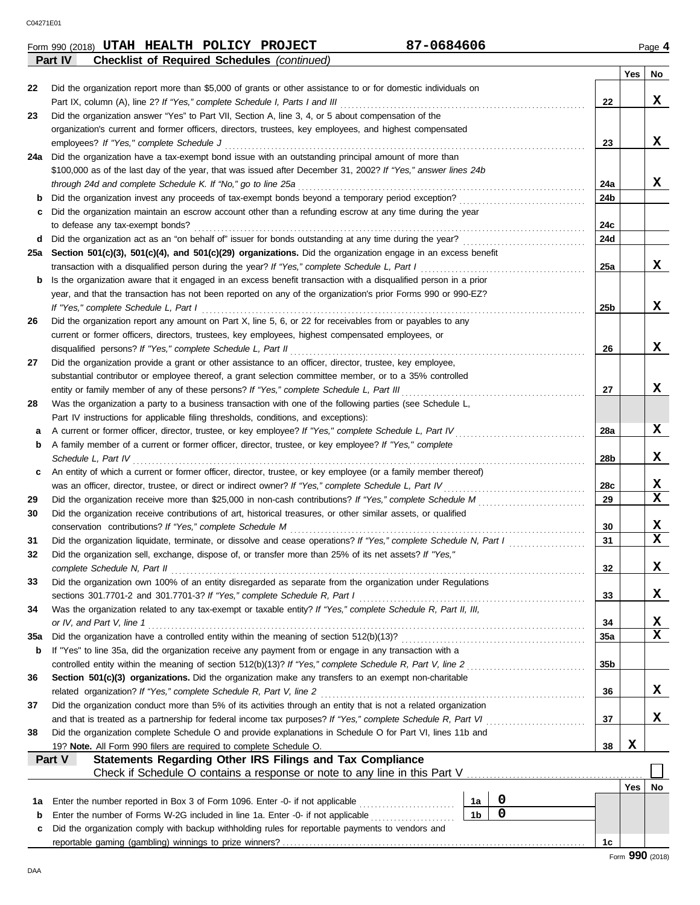**Part IV Checklist of Required Schedules** *(continued)*

| Form 990 (2018) | <b>UTAH HEALTH</b> | POLICY | <b>PROJECT</b> | '-0684606 | Page |
|-----------------|--------------------|--------|----------------|-----------|------|
|                 |                    |        |                |           |      |

|     |                                                                                                                                                                                                                   |                |  |             |                 | Yes | No               |  |
|-----|-------------------------------------------------------------------------------------------------------------------------------------------------------------------------------------------------------------------|----------------|--|-------------|-----------------|-----|------------------|--|
| 22  | Did the organization report more than \$5,000 of grants or other assistance to or for domestic individuals on                                                                                                     |                |  |             |                 |     |                  |  |
|     | Part IX, column (A), line 2? If "Yes," complete Schedule I, Parts I and III                                                                                                                                       |                |  |             | 22              |     | x                |  |
| 23  | Did the organization answer "Yes" to Part VII, Section A, line 3, 4, or 5 about compensation of the                                                                                                               |                |  |             |                 |     |                  |  |
|     | organization's current and former officers, directors, trustees, key employees, and highest compensated                                                                                                           |                |  |             |                 |     |                  |  |
|     | employees? If "Yes," complete Schedule J                                                                                                                                                                          |                |  |             | 23              |     | x                |  |
| 24a | Did the organization have a tax-exempt bond issue with an outstanding principal amount of more than                                                                                                               |                |  |             |                 |     |                  |  |
|     | \$100,000 as of the last day of the year, that was issued after December 31, 2002? If "Yes," answer lines 24b                                                                                                     |                |  |             |                 |     |                  |  |
|     | through 24d and complete Schedule K. If "No," go to line 25a                                                                                                                                                      |                |  |             | 24a             |     | x                |  |
| b   | Did the organization invest any proceeds of tax-exempt bonds beyond a temporary period exception?                                                                                                                 |                |  |             | 24b             |     |                  |  |
| с   | Did the organization maintain an escrow account other than a refunding escrow at any time during the year                                                                                                         |                |  |             |                 |     |                  |  |
|     | to defease any tax-exempt bonds?                                                                                                                                                                                  |                |  |             | 24c             |     |                  |  |
| d   | Did the organization act as an "on behalf of" issuer for bonds outstanding at any time during the year?                                                                                                           |                |  |             | 24d             |     |                  |  |
| 25а | Section 501(c)(3), 501(c)(4), and 501(c)(29) organizations. Did the organization engage in an excess benefit                                                                                                      |                |  |             |                 |     |                  |  |
|     | transaction with a disqualified person during the year? If "Yes," complete Schedule L, Part I                                                                                                                     |                |  |             | 25a             |     | x                |  |
| b   | Is the organization aware that it engaged in an excess benefit transaction with a disqualified person in a prior                                                                                                  |                |  |             |                 |     |                  |  |
|     | year, and that the transaction has not been reported on any of the organization's prior Forms 990 or 990-EZ?                                                                                                      |                |  |             |                 |     |                  |  |
|     | If "Yes," complete Schedule L, Part I                                                                                                                                                                             |                |  |             | 25 <sub>b</sub> |     | x                |  |
| 26  | Did the organization report any amount on Part X, line 5, 6, or 22 for receivables from or payables to any                                                                                                        |                |  |             |                 |     |                  |  |
|     | current or former officers, directors, trustees, key employees, highest compensated employees, or                                                                                                                 |                |  |             |                 |     | x                |  |
|     | disqualified persons? If "Yes," complete Schedule L, Part II                                                                                                                                                      |                |  |             | 26              |     |                  |  |
| 27  | Did the organization provide a grant or other assistance to an officer, director, trustee, key employee,                                                                                                          |                |  |             |                 |     |                  |  |
|     | substantial contributor or employee thereof, a grant selection committee member, or to a 35% controlled                                                                                                           |                |  |             |                 |     | x                |  |
|     | entity or family member of any of these persons? If "Yes," complete Schedule L, Part III                                                                                                                          |                |  |             | 27              |     |                  |  |
| 28  | Was the organization a party to a business transaction with one of the following parties (see Schedule L,                                                                                                         |                |  |             |                 |     |                  |  |
|     | Part IV instructions for applicable filing thresholds, conditions, and exceptions):                                                                                                                               |                |  |             | 28a             |     | X                |  |
| а   | A current or former officer, director, trustee, or key employee? If "Yes," complete Schedule L, Part IV<br>A family member of a current or former officer, director, trustee, or key employee? If "Yes," complete |                |  |             |                 |     |                  |  |
| b   | Schedule L, Part IV                                                                                                                                                                                               |                |  |             | 28b             |     | x                |  |
| c   | An entity of which a current or former officer, director, trustee, or key employee (or a family member thereof)                                                                                                   |                |  |             |                 |     |                  |  |
|     | was an officer, director, trustee, or direct or indirect owner? If "Yes," complete Schedule L, Part IV                                                                                                            |                |  |             | 28c             |     | x                |  |
| 29  |                                                                                                                                                                                                                   |                |  |             | 29              |     | X                |  |
| 30  | Did the organization receive contributions of art, historical treasures, or other similar assets, or qualified                                                                                                    |                |  |             |                 |     |                  |  |
|     | conservation contributions? If "Yes," complete Schedule M                                                                                                                                                         |                |  |             | 30              |     | x                |  |
| 31  | Did the organization liquidate, terminate, or dissolve and cease operations? If "Yes," complete Schedule N, Part I                                                                                                |                |  |             | 31              |     | X                |  |
| 32  | Did the organization sell, exchange, dispose of, or transfer more than 25% of its net assets? If "Yes,"                                                                                                           |                |  |             |                 |     |                  |  |
|     | complete Schedule N, Part II                                                                                                                                                                                      |                |  |             | 32              |     | x                |  |
| 33  | Did the organization own 100% of an entity disregarded as separate from the organization under Regulations                                                                                                        |                |  |             |                 |     |                  |  |
|     | sections 301.7701-2 and 301.7701-3? If "Yes," complete Schedule R, Part I                                                                                                                                         |                |  |             | 33              |     | X.               |  |
| 34  | Was the organization related to any tax-exempt or taxable entity? If "Yes," complete Schedule R, Part II, III,                                                                                                    |                |  |             |                 |     |                  |  |
|     | or IV, and Part V, line 1                                                                                                                                                                                         |                |  |             | 34              |     | x                |  |
| 35a | Did the organization have a controlled entity within the meaning of section 512(b)(13)?                                                                                                                           |                |  |             | 35a             |     | x                |  |
| b   | If "Yes" to line 35a, did the organization receive any payment from or engage in any transaction with a                                                                                                           |                |  |             |                 |     |                  |  |
|     | controlled entity within the meaning of section 512(b)(13)? If "Yes," complete Schedule R, Part V, line 2                                                                                                         |                |  |             | 35b             |     |                  |  |
| 36  | Section 501(c)(3) organizations. Did the organization make any transfers to an exempt non-charitable                                                                                                              |                |  |             |                 |     |                  |  |
|     | related organization? If "Yes," complete Schedule R, Part V, line 2                                                                                                                                               |                |  |             | 36              |     | x                |  |
| 37  | Did the organization conduct more than 5% of its activities through an entity that is not a related organization                                                                                                  |                |  |             |                 |     |                  |  |
|     | and that is treated as a partnership for federal income tax purposes? If "Yes," complete Schedule R, Part VI                                                                                                      |                |  |             | 37              |     | x                |  |
| 38  | Did the organization complete Schedule O and provide explanations in Schedule O for Part VI, lines 11b and                                                                                                        |                |  |             |                 |     |                  |  |
|     | 19? Note. All Form 990 filers are required to complete Schedule O.                                                                                                                                                |                |  |             | 38              | X   |                  |  |
|     | Statements Regarding Other IRS Filings and Tax Compliance<br>Part V                                                                                                                                               |                |  |             |                 |     |                  |  |
|     | Check if Schedule O contains a response or note to any line in this Part V                                                                                                                                        |                |  |             |                 |     |                  |  |
|     |                                                                                                                                                                                                                   |                |  |             |                 | Yes | No               |  |
| 1a  | Enter the number reported in Box 3 of Form 1096. Enter -0- if not applicable                                                                                                                                      | 1a             |  | 0           |                 |     |                  |  |
| b   | Enter the number of Forms W-2G included in line 1a. Enter -0- if not applicable                                                                                                                                   | 1 <sub>b</sub> |  | $\mathbf 0$ |                 |     |                  |  |
| c   | Did the organization comply with backup withholding rules for reportable payments to vendors and                                                                                                                  |                |  |             |                 |     |                  |  |
|     |                                                                                                                                                                                                                   |                |  |             | 1c              |     |                  |  |
|     |                                                                                                                                                                                                                   |                |  |             |                 |     | $000 \text{ cm}$ |  |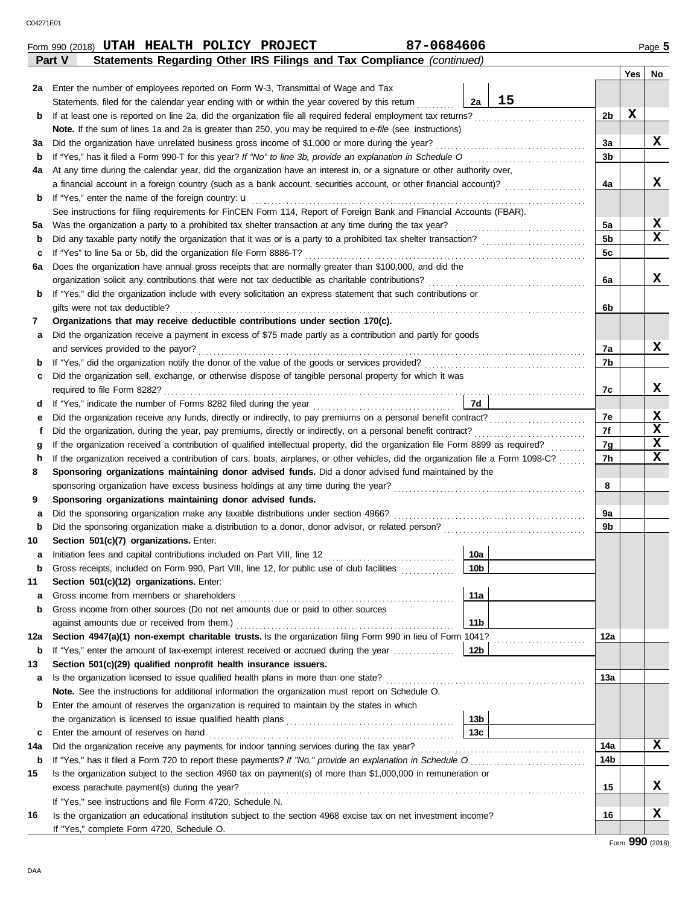| 2a Enter the number of employees reported on Form W-3, Transmittal of Wage and Tax<br>15<br>2a<br>Statements, filed for the calendar year ending with or within the year covered by this return<br>2b<br>b<br><b>Note.</b> If the sum of lines 1a and 2a is greater than 250, you may be required to e-file (see instructions)<br>За<br>за<br>3b<br>b<br>At any time during the calendar year, did the organization have an interest in, or a signature or other authority over,<br>4a<br>4a<br>b<br>See instructions for filing requirements for FinCEN Form 114, Report of Foreign Bank and Financial Accounts (FBAR).<br>5a<br>5а<br>5 <sub>b</sub><br>b<br>5c<br>c<br>Does the organization have annual gross receipts that are normally greater than \$100,000, and did the<br>6а<br>6a<br>If "Yes," did the organization include with every solicitation an express statement that such contributions or<br>b<br>gifts were not tax deductible?<br>6b<br>Organizations that may receive deductible contributions under section 170(c).<br>7<br>Did the organization receive a payment in excess of \$75 made partly as a contribution and partly for goods<br>а<br>and services provided to the payor?<br>7a<br>7b<br>b<br>Did the organization sell, exchange, or otherwise dispose of tangible personal property for which it was<br>c<br>7c<br>7d<br>d<br>7e<br>е<br>7f<br>Did the organization, during the year, pay premiums, directly or indirectly, on a personal benefit contract?<br>f<br>7g<br>g<br>If the organization received a contribution of cars, boats, airplanes, or other vehicles, did the organization file a Form 1098-C?<br>7h<br>h<br>Sponsoring organizations maintaining donor advised funds. Did a donor advised fund maintained by the<br>8<br>8<br>Sponsoring organizations maintaining donor advised funds.<br>9<br>9a<br>a<br>9b<br>b<br>Section 501(c)(7) organizations. Enter:<br>10<br>10a<br>а<br>Gross receipts, included on Form 990, Part VIII, line 12, for public use of club facilities<br>10 <sub>b</sub><br>b<br>Section 501(c)(12) organizations. Enter:<br>11<br>11a<br>а<br>Gross income from other sources (Do not net amounts due or paid to other sources<br>b<br>11 <sub>b</sub><br>Section 4947(a)(1) non-exempt charitable trusts. Is the organization filing Form 990 in lieu of Form 1041?<br>12a<br>12a<br>If "Yes," enter the amount of tax-exempt interest received or accrued during the year<br>12 <sub>b</sub><br>b<br>Section 501(c)(29) qualified nonprofit health insurance issuers.<br>13<br>13a<br>а<br>Note. See the instructions for additional information the organization must report on Schedule O.<br>Enter the amount of reserves the organization is required to maintain by the states in which<br>b<br>13 <sub>b</sub><br>13c<br>Enter the amount of reserves on hand<br>c<br>14a<br>14a<br>14b<br>b<br>Is the organization subject to the section 4960 tax on payment(s) of more than \$1,000,000 in remuneration or<br>15 |            |    |
|----------------------------------------------------------------------------------------------------------------------------------------------------------------------------------------------------------------------------------------------------------------------------------------------------------------------------------------------------------------------------------------------------------------------------------------------------------------------------------------------------------------------------------------------------------------------------------------------------------------------------------------------------------------------------------------------------------------------------------------------------------------------------------------------------------------------------------------------------------------------------------------------------------------------------------------------------------------------------------------------------------------------------------------------------------------------------------------------------------------------------------------------------------------------------------------------------------------------------------------------------------------------------------------------------------------------------------------------------------------------------------------------------------------------------------------------------------------------------------------------------------------------------------------------------------------------------------------------------------------------------------------------------------------------------------------------------------------------------------------------------------------------------------------------------------------------------------------------------------------------------------------------------------------------------------------------------------------------------------------------------------------------------------------------------------------------------------------------------------------------------------------------------------------------------------------------------------------------------------------------------------------------------------------------------------------------------------------------------------------------------------------------------------------------------------------------------------------------------------------------------------------------------------------------------------------------------------------------------------------------------------------------------------------------------------------------------------------------------------------------------------------------------------------------------------------------------------------------------------------------------------------------------------------------------------------------------------------------------------------------------------------|------------|----|
|                                                                                                                                                                                                                                                                                                                                                                                                                                                                                                                                                                                                                                                                                                                                                                                                                                                                                                                                                                                                                                                                                                                                                                                                                                                                                                                                                                                                                                                                                                                                                                                                                                                                                                                                                                                                                                                                                                                                                                                                                                                                                                                                                                                                                                                                                                                                                                                                                                                                                                                                                                                                                                                                                                                                                                                                                                                                                                                                                                                                                | <b>Yes</b> | No |
|                                                                                                                                                                                                                                                                                                                                                                                                                                                                                                                                                                                                                                                                                                                                                                                                                                                                                                                                                                                                                                                                                                                                                                                                                                                                                                                                                                                                                                                                                                                                                                                                                                                                                                                                                                                                                                                                                                                                                                                                                                                                                                                                                                                                                                                                                                                                                                                                                                                                                                                                                                                                                                                                                                                                                                                                                                                                                                                                                                                                                |            |    |
|                                                                                                                                                                                                                                                                                                                                                                                                                                                                                                                                                                                                                                                                                                                                                                                                                                                                                                                                                                                                                                                                                                                                                                                                                                                                                                                                                                                                                                                                                                                                                                                                                                                                                                                                                                                                                                                                                                                                                                                                                                                                                                                                                                                                                                                                                                                                                                                                                                                                                                                                                                                                                                                                                                                                                                                                                                                                                                                                                                                                                |            |    |
|                                                                                                                                                                                                                                                                                                                                                                                                                                                                                                                                                                                                                                                                                                                                                                                                                                                                                                                                                                                                                                                                                                                                                                                                                                                                                                                                                                                                                                                                                                                                                                                                                                                                                                                                                                                                                                                                                                                                                                                                                                                                                                                                                                                                                                                                                                                                                                                                                                                                                                                                                                                                                                                                                                                                                                                                                                                                                                                                                                                                                | X          |    |
|                                                                                                                                                                                                                                                                                                                                                                                                                                                                                                                                                                                                                                                                                                                                                                                                                                                                                                                                                                                                                                                                                                                                                                                                                                                                                                                                                                                                                                                                                                                                                                                                                                                                                                                                                                                                                                                                                                                                                                                                                                                                                                                                                                                                                                                                                                                                                                                                                                                                                                                                                                                                                                                                                                                                                                                                                                                                                                                                                                                                                |            |    |
|                                                                                                                                                                                                                                                                                                                                                                                                                                                                                                                                                                                                                                                                                                                                                                                                                                                                                                                                                                                                                                                                                                                                                                                                                                                                                                                                                                                                                                                                                                                                                                                                                                                                                                                                                                                                                                                                                                                                                                                                                                                                                                                                                                                                                                                                                                                                                                                                                                                                                                                                                                                                                                                                                                                                                                                                                                                                                                                                                                                                                |            | X  |
|                                                                                                                                                                                                                                                                                                                                                                                                                                                                                                                                                                                                                                                                                                                                                                                                                                                                                                                                                                                                                                                                                                                                                                                                                                                                                                                                                                                                                                                                                                                                                                                                                                                                                                                                                                                                                                                                                                                                                                                                                                                                                                                                                                                                                                                                                                                                                                                                                                                                                                                                                                                                                                                                                                                                                                                                                                                                                                                                                                                                                |            |    |
|                                                                                                                                                                                                                                                                                                                                                                                                                                                                                                                                                                                                                                                                                                                                                                                                                                                                                                                                                                                                                                                                                                                                                                                                                                                                                                                                                                                                                                                                                                                                                                                                                                                                                                                                                                                                                                                                                                                                                                                                                                                                                                                                                                                                                                                                                                                                                                                                                                                                                                                                                                                                                                                                                                                                                                                                                                                                                                                                                                                                                |            |    |
|                                                                                                                                                                                                                                                                                                                                                                                                                                                                                                                                                                                                                                                                                                                                                                                                                                                                                                                                                                                                                                                                                                                                                                                                                                                                                                                                                                                                                                                                                                                                                                                                                                                                                                                                                                                                                                                                                                                                                                                                                                                                                                                                                                                                                                                                                                                                                                                                                                                                                                                                                                                                                                                                                                                                                                                                                                                                                                                                                                                                                |            | x  |
|                                                                                                                                                                                                                                                                                                                                                                                                                                                                                                                                                                                                                                                                                                                                                                                                                                                                                                                                                                                                                                                                                                                                                                                                                                                                                                                                                                                                                                                                                                                                                                                                                                                                                                                                                                                                                                                                                                                                                                                                                                                                                                                                                                                                                                                                                                                                                                                                                                                                                                                                                                                                                                                                                                                                                                                                                                                                                                                                                                                                                |            |    |
|                                                                                                                                                                                                                                                                                                                                                                                                                                                                                                                                                                                                                                                                                                                                                                                                                                                                                                                                                                                                                                                                                                                                                                                                                                                                                                                                                                                                                                                                                                                                                                                                                                                                                                                                                                                                                                                                                                                                                                                                                                                                                                                                                                                                                                                                                                                                                                                                                                                                                                                                                                                                                                                                                                                                                                                                                                                                                                                                                                                                                |            |    |
|                                                                                                                                                                                                                                                                                                                                                                                                                                                                                                                                                                                                                                                                                                                                                                                                                                                                                                                                                                                                                                                                                                                                                                                                                                                                                                                                                                                                                                                                                                                                                                                                                                                                                                                                                                                                                                                                                                                                                                                                                                                                                                                                                                                                                                                                                                                                                                                                                                                                                                                                                                                                                                                                                                                                                                                                                                                                                                                                                                                                                |            | X  |
|                                                                                                                                                                                                                                                                                                                                                                                                                                                                                                                                                                                                                                                                                                                                                                                                                                                                                                                                                                                                                                                                                                                                                                                                                                                                                                                                                                                                                                                                                                                                                                                                                                                                                                                                                                                                                                                                                                                                                                                                                                                                                                                                                                                                                                                                                                                                                                                                                                                                                                                                                                                                                                                                                                                                                                                                                                                                                                                                                                                                                |            | X  |
|                                                                                                                                                                                                                                                                                                                                                                                                                                                                                                                                                                                                                                                                                                                                                                                                                                                                                                                                                                                                                                                                                                                                                                                                                                                                                                                                                                                                                                                                                                                                                                                                                                                                                                                                                                                                                                                                                                                                                                                                                                                                                                                                                                                                                                                                                                                                                                                                                                                                                                                                                                                                                                                                                                                                                                                                                                                                                                                                                                                                                |            |    |
|                                                                                                                                                                                                                                                                                                                                                                                                                                                                                                                                                                                                                                                                                                                                                                                                                                                                                                                                                                                                                                                                                                                                                                                                                                                                                                                                                                                                                                                                                                                                                                                                                                                                                                                                                                                                                                                                                                                                                                                                                                                                                                                                                                                                                                                                                                                                                                                                                                                                                                                                                                                                                                                                                                                                                                                                                                                                                                                                                                                                                |            |    |
|                                                                                                                                                                                                                                                                                                                                                                                                                                                                                                                                                                                                                                                                                                                                                                                                                                                                                                                                                                                                                                                                                                                                                                                                                                                                                                                                                                                                                                                                                                                                                                                                                                                                                                                                                                                                                                                                                                                                                                                                                                                                                                                                                                                                                                                                                                                                                                                                                                                                                                                                                                                                                                                                                                                                                                                                                                                                                                                                                                                                                |            | X  |
|                                                                                                                                                                                                                                                                                                                                                                                                                                                                                                                                                                                                                                                                                                                                                                                                                                                                                                                                                                                                                                                                                                                                                                                                                                                                                                                                                                                                                                                                                                                                                                                                                                                                                                                                                                                                                                                                                                                                                                                                                                                                                                                                                                                                                                                                                                                                                                                                                                                                                                                                                                                                                                                                                                                                                                                                                                                                                                                                                                                                                |            |    |
|                                                                                                                                                                                                                                                                                                                                                                                                                                                                                                                                                                                                                                                                                                                                                                                                                                                                                                                                                                                                                                                                                                                                                                                                                                                                                                                                                                                                                                                                                                                                                                                                                                                                                                                                                                                                                                                                                                                                                                                                                                                                                                                                                                                                                                                                                                                                                                                                                                                                                                                                                                                                                                                                                                                                                                                                                                                                                                                                                                                                                |            |    |
|                                                                                                                                                                                                                                                                                                                                                                                                                                                                                                                                                                                                                                                                                                                                                                                                                                                                                                                                                                                                                                                                                                                                                                                                                                                                                                                                                                                                                                                                                                                                                                                                                                                                                                                                                                                                                                                                                                                                                                                                                                                                                                                                                                                                                                                                                                                                                                                                                                                                                                                                                                                                                                                                                                                                                                                                                                                                                                                                                                                                                |            |    |
|                                                                                                                                                                                                                                                                                                                                                                                                                                                                                                                                                                                                                                                                                                                                                                                                                                                                                                                                                                                                                                                                                                                                                                                                                                                                                                                                                                                                                                                                                                                                                                                                                                                                                                                                                                                                                                                                                                                                                                                                                                                                                                                                                                                                                                                                                                                                                                                                                                                                                                                                                                                                                                                                                                                                                                                                                                                                                                                                                                                                                |            |    |
|                                                                                                                                                                                                                                                                                                                                                                                                                                                                                                                                                                                                                                                                                                                                                                                                                                                                                                                                                                                                                                                                                                                                                                                                                                                                                                                                                                                                                                                                                                                                                                                                                                                                                                                                                                                                                                                                                                                                                                                                                                                                                                                                                                                                                                                                                                                                                                                                                                                                                                                                                                                                                                                                                                                                                                                                                                                                                                                                                                                                                |            | X  |
|                                                                                                                                                                                                                                                                                                                                                                                                                                                                                                                                                                                                                                                                                                                                                                                                                                                                                                                                                                                                                                                                                                                                                                                                                                                                                                                                                                                                                                                                                                                                                                                                                                                                                                                                                                                                                                                                                                                                                                                                                                                                                                                                                                                                                                                                                                                                                                                                                                                                                                                                                                                                                                                                                                                                                                                                                                                                                                                                                                                                                |            |    |
|                                                                                                                                                                                                                                                                                                                                                                                                                                                                                                                                                                                                                                                                                                                                                                                                                                                                                                                                                                                                                                                                                                                                                                                                                                                                                                                                                                                                                                                                                                                                                                                                                                                                                                                                                                                                                                                                                                                                                                                                                                                                                                                                                                                                                                                                                                                                                                                                                                                                                                                                                                                                                                                                                                                                                                                                                                                                                                                                                                                                                |            |    |
|                                                                                                                                                                                                                                                                                                                                                                                                                                                                                                                                                                                                                                                                                                                                                                                                                                                                                                                                                                                                                                                                                                                                                                                                                                                                                                                                                                                                                                                                                                                                                                                                                                                                                                                                                                                                                                                                                                                                                                                                                                                                                                                                                                                                                                                                                                                                                                                                                                                                                                                                                                                                                                                                                                                                                                                                                                                                                                                                                                                                                |            | х  |
|                                                                                                                                                                                                                                                                                                                                                                                                                                                                                                                                                                                                                                                                                                                                                                                                                                                                                                                                                                                                                                                                                                                                                                                                                                                                                                                                                                                                                                                                                                                                                                                                                                                                                                                                                                                                                                                                                                                                                                                                                                                                                                                                                                                                                                                                                                                                                                                                                                                                                                                                                                                                                                                                                                                                                                                                                                                                                                                                                                                                                |            |    |
|                                                                                                                                                                                                                                                                                                                                                                                                                                                                                                                                                                                                                                                                                                                                                                                                                                                                                                                                                                                                                                                                                                                                                                                                                                                                                                                                                                                                                                                                                                                                                                                                                                                                                                                                                                                                                                                                                                                                                                                                                                                                                                                                                                                                                                                                                                                                                                                                                                                                                                                                                                                                                                                                                                                                                                                                                                                                                                                                                                                                                |            | X  |
|                                                                                                                                                                                                                                                                                                                                                                                                                                                                                                                                                                                                                                                                                                                                                                                                                                                                                                                                                                                                                                                                                                                                                                                                                                                                                                                                                                                                                                                                                                                                                                                                                                                                                                                                                                                                                                                                                                                                                                                                                                                                                                                                                                                                                                                                                                                                                                                                                                                                                                                                                                                                                                                                                                                                                                                                                                                                                                                                                                                                                |            | X  |
|                                                                                                                                                                                                                                                                                                                                                                                                                                                                                                                                                                                                                                                                                                                                                                                                                                                                                                                                                                                                                                                                                                                                                                                                                                                                                                                                                                                                                                                                                                                                                                                                                                                                                                                                                                                                                                                                                                                                                                                                                                                                                                                                                                                                                                                                                                                                                                                                                                                                                                                                                                                                                                                                                                                                                                                                                                                                                                                                                                                                                |            | X  |
|                                                                                                                                                                                                                                                                                                                                                                                                                                                                                                                                                                                                                                                                                                                                                                                                                                                                                                                                                                                                                                                                                                                                                                                                                                                                                                                                                                                                                                                                                                                                                                                                                                                                                                                                                                                                                                                                                                                                                                                                                                                                                                                                                                                                                                                                                                                                                                                                                                                                                                                                                                                                                                                                                                                                                                                                                                                                                                                                                                                                                |            | X  |
|                                                                                                                                                                                                                                                                                                                                                                                                                                                                                                                                                                                                                                                                                                                                                                                                                                                                                                                                                                                                                                                                                                                                                                                                                                                                                                                                                                                                                                                                                                                                                                                                                                                                                                                                                                                                                                                                                                                                                                                                                                                                                                                                                                                                                                                                                                                                                                                                                                                                                                                                                                                                                                                                                                                                                                                                                                                                                                                                                                                                                |            |    |
|                                                                                                                                                                                                                                                                                                                                                                                                                                                                                                                                                                                                                                                                                                                                                                                                                                                                                                                                                                                                                                                                                                                                                                                                                                                                                                                                                                                                                                                                                                                                                                                                                                                                                                                                                                                                                                                                                                                                                                                                                                                                                                                                                                                                                                                                                                                                                                                                                                                                                                                                                                                                                                                                                                                                                                                                                                                                                                                                                                                                                |            |    |
|                                                                                                                                                                                                                                                                                                                                                                                                                                                                                                                                                                                                                                                                                                                                                                                                                                                                                                                                                                                                                                                                                                                                                                                                                                                                                                                                                                                                                                                                                                                                                                                                                                                                                                                                                                                                                                                                                                                                                                                                                                                                                                                                                                                                                                                                                                                                                                                                                                                                                                                                                                                                                                                                                                                                                                                                                                                                                                                                                                                                                |            |    |
|                                                                                                                                                                                                                                                                                                                                                                                                                                                                                                                                                                                                                                                                                                                                                                                                                                                                                                                                                                                                                                                                                                                                                                                                                                                                                                                                                                                                                                                                                                                                                                                                                                                                                                                                                                                                                                                                                                                                                                                                                                                                                                                                                                                                                                                                                                                                                                                                                                                                                                                                                                                                                                                                                                                                                                                                                                                                                                                                                                                                                |            |    |
|                                                                                                                                                                                                                                                                                                                                                                                                                                                                                                                                                                                                                                                                                                                                                                                                                                                                                                                                                                                                                                                                                                                                                                                                                                                                                                                                                                                                                                                                                                                                                                                                                                                                                                                                                                                                                                                                                                                                                                                                                                                                                                                                                                                                                                                                                                                                                                                                                                                                                                                                                                                                                                                                                                                                                                                                                                                                                                                                                                                                                |            |    |
|                                                                                                                                                                                                                                                                                                                                                                                                                                                                                                                                                                                                                                                                                                                                                                                                                                                                                                                                                                                                                                                                                                                                                                                                                                                                                                                                                                                                                                                                                                                                                                                                                                                                                                                                                                                                                                                                                                                                                                                                                                                                                                                                                                                                                                                                                                                                                                                                                                                                                                                                                                                                                                                                                                                                                                                                                                                                                                                                                                                                                |            |    |
|                                                                                                                                                                                                                                                                                                                                                                                                                                                                                                                                                                                                                                                                                                                                                                                                                                                                                                                                                                                                                                                                                                                                                                                                                                                                                                                                                                                                                                                                                                                                                                                                                                                                                                                                                                                                                                                                                                                                                                                                                                                                                                                                                                                                                                                                                                                                                                                                                                                                                                                                                                                                                                                                                                                                                                                                                                                                                                                                                                                                                |            |    |
|                                                                                                                                                                                                                                                                                                                                                                                                                                                                                                                                                                                                                                                                                                                                                                                                                                                                                                                                                                                                                                                                                                                                                                                                                                                                                                                                                                                                                                                                                                                                                                                                                                                                                                                                                                                                                                                                                                                                                                                                                                                                                                                                                                                                                                                                                                                                                                                                                                                                                                                                                                                                                                                                                                                                                                                                                                                                                                                                                                                                                |            |    |
|                                                                                                                                                                                                                                                                                                                                                                                                                                                                                                                                                                                                                                                                                                                                                                                                                                                                                                                                                                                                                                                                                                                                                                                                                                                                                                                                                                                                                                                                                                                                                                                                                                                                                                                                                                                                                                                                                                                                                                                                                                                                                                                                                                                                                                                                                                                                                                                                                                                                                                                                                                                                                                                                                                                                                                                                                                                                                                                                                                                                                |            |    |
|                                                                                                                                                                                                                                                                                                                                                                                                                                                                                                                                                                                                                                                                                                                                                                                                                                                                                                                                                                                                                                                                                                                                                                                                                                                                                                                                                                                                                                                                                                                                                                                                                                                                                                                                                                                                                                                                                                                                                                                                                                                                                                                                                                                                                                                                                                                                                                                                                                                                                                                                                                                                                                                                                                                                                                                                                                                                                                                                                                                                                |            |    |
|                                                                                                                                                                                                                                                                                                                                                                                                                                                                                                                                                                                                                                                                                                                                                                                                                                                                                                                                                                                                                                                                                                                                                                                                                                                                                                                                                                                                                                                                                                                                                                                                                                                                                                                                                                                                                                                                                                                                                                                                                                                                                                                                                                                                                                                                                                                                                                                                                                                                                                                                                                                                                                                                                                                                                                                                                                                                                                                                                                                                                |            |    |
|                                                                                                                                                                                                                                                                                                                                                                                                                                                                                                                                                                                                                                                                                                                                                                                                                                                                                                                                                                                                                                                                                                                                                                                                                                                                                                                                                                                                                                                                                                                                                                                                                                                                                                                                                                                                                                                                                                                                                                                                                                                                                                                                                                                                                                                                                                                                                                                                                                                                                                                                                                                                                                                                                                                                                                                                                                                                                                                                                                                                                |            |    |
|                                                                                                                                                                                                                                                                                                                                                                                                                                                                                                                                                                                                                                                                                                                                                                                                                                                                                                                                                                                                                                                                                                                                                                                                                                                                                                                                                                                                                                                                                                                                                                                                                                                                                                                                                                                                                                                                                                                                                                                                                                                                                                                                                                                                                                                                                                                                                                                                                                                                                                                                                                                                                                                                                                                                                                                                                                                                                                                                                                                                                |            |    |
|                                                                                                                                                                                                                                                                                                                                                                                                                                                                                                                                                                                                                                                                                                                                                                                                                                                                                                                                                                                                                                                                                                                                                                                                                                                                                                                                                                                                                                                                                                                                                                                                                                                                                                                                                                                                                                                                                                                                                                                                                                                                                                                                                                                                                                                                                                                                                                                                                                                                                                                                                                                                                                                                                                                                                                                                                                                                                                                                                                                                                |            |    |
|                                                                                                                                                                                                                                                                                                                                                                                                                                                                                                                                                                                                                                                                                                                                                                                                                                                                                                                                                                                                                                                                                                                                                                                                                                                                                                                                                                                                                                                                                                                                                                                                                                                                                                                                                                                                                                                                                                                                                                                                                                                                                                                                                                                                                                                                                                                                                                                                                                                                                                                                                                                                                                                                                                                                                                                                                                                                                                                                                                                                                |            |    |
|                                                                                                                                                                                                                                                                                                                                                                                                                                                                                                                                                                                                                                                                                                                                                                                                                                                                                                                                                                                                                                                                                                                                                                                                                                                                                                                                                                                                                                                                                                                                                                                                                                                                                                                                                                                                                                                                                                                                                                                                                                                                                                                                                                                                                                                                                                                                                                                                                                                                                                                                                                                                                                                                                                                                                                                                                                                                                                                                                                                                                |            |    |
|                                                                                                                                                                                                                                                                                                                                                                                                                                                                                                                                                                                                                                                                                                                                                                                                                                                                                                                                                                                                                                                                                                                                                                                                                                                                                                                                                                                                                                                                                                                                                                                                                                                                                                                                                                                                                                                                                                                                                                                                                                                                                                                                                                                                                                                                                                                                                                                                                                                                                                                                                                                                                                                                                                                                                                                                                                                                                                                                                                                                                |            |    |
|                                                                                                                                                                                                                                                                                                                                                                                                                                                                                                                                                                                                                                                                                                                                                                                                                                                                                                                                                                                                                                                                                                                                                                                                                                                                                                                                                                                                                                                                                                                                                                                                                                                                                                                                                                                                                                                                                                                                                                                                                                                                                                                                                                                                                                                                                                                                                                                                                                                                                                                                                                                                                                                                                                                                                                                                                                                                                                                                                                                                                |            |    |
|                                                                                                                                                                                                                                                                                                                                                                                                                                                                                                                                                                                                                                                                                                                                                                                                                                                                                                                                                                                                                                                                                                                                                                                                                                                                                                                                                                                                                                                                                                                                                                                                                                                                                                                                                                                                                                                                                                                                                                                                                                                                                                                                                                                                                                                                                                                                                                                                                                                                                                                                                                                                                                                                                                                                                                                                                                                                                                                                                                                                                |            |    |
|                                                                                                                                                                                                                                                                                                                                                                                                                                                                                                                                                                                                                                                                                                                                                                                                                                                                                                                                                                                                                                                                                                                                                                                                                                                                                                                                                                                                                                                                                                                                                                                                                                                                                                                                                                                                                                                                                                                                                                                                                                                                                                                                                                                                                                                                                                                                                                                                                                                                                                                                                                                                                                                                                                                                                                                                                                                                                                                                                                                                                |            | X  |
|                                                                                                                                                                                                                                                                                                                                                                                                                                                                                                                                                                                                                                                                                                                                                                                                                                                                                                                                                                                                                                                                                                                                                                                                                                                                                                                                                                                                                                                                                                                                                                                                                                                                                                                                                                                                                                                                                                                                                                                                                                                                                                                                                                                                                                                                                                                                                                                                                                                                                                                                                                                                                                                                                                                                                                                                                                                                                                                                                                                                                |            |    |
|                                                                                                                                                                                                                                                                                                                                                                                                                                                                                                                                                                                                                                                                                                                                                                                                                                                                                                                                                                                                                                                                                                                                                                                                                                                                                                                                                                                                                                                                                                                                                                                                                                                                                                                                                                                                                                                                                                                                                                                                                                                                                                                                                                                                                                                                                                                                                                                                                                                                                                                                                                                                                                                                                                                                                                                                                                                                                                                                                                                                                |            |    |
| 15                                                                                                                                                                                                                                                                                                                                                                                                                                                                                                                                                                                                                                                                                                                                                                                                                                                                                                                                                                                                                                                                                                                                                                                                                                                                                                                                                                                                                                                                                                                                                                                                                                                                                                                                                                                                                                                                                                                                                                                                                                                                                                                                                                                                                                                                                                                                                                                                                                                                                                                                                                                                                                                                                                                                                                                                                                                                                                                                                                                                             |            | x  |
| If "Yes," see instructions and file Form 4720, Schedule N.                                                                                                                                                                                                                                                                                                                                                                                                                                                                                                                                                                                                                                                                                                                                                                                                                                                                                                                                                                                                                                                                                                                                                                                                                                                                                                                                                                                                                                                                                                                                                                                                                                                                                                                                                                                                                                                                                                                                                                                                                                                                                                                                                                                                                                                                                                                                                                                                                                                                                                                                                                                                                                                                                                                                                                                                                                                                                                                                                     |            |    |
| 16<br>16<br>Is the organization an educational institution subject to the section 4968 excise tax on net investment income?                                                                                                                                                                                                                                                                                                                                                                                                                                                                                                                                                                                                                                                                                                                                                                                                                                                                                                                                                                                                                                                                                                                                                                                                                                                                                                                                                                                                                                                                                                                                                                                                                                                                                                                                                                                                                                                                                                                                                                                                                                                                                                                                                                                                                                                                                                                                                                                                                                                                                                                                                                                                                                                                                                                                                                                                                                                                                    |            | X  |
| If "Yes," complete Form 4720, Schedule O.                                                                                                                                                                                                                                                                                                                                                                                                                                                                                                                                                                                                                                                                                                                                                                                                                                                                                                                                                                                                                                                                                                                                                                                                                                                                                                                                                                                                                                                                                                                                                                                                                                                                                                                                                                                                                                                                                                                                                                                                                                                                                                                                                                                                                                                                                                                                                                                                                                                                                                                                                                                                                                                                                                                                                                                                                                                                                                                                                                      |            |    |

| '-0684606<br>UTAH HEALTH POLICY<br><b>PROJECT</b><br>Form 990 (2018) | Page 5 |
|----------------------------------------------------------------------|--------|
|----------------------------------------------------------------------|--------|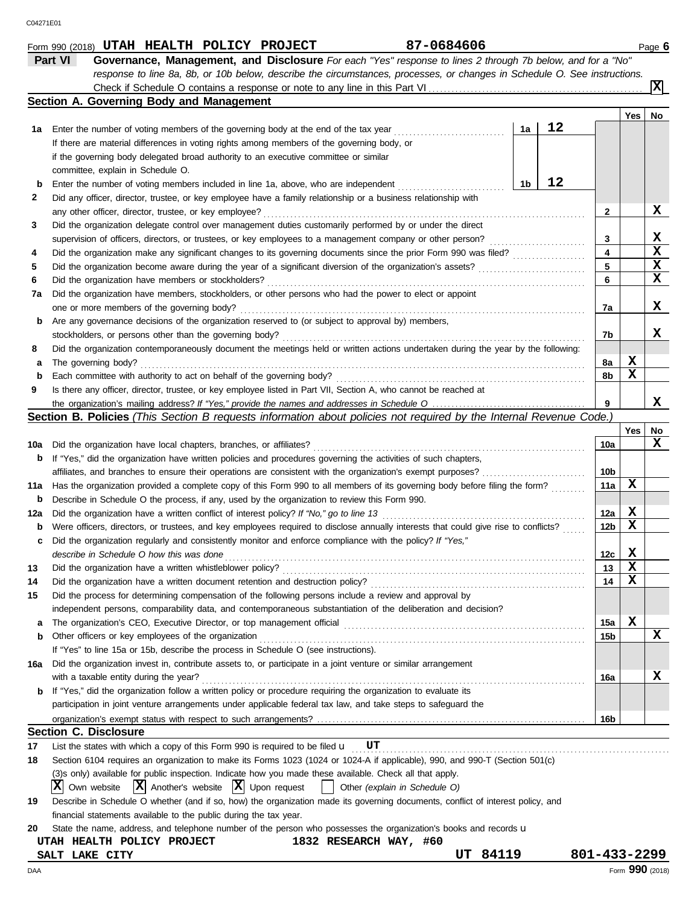|          | Part VI<br>Governance, Management, and Disclosure For each "Yes" response to lines 2 through 7b below, and for a "No"                                                                                                                            |    |    |              |             |                 |
|----------|--------------------------------------------------------------------------------------------------------------------------------------------------------------------------------------------------------------------------------------------------|----|----|--------------|-------------|-----------------|
|          | response to line 8a, 8b, or 10b below, describe the circumstances, processes, or changes in Schedule O. See instructions.                                                                                                                        |    |    |              |             |                 |
|          |                                                                                                                                                                                                                                                  |    |    |              |             | x               |
|          | Section A. Governing Body and Management                                                                                                                                                                                                         |    |    |              |             |                 |
|          |                                                                                                                                                                                                                                                  |    | 12 |              | <b>Yes</b>  | No              |
| 1а       | Enter the number of voting members of the governing body at the end of the tax year                                                                                                                                                              | 1a |    |              |             |                 |
|          | If there are material differences in voting rights among members of the governing body, or                                                                                                                                                       |    |    |              |             |                 |
|          | if the governing body delegated broad authority to an executive committee or similar                                                                                                                                                             |    |    |              |             |                 |
|          | committee, explain in Schedule O.                                                                                                                                                                                                                |    | 12 |              |             |                 |
| b        | Enter the number of voting members included in line 1a, above, who are independent                                                                                                                                                               | 1b |    |              |             |                 |
| 2        | Did any officer, director, trustee, or key employee have a family relationship or a business relationship with                                                                                                                                   |    |    |              |             |                 |
|          | any other officer, director, trustee, or key employee?                                                                                                                                                                                           |    |    | 2            |             | x               |
| 3        | Did the organization delegate control over management duties customarily performed by or under the direct                                                                                                                                        |    |    |              |             |                 |
|          | supervision of officers, directors, or trustees, or key employees to a management company or other person?                                                                                                                                       |    |    | 3            |             | X               |
| 4        |                                                                                                                                                                                                                                                  |    |    | 4            |             | $\mathbf x$     |
| 5        |                                                                                                                                                                                                                                                  |    |    | 5            |             | X               |
| 6        | Did the organization have members or stockholders?                                                                                                                                                                                               |    |    | 6            |             | X               |
| 7a       | Did the organization have members, stockholders, or other persons who had the power to elect or appoint                                                                                                                                          |    |    |              |             |                 |
|          | one or more members of the governing body?                                                                                                                                                                                                       |    |    | 7a           |             | x               |
| b        | Are any governance decisions of the organization reserved to (or subject to approval by) members,                                                                                                                                                |    |    |              |             |                 |
|          | stockholders, or persons other than the governing body?                                                                                                                                                                                          |    |    | 7b           |             | x               |
| 8        | Did the organization contemporaneously document the meetings held or written actions undertaken during the year by the following:                                                                                                                |    |    |              |             |                 |
| а        | The governing body?                                                                                                                                                                                                                              |    |    | 8а           | X           |                 |
| b        | Each committee with authority to act on behalf of the governing body?                                                                                                                                                                            |    |    | 8b           | X           |                 |
| 9        | Is there any officer, director, trustee, or key employee listed in Part VII, Section A, who cannot be reached at                                                                                                                                 |    |    |              |             |                 |
|          |                                                                                                                                                                                                                                                  |    |    | 9            |             | x               |
|          | Section B. Policies (This Section B requests information about policies not required by the Internal Revenue Code.)                                                                                                                              |    |    |              |             |                 |
|          |                                                                                                                                                                                                                                                  |    |    |              | Yes         | No<br>X         |
| 10a      | Did the organization have local chapters, branches, or affiliates?                                                                                                                                                                               |    |    | 10a          |             |                 |
| b        | If "Yes," did the organization have written policies and procedures governing the activities of such chapters,                                                                                                                                   |    |    |              |             |                 |
|          | affiliates, and branches to ensure their operations are consistent with the organization's exempt purposes?                                                                                                                                      |    |    | 10b          | х           |                 |
| 11a      | Has the organization provided a complete copy of this Form 990 to all members of its governing body before filing the form?                                                                                                                      |    |    | 11a          |             |                 |
| b        | Describe in Schedule O the process, if any, used by the organization to review this Form 990.                                                                                                                                                    |    |    |              | X           |                 |
| 12a      | Did the organization have a written conflict of interest policy? If "No," go to line 13                                                                                                                                                          |    |    | 12a          | X           |                 |
| b        | Were officers, directors, or trustees, and key employees required to disclose annually interests that could give rise to conflicts?<br>Did the organization regularly and consistently monitor and enforce compliance with the policy? If "Yes," |    |    | 12b          |             |                 |
| c        |                                                                                                                                                                                                                                                  |    |    |              | X           |                 |
|          | describe in Schedule O how this was done<br>Did the organization have a written whistleblower policy?                                                                                                                                            |    |    | 12c<br>13    | X           |                 |
| 13       |                                                                                                                                                                                                                                                  |    |    | 14           | $\mathbf x$ |                 |
| 14<br>15 | Did the organization have a written document retention and destruction policy?<br>Did the process for determining compensation of the following persons include a review and approval by                                                         |    |    |              |             |                 |
|          | independent persons, comparability data, and contemporaneous substantiation of the deliberation and decision?                                                                                                                                    |    |    |              |             |                 |
|          |                                                                                                                                                                                                                                                  |    |    |              | X           |                 |
| a<br>b   | Other officers or key employees of the organization                                                                                                                                                                                              |    |    | 15a<br>15b   |             | x               |
|          | If "Yes" to line 15a or 15b, describe the process in Schedule O (see instructions).                                                                                                                                                              |    |    |              |             |                 |
| 16a      | Did the organization invest in, contribute assets to, or participate in a joint venture or similar arrangement                                                                                                                                   |    |    |              |             |                 |
|          | with a taxable entity during the year?                                                                                                                                                                                                           |    |    | 16a          |             | x               |
| b        | If "Yes," did the organization follow a written policy or procedure requiring the organization to evaluate its                                                                                                                                   |    |    |              |             |                 |
|          | participation in joint venture arrangements under applicable federal tax law, and take steps to safeguard the                                                                                                                                    |    |    |              |             |                 |
|          |                                                                                                                                                                                                                                                  |    |    | 16b          |             |                 |
|          | <b>Section C. Disclosure</b>                                                                                                                                                                                                                     |    |    |              |             |                 |
| 17       | List the states with which a copy of this Form 990 is required to be filed $\mathbf{u}$ UT                                                                                                                                                       |    |    |              |             |                 |
| 18       | Section 6104 requires an organization to make its Forms 1023 (1024 or 1024-A if applicable), 990, and 990-T (Section 501(c)                                                                                                                      |    |    |              |             |                 |
|          | (3)s only) available for public inspection. Indicate how you made these available. Check all that apply.                                                                                                                                         |    |    |              |             |                 |
|          | $ X $ Own website $ X $ Another's website $ X $ Upon request<br>Other (explain in Schedule O)<br>$\perp$                                                                                                                                         |    |    |              |             |                 |
| 19       | Describe in Schedule O whether (and if so, how) the organization made its governing documents, conflict of interest policy, and                                                                                                                  |    |    |              |             |                 |
|          | financial statements available to the public during the tax year.                                                                                                                                                                                |    |    |              |             |                 |
| 20       | State the name, address, and telephone number of the person who possesses the organization's books and records u                                                                                                                                 |    |    |              |             |                 |
|          | 1832 RESEARCH WAY, #60<br>UTAH HEALTH POLICY PROJECT                                                                                                                                                                                             |    |    |              |             |                 |
|          | <b>UT 84119</b><br><b>SALT LAKE CITY</b>                                                                                                                                                                                                         |    |    | 801-433-2299 |             |                 |
| DAA      |                                                                                                                                                                                                                                                  |    |    |              |             | Form 990 (2018) |

Form 990 (2018) Page **6 UTAH HEALTH POLICY PROJECT 87-0684606**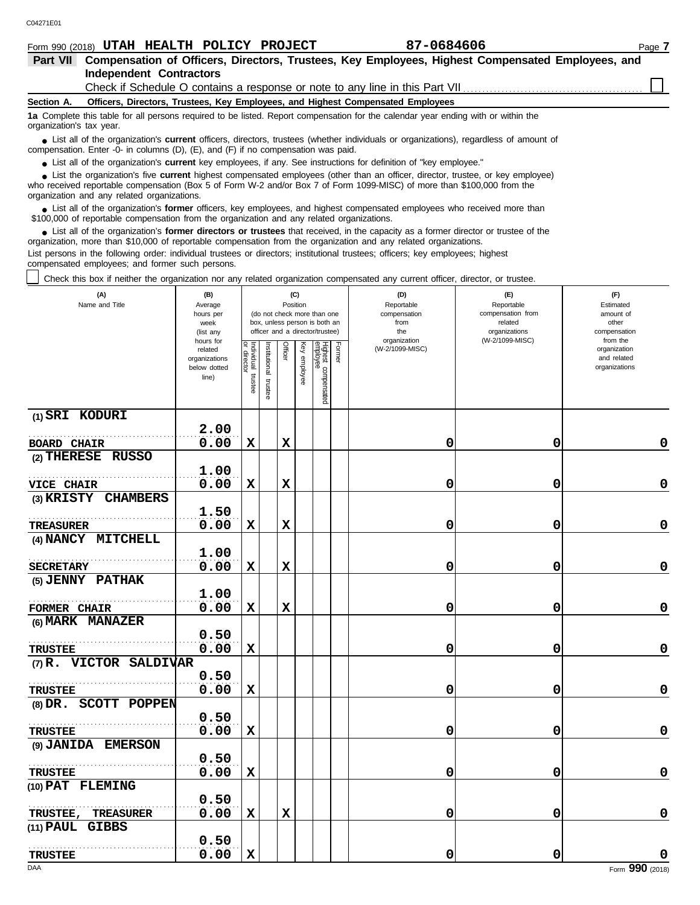|                          |                                                 | Form 990 (2018) UTAH HEALTH POLICY PROJECT                                                                      | 87-0684606                                                                                                                                                                                                                                                  | Page 7 |
|--------------------------|-------------------------------------------------|-----------------------------------------------------------------------------------------------------------------|-------------------------------------------------------------------------------------------------------------------------------------------------------------------------------------------------------------------------------------------------------------|--------|
| Part VII                 |                                                 |                                                                                                                 | Compensation of Officers, Directors, Trustees, Key Employees, Highest Compensated Employees, and                                                                                                                                                            |        |
|                          | <b>Independent Contractors</b>                  |                                                                                                                 |                                                                                                                                                                                                                                                             |        |
|                          |                                                 |                                                                                                                 |                                                                                                                                                                                                                                                             |        |
| Section A.               |                                                 |                                                                                                                 | Officers, Directors, Trustees, Key Employees, and Highest Compensated Employees                                                                                                                                                                             |        |
| organization's tax year. |                                                 |                                                                                                                 | 1a Complete this table for all persons required to be listed. Report compensation for the calendar year ending with or within the                                                                                                                           |        |
|                          |                                                 | compensation. Enter -0- in columns (D), (E), and (F) if no compensation was paid.                               | • List all of the organization's <b>current</b> officers, directors, trustees (whether individuals or organizations), regardless of amount of                                                                                                               |        |
|                          |                                                 |                                                                                                                 | • List all of the organization's current key employees, if any. See instructions for definition of "key employee."                                                                                                                                          |        |
|                          | organization and any related organizations.     |                                                                                                                 | • List the organization's five current highest compensated employees (other than an officer, director, trustee, or key employee)<br>who received reportable compensation (Box 5 of Form W-2 and/or Box 7 of Form 1099-MISC) of more than \$100,000 from the |        |
|                          |                                                 | \$100,000 of reportable compensation from the organization and any related organizations.                       | List all of the organization's former officers, key employees, and highest compensated employees who received more than                                                                                                                                     |        |
|                          |                                                 |                                                                                                                 | • List all of the organization's former directors or trustees that received, in the capacity as a former director or trustee of the<br>organization, more than \$10,000 of reportable compensation from the organization and any related organizations.     |        |
|                          | compensated employees; and former such persons. |                                                                                                                 | List persons in the following order: individual trustees or directors; institutional trustees; officers; key employees; highest                                                                                                                             |        |
|                          |                                                 | the contract of the contract of the contract of the contract of the contract of the contract of the contract of |                                                                                                                                                                                                                                                             |        |

Check this box if neither the organization nor any related organization compensated any current officer, director, or trustee.

| (A)<br>Name and Title                   | (B)<br>Average<br>hours per<br>week<br>(list any               |                                   |                         |             | (C)<br>Position | (do not check more than one<br>box, unless person is both an<br>officer and a director/trustee) |        | (D)<br>Reportable<br>compensation<br>from<br>the<br>organization | (E)<br>Reportable<br>compensation from<br>related<br>organizations<br>(W-2/1099-MISC) | (F)<br>Estimated<br>amount of<br>other<br>compensation<br>from the |  |
|-----------------------------------------|----------------------------------------------------------------|-----------------------------------|-------------------------|-------------|-----------------|-------------------------------------------------------------------------------------------------|--------|------------------------------------------------------------------|---------------------------------------------------------------------------------------|--------------------------------------------------------------------|--|
|                                         | hours for<br>related<br>organizations<br>below dotted<br>line) | Individual trustee<br>or director | nstitutional<br>trustee | Officer     | Key employee    | Highest compensated<br>employee                                                                 | Former | (W-2/1099-MISC)                                                  |                                                                                       | organization<br>and related<br>organizations                       |  |
| $(1)$ SRI KODURI                        |                                                                |                                   |                         |             |                 |                                                                                                 |        |                                                                  |                                                                                       |                                                                    |  |
|                                         | 2.00                                                           |                                   |                         |             |                 |                                                                                                 |        |                                                                  |                                                                                       |                                                                    |  |
| <b>BOARD CHAIR</b>                      | 0.00                                                           | $\mathbf x$                       |                         | $\mathbf x$ |                 |                                                                                                 |        | 0                                                                | 0                                                                                     | 0                                                                  |  |
| (2) THERESE RUSSO                       |                                                                |                                   |                         |             |                 |                                                                                                 |        |                                                                  |                                                                                       |                                                                    |  |
|                                         | 1.00                                                           |                                   |                         |             |                 |                                                                                                 |        |                                                                  |                                                                                       |                                                                    |  |
| <b>VICE CHAIR</b>                       | 0.00                                                           | X                                 |                         | X           |                 |                                                                                                 |        | 0                                                                | 0                                                                                     | 0                                                                  |  |
| $(3)$ KRISTY<br><b>CHAMBERS</b>         |                                                                |                                   |                         |             |                 |                                                                                                 |        |                                                                  |                                                                                       |                                                                    |  |
|                                         | 1.50                                                           |                                   |                         |             |                 |                                                                                                 |        |                                                                  |                                                                                       |                                                                    |  |
| <b>TREASURER</b>                        | 0.00                                                           | X                                 |                         | $\mathbf x$ |                 |                                                                                                 |        | 0                                                                | 0                                                                                     | $\mathbf 0$                                                        |  |
| (4) NANCY MITCHELL                      |                                                                |                                   |                         |             |                 |                                                                                                 |        |                                                                  |                                                                                       |                                                                    |  |
|                                         | 1.00                                                           |                                   |                         |             |                 |                                                                                                 |        |                                                                  |                                                                                       |                                                                    |  |
| <b>SECRETARY</b>                        | 0.00                                                           | $\mathbf x$                       |                         | $\mathbf x$ |                 |                                                                                                 |        | 0                                                                | 0                                                                                     | 0                                                                  |  |
| (5) JENNY PATHAK                        |                                                                |                                   |                         |             |                 |                                                                                                 |        |                                                                  |                                                                                       |                                                                    |  |
|                                         | 1.00<br>0.00                                                   | X                                 |                         | X           |                 |                                                                                                 |        | 0                                                                | 0                                                                                     | 0                                                                  |  |
| <b>FORMER CHAIR</b><br>(6) MARK MANAZER |                                                                |                                   |                         |             |                 |                                                                                                 |        |                                                                  |                                                                                       |                                                                    |  |
|                                         | 0.50                                                           |                                   |                         |             |                 |                                                                                                 |        |                                                                  |                                                                                       |                                                                    |  |
| <b>TRUSTEE</b>                          | 0.00                                                           | $\mathbf x$                       |                         |             |                 |                                                                                                 |        | 0                                                                | 0                                                                                     | 0                                                                  |  |
| (7) R. VICTOR SALDIVAR                  |                                                                |                                   |                         |             |                 |                                                                                                 |        |                                                                  |                                                                                       |                                                                    |  |
|                                         | 0.50                                                           |                                   |                         |             |                 |                                                                                                 |        |                                                                  |                                                                                       |                                                                    |  |
| <b>TRUSTEE</b>                          | 0.00                                                           | $\mathbf x$                       |                         |             |                 |                                                                                                 |        | 0                                                                | 0                                                                                     | $\mathbf 0$                                                        |  |
| (8) DR. SCOTT POPPEN                    |                                                                |                                   |                         |             |                 |                                                                                                 |        |                                                                  |                                                                                       |                                                                    |  |
|                                         | 0.50                                                           |                                   |                         |             |                 |                                                                                                 |        |                                                                  |                                                                                       |                                                                    |  |
| <b>TRUSTEE</b>                          | 0.00                                                           | X                                 |                         |             |                 |                                                                                                 |        | 0                                                                | 0                                                                                     | 0                                                                  |  |
| (9) JANIDA EMERSON                      |                                                                |                                   |                         |             |                 |                                                                                                 |        |                                                                  |                                                                                       |                                                                    |  |
|                                         | 0.50                                                           |                                   |                         |             |                 |                                                                                                 |        |                                                                  |                                                                                       |                                                                    |  |
| <b>TRUSTEE</b>                          | 0.00                                                           | X                                 |                         |             |                 |                                                                                                 |        | 0                                                                | 0                                                                                     | 0                                                                  |  |
| (10) PAT FLEMING                        |                                                                |                                   |                         |             |                 |                                                                                                 |        |                                                                  |                                                                                       |                                                                    |  |
|                                         | 0.50                                                           |                                   |                         |             |                 |                                                                                                 |        |                                                                  |                                                                                       |                                                                    |  |
| <b>TREASURER</b><br><b>TRUSTEE,</b>     | 0.00                                                           | $\mathbf x$                       |                         | $\mathbf x$ |                 |                                                                                                 |        | 0                                                                | 0                                                                                     | $\mathbf 0$                                                        |  |
| (11) PAUL GIBBS                         |                                                                |                                   |                         |             |                 |                                                                                                 |        |                                                                  |                                                                                       |                                                                    |  |
|                                         | 0.50                                                           |                                   |                         |             |                 |                                                                                                 |        |                                                                  |                                                                                       |                                                                    |  |
| <b>TRUSTEE</b>                          | 0.00                                                           | $\mathbf x$                       |                         |             |                 |                                                                                                 |        | 0                                                                | 0                                                                                     | $\mathbf 0$                                                        |  |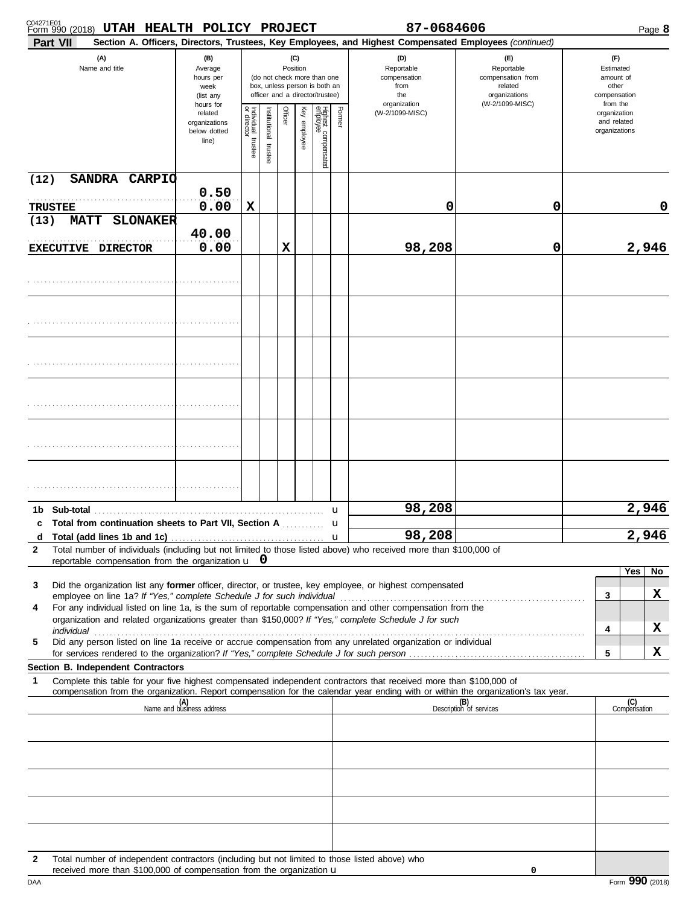| C04271E01<br>Form 990 (2018) UTAH HEALTH POLICY PROJECT<br>Part VII                                                                                                                                                                                         |                                                                |                                   |                                                                                                                    |         |              |                                 |                   | 87-0684606<br>Section A. Officers, Directors, Trustees, Key Employees, and Highest Compensated Employees (continued) |                                                                                       |                                                                    | Page 8 |
|-------------------------------------------------------------------------------------------------------------------------------------------------------------------------------------------------------------------------------------------------------------|----------------------------------------------------------------|-----------------------------------|--------------------------------------------------------------------------------------------------------------------|---------|--------------|---------------------------------|-------------------|----------------------------------------------------------------------------------------------------------------------|---------------------------------------------------------------------------------------|--------------------------------------------------------------------|--------|
| (A)<br>Name and title                                                                                                                                                                                                                                       | (B)<br>Average<br>hours per<br>week<br>(list any               |                                   | (C)<br>Position<br>(do not check more than one<br>box, unless person is both an<br>officer and a director/trustee) |         |              |                                 |                   | (D)<br>Reportable<br>compensation<br>from<br>the<br>organization                                                     | (E)<br>Reportable<br>compensation from<br>related<br>organizations<br>(W-2/1099-MISC) | (F)<br>Estimated<br>amount of<br>other<br>compensation<br>from the |        |
|                                                                                                                                                                                                                                                             | hours for<br>related<br>organizations<br>below dotted<br>line) | Individual trustee<br>or director | nstitutional<br>trustee                                                                                            | Officer | Key employee | Highest compensated<br>employee | Former            | (W-2/1099-MISC)                                                                                                      |                                                                                       | organization<br>and related<br>organizations                       |        |
| (12)<br>SANDRA CARPIO                                                                                                                                                                                                                                       | 0.50                                                           |                                   |                                                                                                                    |         |              |                                 |                   |                                                                                                                      |                                                                                       |                                                                    |        |
| <b>TRUSTEE</b>                                                                                                                                                                                                                                              | 0.00                                                           | х                                 |                                                                                                                    |         |              |                                 |                   | 0                                                                                                                    | 0                                                                                     |                                                                    | 0      |
| (13)<br><b>MATT</b><br><b>SLONAKER</b><br>EXECUTIVE DIRECTOR                                                                                                                                                                                                | 40.00<br>0.00                                                  |                                   |                                                                                                                    | х       |              |                                 |                   | 98,208                                                                                                               | 0                                                                                     |                                                                    | 2,946  |
|                                                                                                                                                                                                                                                             |                                                                |                                   |                                                                                                                    |         |              |                                 |                   |                                                                                                                      |                                                                                       |                                                                    |        |
|                                                                                                                                                                                                                                                             |                                                                |                                   |                                                                                                                    |         |              |                                 |                   |                                                                                                                      |                                                                                       |                                                                    |        |
|                                                                                                                                                                                                                                                             |                                                                |                                   |                                                                                                                    |         |              |                                 |                   |                                                                                                                      |                                                                                       |                                                                    |        |
|                                                                                                                                                                                                                                                             |                                                                |                                   |                                                                                                                    |         |              |                                 |                   |                                                                                                                      |                                                                                       |                                                                    |        |
|                                                                                                                                                                                                                                                             |                                                                |                                   |                                                                                                                    |         |              |                                 |                   |                                                                                                                      |                                                                                       |                                                                    |        |
|                                                                                                                                                                                                                                                             |                                                                |                                   |                                                                                                                    |         |              |                                 |                   |                                                                                                                      |                                                                                       |                                                                    |        |
| Sub-total<br>1b.<br>c Total from continuation sheets to Part VII, Section A                                                                                                                                                                                 |                                                                |                                   |                                                                                                                    |         |              |                                 | u                 | 98,208                                                                                                               |                                                                                       |                                                                    | 2,946  |
| d<br>Total number of individuals (including but not limited to those listed above) who received more than \$100,000 of<br>$\mathbf{2}$                                                                                                                      |                                                                |                                   |                                                                                                                    |         |              |                                 | u<br>$\mathbf{u}$ | 98,208                                                                                                               |                                                                                       |                                                                    | 2,946  |
| reportable compensation from the organization $\mathbf{u}$ 0                                                                                                                                                                                                |                                                                |                                   |                                                                                                                    |         |              |                                 |                   |                                                                                                                      |                                                                                       | Yes                                                                | No     |
| Did the organization list any former officer, director, or trustee, key employee, or highest compensated<br>3                                                                                                                                               |                                                                |                                   |                                                                                                                    |         |              |                                 |                   |                                                                                                                      |                                                                                       | 3                                                                  | X      |
| For any individual listed on line 1a, is the sum of reportable compensation and other compensation from the<br>4<br>organization and related organizations greater than \$150,000? If "Yes," complete Schedule J for such                                   |                                                                |                                   |                                                                                                                    |         |              |                                 |                   |                                                                                                                      |                                                                                       | 4                                                                  | X      |
| Did any person listed on line 1a receive or accrue compensation from any unrelated organization or individual<br>5                                                                                                                                          |                                                                |                                   |                                                                                                                    |         |              |                                 |                   |                                                                                                                      |                                                                                       | 5                                                                  | x      |
| Section B. Independent Contractors                                                                                                                                                                                                                          |                                                                |                                   |                                                                                                                    |         |              |                                 |                   |                                                                                                                      |                                                                                       |                                                                    |        |
| Complete this table for your five highest compensated independent contractors that received more than \$100,000 of<br>1<br>compensation from the organization. Report compensation for the calendar year ending with or within the organization's tax year. |                                                                |                                   |                                                                                                                    |         |              |                                 |                   |                                                                                                                      |                                                                                       |                                                                    |        |
|                                                                                                                                                                                                                                                             | (A)<br>Name and business address                               |                                   |                                                                                                                    |         |              |                                 |                   |                                                                                                                      | (B)<br>Description of services                                                        | (C)<br>Compensation                                                |        |
|                                                                                                                                                                                                                                                             |                                                                |                                   |                                                                                                                    |         |              |                                 |                   |                                                                                                                      |                                                                                       |                                                                    |        |
|                                                                                                                                                                                                                                                             |                                                                |                                   |                                                                                                                    |         |              |                                 |                   |                                                                                                                      |                                                                                       |                                                                    |        |
|                                                                                                                                                                                                                                                             |                                                                |                                   |                                                                                                                    |         |              |                                 |                   |                                                                                                                      |                                                                                       |                                                                    |        |
|                                                                                                                                                                                                                                                             |                                                                |                                   |                                                                                                                    |         |              |                                 |                   |                                                                                                                      |                                                                                       |                                                                    |        |
|                                                                                                                                                                                                                                                             |                                                                |                                   |                                                                                                                    |         |              |                                 |                   |                                                                                                                      |                                                                                       |                                                                    |        |
| Total number of independent contractors (including but not limited to those listed above) who<br>2<br>received more than \$100,000 of compensation from the organization $\mathbf u$                                                                        |                                                                |                                   |                                                                                                                    |         |              |                                 |                   |                                                                                                                      | 0                                                                                     |                                                                    |        |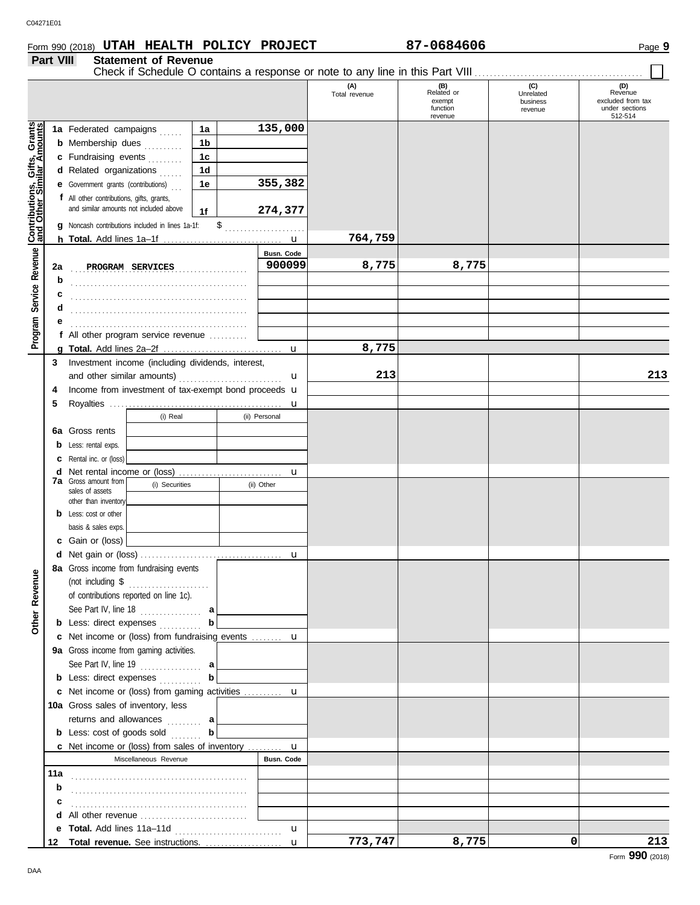## Form 990 (2018) Page **9 UTAH HEALTH POLICY PROJECT 87-0684606**

## **Part VIII Statement of Revenue**

|                                                                  |     |                                           |                                                                    |    |                      | (A)<br>Total revenue | (B)<br>Related or<br>exempt<br>function<br>revenue | (C)<br>Unrelated<br>business<br>revenue | (D)<br>Revenue<br>excluded from tax<br>under sections<br>512-514 |
|------------------------------------------------------------------|-----|-------------------------------------------|--------------------------------------------------------------------|----|----------------------|----------------------|----------------------------------------------------|-----------------------------------------|------------------------------------------------------------------|
|                                                                  |     | 1a Federated campaigns                    |                                                                    | 1a | 135,000              |                      |                                                    |                                         |                                                                  |
|                                                                  |     | <b>b</b> Membership dues                  |                                                                    | 1b |                      |                      |                                                    |                                         |                                                                  |
|                                                                  |     | c Fundraising events                      | .                                                                  | 1c |                      |                      |                                                    |                                         |                                                                  |
|                                                                  |     | d Related organizations                   |                                                                    | 1d |                      |                      |                                                    |                                         |                                                                  |
|                                                                  |     |                                           |                                                                    |    | 355,382              |                      |                                                    |                                         |                                                                  |
|                                                                  |     | e Government grants (contributions)       |                                                                    | 1e |                      |                      |                                                    |                                         |                                                                  |
|                                                                  |     | f All other contributions, gifts, grants, | and similar amounts not included above                             |    |                      |                      |                                                    |                                         |                                                                  |
|                                                                  |     |                                           |                                                                    | 1f | 274,377              |                      |                                                    |                                         |                                                                  |
| <b>Contributions, Gifts, Grants</b><br>and Other Similar Amounts |     |                                           | Noncash contributions included in lines 1a-1f:                     | \$ | .                    |                      |                                                    |                                         |                                                                  |
|                                                                  |     |                                           |                                                                    |    |                      | 764,759              |                                                    |                                         |                                                                  |
| Service Revenue                                                  |     |                                           |                                                                    |    | Busn. Code<br>900099 | 8,775                | 8,775                                              |                                         |                                                                  |
|                                                                  | 2a  |                                           | PROGRAM SERVICES                                                   |    |                      |                      |                                                    |                                         |                                                                  |
|                                                                  | b   |                                           |                                                                    |    |                      |                      |                                                    |                                         |                                                                  |
|                                                                  |     |                                           |                                                                    |    |                      |                      |                                                    |                                         |                                                                  |
|                                                                  |     |                                           |                                                                    |    |                      |                      |                                                    |                                         |                                                                  |
|                                                                  |     |                                           |                                                                    |    |                      |                      |                                                    |                                         |                                                                  |
| Program                                                          |     |                                           | f All other program service revenue                                |    |                      |                      |                                                    |                                         |                                                                  |
|                                                                  |     |                                           |                                                                    |    | $\mathbf{u}$         | 8,775                |                                                    |                                         |                                                                  |
|                                                                  | 3   |                                           | Investment income (including dividends, interest,                  |    |                      |                      |                                                    |                                         |                                                                  |
|                                                                  |     |                                           |                                                                    |    | $\mathbf u$          | 213                  |                                                    |                                         | 213                                                              |
|                                                                  | 4   |                                           | Income from investment of tax-exempt bond proceeds u               |    |                      |                      |                                                    |                                         |                                                                  |
|                                                                  | 5   |                                           |                                                                    |    |                      |                      |                                                    |                                         |                                                                  |
|                                                                  |     |                                           | (i) Real                                                           |    | (ii) Personal        |                      |                                                    |                                         |                                                                  |
|                                                                  |     | <b>6a</b> Gross rents                     |                                                                    |    |                      |                      |                                                    |                                         |                                                                  |
|                                                                  |     | <b>b</b> Less: rental exps.               |                                                                    |    |                      |                      |                                                    |                                         |                                                                  |
|                                                                  | c   | Rental inc. or (loss)                     |                                                                    |    |                      |                      |                                                    |                                         |                                                                  |
|                                                                  | d   | <b>7a</b> Gross amount from               |                                                                    |    | u                    |                      |                                                    |                                         |                                                                  |
|                                                                  |     | sales of assets                           | (i) Securities                                                     |    | (ii) Other           |                      |                                                    |                                         |                                                                  |
|                                                                  |     | other than inventory                      |                                                                    |    |                      |                      |                                                    |                                         |                                                                  |
|                                                                  |     | <b>b</b> Less: cost or other              |                                                                    |    |                      |                      |                                                    |                                         |                                                                  |
|                                                                  |     | basis & sales exps.                       |                                                                    |    |                      |                      |                                                    |                                         |                                                                  |
|                                                                  |     | c Gain or (loss)                          |                                                                    |    |                      |                      |                                                    |                                         |                                                                  |
|                                                                  |     |                                           |                                                                    |    | $\mathbf u$          |                      |                                                    |                                         |                                                                  |
| $\mathbf{Q}$                                                     |     |                                           | 8a Gross income from fundraising events                            |    |                      |                      |                                                    |                                         |                                                                  |
|                                                                  |     | (not including \$                         | .                                                                  |    |                      |                      |                                                    |                                         |                                                                  |
|                                                                  |     |                                           | of contributions reported on line 1c).                             |    |                      |                      |                                                    |                                         |                                                                  |
| Other Revenu                                                     |     |                                           | See Part IV, line 18 $\ldots$ a                                    |    |                      |                      |                                                    |                                         |                                                                  |
|                                                                  |     |                                           | <b>b</b> Less: direct expenses                                     |    |                      |                      |                                                    |                                         |                                                                  |
|                                                                  |     |                                           | c Net income or (loss) from fundraising events  u                  |    |                      |                      |                                                    |                                         |                                                                  |
|                                                                  |     |                                           | 9a Gross income from gaming activities.                            |    |                      |                      |                                                    |                                         |                                                                  |
|                                                                  |     |                                           | See Part IV, line 19 $\ldots$ a                                    |    |                      |                      |                                                    |                                         |                                                                  |
|                                                                  |     |                                           | <b>b</b> Less: direct expenses                                     | b  |                      |                      |                                                    |                                         |                                                                  |
|                                                                  |     |                                           | <b>c</b> Net income or (loss) from gaming activities <b>u</b>      |    |                      |                      |                                                    |                                         |                                                                  |
|                                                                  |     |                                           | 10a Gross sales of inventory, less                                 |    |                      |                      |                                                    |                                         |                                                                  |
|                                                                  |     |                                           | returns and allowances  a                                          |    |                      |                      |                                                    |                                         |                                                                  |
|                                                                  |     | <b>b</b> Less: cost of goods sold         |                                                                    | b  |                      |                      |                                                    |                                         |                                                                  |
|                                                                  |     |                                           | <b>c</b> Net income or (loss) from sales of inventory $\mathbf{u}$ |    |                      |                      |                                                    |                                         |                                                                  |
|                                                                  |     |                                           | Miscellaneous Revenue                                              |    | Busn. Code           |                      |                                                    |                                         |                                                                  |
|                                                                  | 11a |                                           |                                                                    |    |                      |                      |                                                    |                                         |                                                                  |
|                                                                  | b   |                                           |                                                                    |    |                      |                      |                                                    |                                         |                                                                  |
|                                                                  | с   |                                           |                                                                    |    |                      |                      |                                                    |                                         |                                                                  |
|                                                                  | d   |                                           | All other revenue                                                  |    |                      |                      |                                                    |                                         |                                                                  |
|                                                                  |     |                                           |                                                                    |    | u                    |                      |                                                    |                                         |                                                                  |
|                                                                  | 12  |                                           |                                                                    |    |                      | 773,747              | 8,775                                              | $\mathbf{0}$                            | 213                                                              |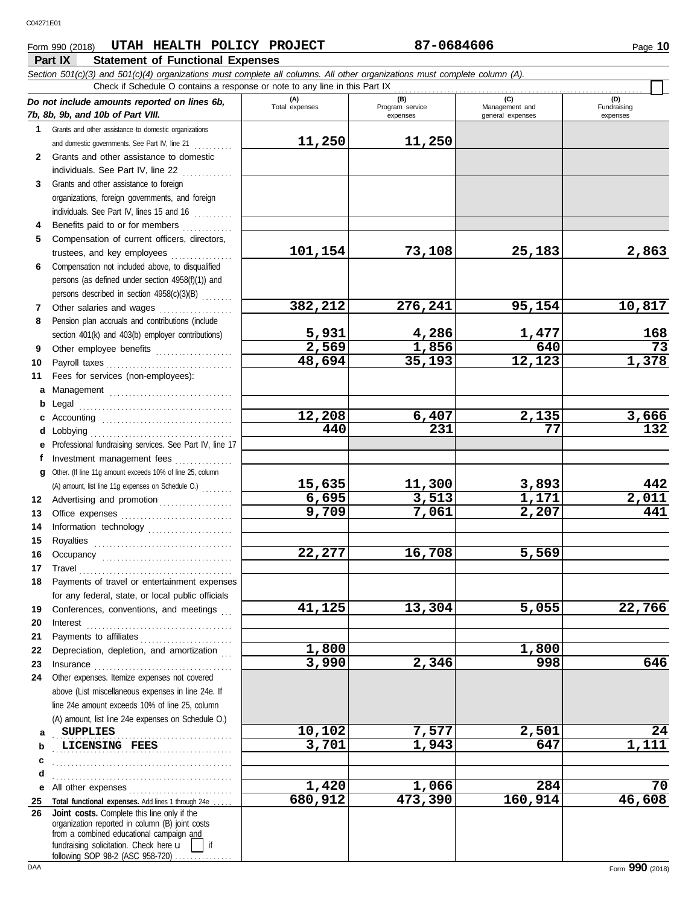## **Part IX Statement of Functional Expenses** Form 990 (2018) Page **10 UTAH HEALTH POLICY PROJECT 87-0684606**

|              | Section 501(c)(3) and 501(c)(4) organizations must complete all columns. All other organizations must complete column (A).<br>Check if Schedule O contains a response or note to any line in this Part IX |                       |                             |                                    |                         |
|--------------|-----------------------------------------------------------------------------------------------------------------------------------------------------------------------------------------------------------|-----------------------|-----------------------------|------------------------------------|-------------------------|
|              | Do not include amounts reported on lines 6b,                                                                                                                                                              | (A)                   | (B)                         | (C)                                | (D)                     |
|              | 7b, 8b, 9b, and 10b of Part VIII.                                                                                                                                                                         | Total expenses        | Program service<br>expenses | Management and<br>general expenses | Fundraising<br>expenses |
|              | 1 Grants and other assistance to domestic organizations                                                                                                                                                   |                       |                             |                                    |                         |
|              | and domestic governments. See Part IV, line 21                                                                                                                                                            | 11,250                | 11,250                      |                                    |                         |
| $\mathbf{2}$ | Grants and other assistance to domestic                                                                                                                                                                   |                       |                             |                                    |                         |
|              | individuals. See Part IV, line 22                                                                                                                                                                         |                       |                             |                                    |                         |
| 3            | Grants and other assistance to foreign                                                                                                                                                                    |                       |                             |                                    |                         |
|              | organizations, foreign governments, and foreign                                                                                                                                                           |                       |                             |                                    |                         |
|              | individuals. See Part IV, lines 15 and 16                                                                                                                                                                 |                       |                             |                                    |                         |
| 4            | Benefits paid to or for members                                                                                                                                                                           |                       |                             |                                    |                         |
| 5            | Compensation of current officers, directors,                                                                                                                                                              |                       |                             |                                    |                         |
|              | trustees, and key employees                                                                                                                                                                               | 101,154               | 73,108                      | 25,183                             | 2,863                   |
| 6            | Compensation not included above, to disqualified                                                                                                                                                          |                       |                             |                                    |                         |
|              | persons (as defined under section 4958(f)(1)) and                                                                                                                                                         |                       |                             |                                    |                         |
|              | persons described in section 4958(c)(3)(B)                                                                                                                                                                |                       |                             |                                    |                         |
| 7            | Other salaries and wages                                                                                                                                                                                  | 382,212               | 276,241                     | 95,154                             | 10,817                  |
| 8            | Pension plan accruals and contributions (include                                                                                                                                                          |                       |                             |                                    |                         |
|              | section 401(k) and 403(b) employer contributions)                                                                                                                                                         | $\frac{5,931}{2,569}$ | 4,286                       | $\frac{1,477}{640}$                | 168                     |
| 9            | Other employee benefits                                                                                                                                                                                   |                       | 1,856                       |                                    | $\overline{73}$         |
| 10           |                                                                                                                                                                                                           | 48,694                | 35,193                      | 12,123                             | 1,378                   |
| 11           | Fees for services (non-employees):                                                                                                                                                                        |                       |                             |                                    |                         |
| a            |                                                                                                                                                                                                           |                       |                             |                                    |                         |
| b            | Legal                                                                                                                                                                                                     | 12,208                | 6,407                       | 2,135                              | 3,666                   |
| c            | Lobbying                                                                                                                                                                                                  | 440                   | 231                         | 77                                 | $\overline{132}$        |
| d<br>е       | Professional fundraising services. See Part IV, line 17                                                                                                                                                   |                       |                             |                                    |                         |
| f            | Investment management fees                                                                                                                                                                                |                       |                             |                                    |                         |
| q            | Other. (If line 11g amount exceeds 10% of line 25, column                                                                                                                                                 |                       |                             |                                    |                         |
|              | (A) amount, list line 11g expenses on Schedule O.)                                                                                                                                                        | 15,635                | 11,300                      | 3,893                              | 442                     |
| 12           | Advertising and promotion                                                                                                                                                                                 | 6,695                 | 3,513                       | 1,171                              | $\overline{2,011}$      |
| 13           |                                                                                                                                                                                                           | 9,709                 | 7,061                       | 2,207                              | 441                     |
| 14           | Information technology                                                                                                                                                                                    |                       |                             |                                    |                         |
| 15           | Royalties                                                                                                                                                                                                 |                       |                             |                                    |                         |
| 16           |                                                                                                                                                                                                           | 22,277                | 16,708                      | 5,569                              |                         |
| 17           | Travel                                                                                                                                                                                                    |                       |                             |                                    |                         |
| 18           | Payments of travel or entertainment expenses                                                                                                                                                              |                       |                             |                                    |                         |
|              | for any federal, state, or local public officials                                                                                                                                                         |                       |                             |                                    |                         |
| 19           | Conferences, conventions, and meetings                                                                                                                                                                    | 41,125                | 13,304                      | 5,055                              | 22,766                  |
| 20           | Interest                                                                                                                                                                                                  |                       |                             |                                    |                         |
| 21           | Payments to affiliates                                                                                                                                                                                    |                       |                             |                                    |                         |
| 22           | Depreciation, depletion, and amortization                                                                                                                                                                 | 1,800                 |                             | 1,800                              |                         |
| 23           |                                                                                                                                                                                                           | 3,990                 | 2,346                       | 998                                | 646                     |
| 24           | Other expenses. Itemize expenses not covered                                                                                                                                                              |                       |                             |                                    |                         |
|              | above (List miscellaneous expenses in line 24e. If                                                                                                                                                        |                       |                             |                                    |                         |
|              | line 24e amount exceeds 10% of line 25, column                                                                                                                                                            |                       |                             |                                    |                         |
|              | (A) amount, list line 24e expenses on Schedule O.)                                                                                                                                                        |                       |                             |                                    | 24                      |
| a            | <b>SUPPLIES</b>                                                                                                                                                                                           | 10,102<br>3,701       | 7,577<br>1,943              | 2,501<br>647                       | 1,111                   |
| b            | LICENSING FEES                                                                                                                                                                                            |                       |                             |                                    |                         |
| c            |                                                                                                                                                                                                           |                       |                             |                                    |                         |
| d<br>е       | All other expenses                                                                                                                                                                                        | 1,420                 | 1,066                       | 284                                | 70                      |
| 25           | Total functional expenses. Add lines 1 through 24e                                                                                                                                                        | 680,912               | 473,390                     | 160,914                            | 46,608                  |
| 26           | Joint costs. Complete this line only if the                                                                                                                                                               |                       |                             |                                    |                         |
|              | organization reported in column (B) joint costs                                                                                                                                                           |                       |                             |                                    |                         |
|              | from a combined educational campaign and<br>fundraising solicitation. Check here u<br>if                                                                                                                  |                       |                             |                                    |                         |
|              | following SOP 98-2 (ASC 958-720)                                                                                                                                                                          |                       |                             |                                    |                         |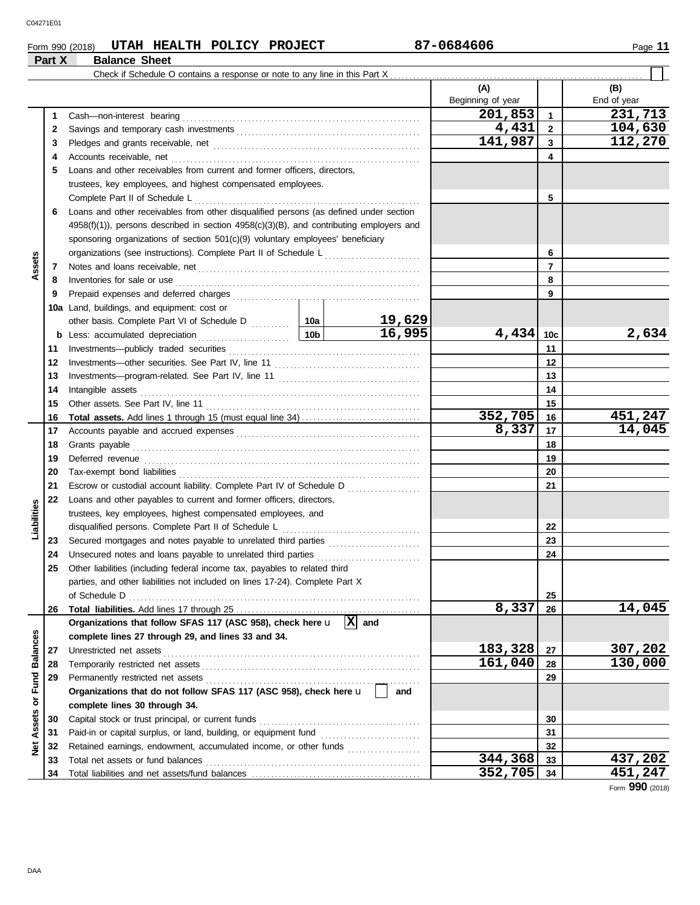**Part X Balance Sheet**

### **Form 990 (2018) UTAH HEALTH POLICY PROJECT 87-0684606**

|                 |          | Check if Schedule O contains a response or note to any line in this Part X                                                                                                                                                                                                 |              |         |                   |                |             |
|-----------------|----------|----------------------------------------------------------------------------------------------------------------------------------------------------------------------------------------------------------------------------------------------------------------------------|--------------|---------|-------------------|----------------|-------------|
|                 |          |                                                                                                                                                                                                                                                                            |              |         | (A)               |                | (B)         |
|                 |          |                                                                                                                                                                                                                                                                            |              |         | Beginning of year |                | End of year |
|                 | 1        |                                                                                                                                                                                                                                                                            |              |         | 201,853           | $\mathbf{1}$   | 231,713     |
|                 | 2        |                                                                                                                                                                                                                                                                            |              |         | 4,431             | $\overline{2}$ | 104,630     |
|                 | 3        |                                                                                                                                                                                                                                                                            |              |         | 141,987           | 3              | 112,270     |
|                 | 4        |                                                                                                                                                                                                                                                                            |              |         |                   | 4              |             |
|                 | 5        | Loans and other receivables from current and former officers, directors,                                                                                                                                                                                                   |              |         |                   |                |             |
|                 |          | trustees, key employees, and highest compensated employees.                                                                                                                                                                                                                |              |         |                   |                |             |
|                 |          |                                                                                                                                                                                                                                                                            |              |         |                   | 5              |             |
|                 | 6        | Loans and other receivables from other disqualified persons (as defined under section                                                                                                                                                                                      |              |         |                   |                |             |
|                 |          | $4958(f)(1)$ , persons described in section $4958(c)(3)(B)$ , and contributing employers and                                                                                                                                                                               |              |         |                   |                |             |
|                 |          | sponsoring organizations of section 501(c)(9) voluntary employees' beneficiary                                                                                                                                                                                             |              |         |                   |                |             |
|                 |          | organizations (see instructions). Complete Part II of Schedule L                                                                                                                                                                                                           |              |         |                   | 6              |             |
| Assets          | 7        | Notes and loans receivable, net <b>contained and contained and loans</b> receivable, net                                                                                                                                                                                   |              |         |                   | 7              |             |
|                 | 8        | Inventories for sale or use <i>communication</i> and <i>members</i> for sale or use <i>communication</i> and <i>members</i> for sale or use <i>communication</i> and <i>members</i> for sale or use <i>communication</i> and <i>members</i> for sale or use <i>members</i> |              |         |                   | 8              |             |
|                 | 9        |                                                                                                                                                                                                                                                                            |              |         |                   | 9              |             |
|                 |          | <b>10a</b> Land, buildings, and equipment: cost or                                                                                                                                                                                                                         |              |         |                   |                |             |
|                 |          |                                                                                                                                                                                                                                                                            |              | 19,629  |                   |                |             |
|                 |          | <u>  10b</u><br><b>b</b> Less: accumulated depreciation                                                                                                                                                                                                                    |              | 16,995  | 4,434             | 10c            | 2,634       |
|                 | 11       |                                                                                                                                                                                                                                                                            |              |         |                   | 11             |             |
|                 | 12       |                                                                                                                                                                                                                                                                            |              |         |                   | 12             |             |
|                 | 13       |                                                                                                                                                                                                                                                                            |              | 13      |                   |                |             |
|                 | 14       |                                                                                                                                                                                                                                                                            |              | 14      |                   |                |             |
|                 | 15       |                                                                                                                                                                                                                                                                            |              |         |                   | 15             |             |
|                 | 16       |                                                                                                                                                                                                                                                                            |              |         | 352,705           | 16             | 451,247     |
|                 | 17       |                                                                                                                                                                                                                                                                            |              | 8,337   | 17                | 14,045         |             |
|                 | 18       |                                                                                                                                                                                                                                                                            |              |         |                   | 18             |             |
|                 | 19       |                                                                                                                                                                                                                                                                            |              |         |                   | 19             |             |
|                 | 20       |                                                                                                                                                                                                                                                                            |              |         |                   | 20             |             |
|                 | 21<br>22 | Escrow or custodial account liability. Complete Part IV of Schedule D                                                                                                                                                                                                      |              |         |                   | 21             |             |
| Liabilities     |          | Loans and other payables to current and former officers, directors,<br>trustees, key employees, highest compensated employees, and                                                                                                                                         |              |         |                   |                |             |
|                 |          |                                                                                                                                                                                                                                                                            |              |         |                   | 22             |             |
|                 | 23       |                                                                                                                                                                                                                                                                            |              |         |                   | 23             |             |
|                 | 24       | Unsecured notes and loans payable to unrelated third parties                                                                                                                                                                                                               |              |         |                   | 24             |             |
|                 | 25       | Other liabilities (including federal income tax, payables to related third                                                                                                                                                                                                 |              |         |                   |                |             |
|                 |          | parties, and other liabilities not included on lines 17-24). Complete Part X                                                                                                                                                                                               |              |         |                   |                |             |
|                 |          | of Schedule D                                                                                                                                                                                                                                                              |              |         |                   | 25             |             |
|                 | 26       |                                                                                                                                                                                                                                                                            |              |         | 8,337             | 26             | 14,045      |
|                 |          | Organizations that follow SFAS 117 (ASC 958), check here u                                                                                                                                                                                                                 | $\mathbf{x}$ | and     |                   |                |             |
|                 |          | complete lines 27 through 29, and lines 33 and 34.                                                                                                                                                                                                                         |              |         |                   |                |             |
| <b>Balances</b> | 27       | Unrestricted net assets                                                                                                                                                                                                                                                    |              |         | 183,328           | 27             | 307,202     |
|                 | 28       |                                                                                                                                                                                                                                                                            |              | 161,040 | 28                | 130,000        |             |
| or Fund         | 29       |                                                                                                                                                                                                                                                                            |              |         |                   | 29             |             |
|                 |          | Organizations that do not follow SFAS 117 (ASC 958), check here u                                                                                                                                                                                                          |              | and     |                   |                |             |
|                 |          | complete lines 30 through 34.                                                                                                                                                                                                                                              |              |         |                   |                |             |
| Assets          | 30       | Capital stock or trust principal, or current funds                                                                                                                                                                                                                         |              |         |                   | 30             |             |
|                 | 31       |                                                                                                                                                                                                                                                                            |              |         | 31                |                |             |
| ğ               | 32       | Retained earnings, endowment, accumulated income, or other funds                                                                                                                                                                                                           |              |         |                   | 32             |             |
|                 | 33       | Total net assets or fund balances                                                                                                                                                                                                                                          |              |         | 344,368           | 33             | 437,202     |
|                 | 34       |                                                                                                                                                                                                                                                                            |              |         | 352,705           | 34             | 451,247     |

Form **990** (2018)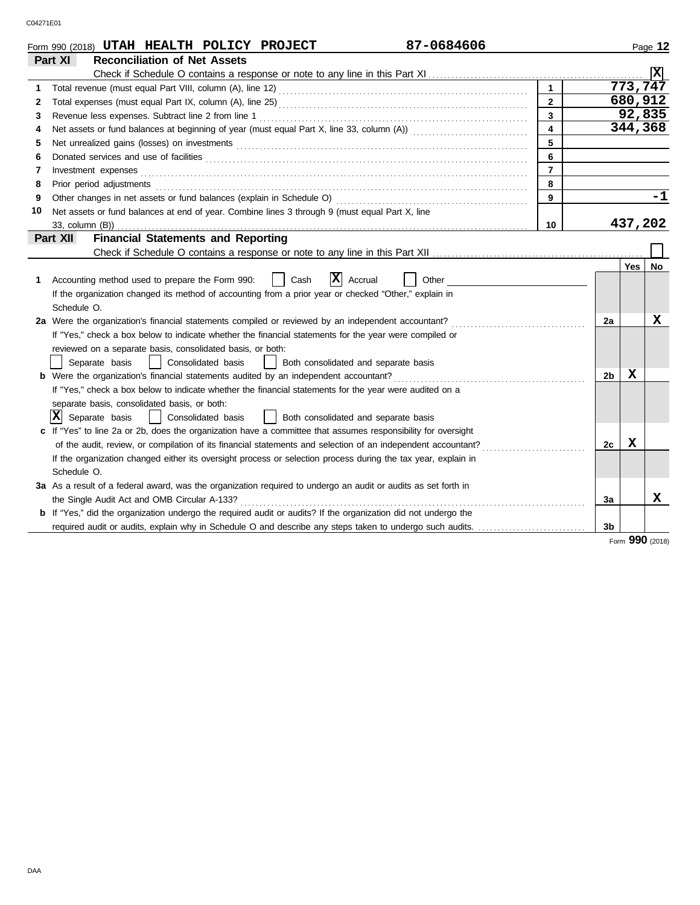|    | 87-0684606<br>Form 990 (2018) UTAH HEALTH POLICY PROJECT                                                              |                |                |             | Page 12         |
|----|-----------------------------------------------------------------------------------------------------------------------|----------------|----------------|-------------|-----------------|
|    | <b>Reconciliation of Net Assets</b><br>Part XI                                                                        |                |                |             |                 |
|    |                                                                                                                       |                |                |             | Ιx              |
| 1  |                                                                                                                       |                |                | 773,747     |                 |
| 2  |                                                                                                                       | $\overline{2}$ |                | 680,912     |                 |
| 3  | Revenue less expenses. Subtract line 2 from line 1                                                                    | $\overline{3}$ |                | 92,835      |                 |
| 4  |                                                                                                                       | 4              |                | 344,368     |                 |
| 5  |                                                                                                                       | 5              |                |             |                 |
| 6  |                                                                                                                       | 6              |                |             |                 |
| 7  | Investment expenses                                                                                                   | $\overline{7}$ |                |             |                 |
| 8  | Prior period adjustments                                                                                              | 8              |                |             |                 |
| 9  | Other changes in net assets or fund balances (explain in Schedule O)                                                  | 9              |                |             | $-1$            |
| 10 | Net assets or fund balances at end of year. Combine lines 3 through 9 (must equal Part X, line                        |                |                |             |                 |
|    | 33, column (B))                                                                                                       | 10             |                | 437,202     |                 |
|    | <b>Financial Statements and Reporting</b><br>Part XII                                                                 |                |                |             |                 |
|    |                                                                                                                       |                |                |             |                 |
|    |                                                                                                                       |                |                | Yes         | <b>No</b>       |
| 1  | X <br>Accounting method used to prepare the Form 990:<br>Cash<br>Accrual<br>Other                                     |                |                |             |                 |
|    | If the organization changed its method of accounting from a prior year or checked "Other," explain in                 |                |                |             |                 |
|    | Schedule O.                                                                                                           |                |                |             |                 |
|    | 2a Were the organization's financial statements compiled or reviewed by an independent accountant?                    |                | 2a             |             | X               |
|    | If "Yes," check a box below to indicate whether the financial statements for the year were compiled or                |                |                |             |                 |
|    | reviewed on a separate basis, consolidated basis, or both:                                                            |                |                |             |                 |
|    | Consolidated basis<br>Separate basis<br>Both consolidated and separate basis                                          |                |                |             |                 |
|    | <b>b</b> Were the organization's financial statements audited by an independent accountant?                           |                | 2 <sub>b</sub> | $\mathbf X$ |                 |
|    | If "Yes," check a box below to indicate whether the financial statements for the year were audited on a               |                |                |             |                 |
|    | separate basis, consolidated basis, or both:                                                                          |                |                |             |                 |
|    | x <br>Separate basis<br>Consolidated basis<br>Both consolidated and separate basis                                    |                |                |             |                 |
|    | c If "Yes" to line 2a or 2b, does the organization have a committee that assumes responsibility for oversight         |                |                |             |                 |
|    | of the audit, review, or compilation of its financial statements and selection of an independent accountant?          |                | 2c             | X           |                 |
|    | If the organization changed either its oversight process or selection process during the tax year, explain in         |                |                |             |                 |
|    | Schedule O.                                                                                                           |                |                |             |                 |
|    | 3a As a result of a federal award, was the organization required to undergo an audit or audits as set forth in        |                |                |             |                 |
|    | the Single Audit Act and OMB Circular A-133?                                                                          |                | 3a             |             | x               |
|    | <b>b</b> If "Yes," did the organization undergo the required audit or audits? If the organization did not undergo the |                |                |             |                 |
|    | required audit or audits, explain why in Schedule O and describe any steps taken to undergo such audits.              |                | 3b             |             |                 |
|    |                                                                                                                       |                |                |             | Form 990 (2018) |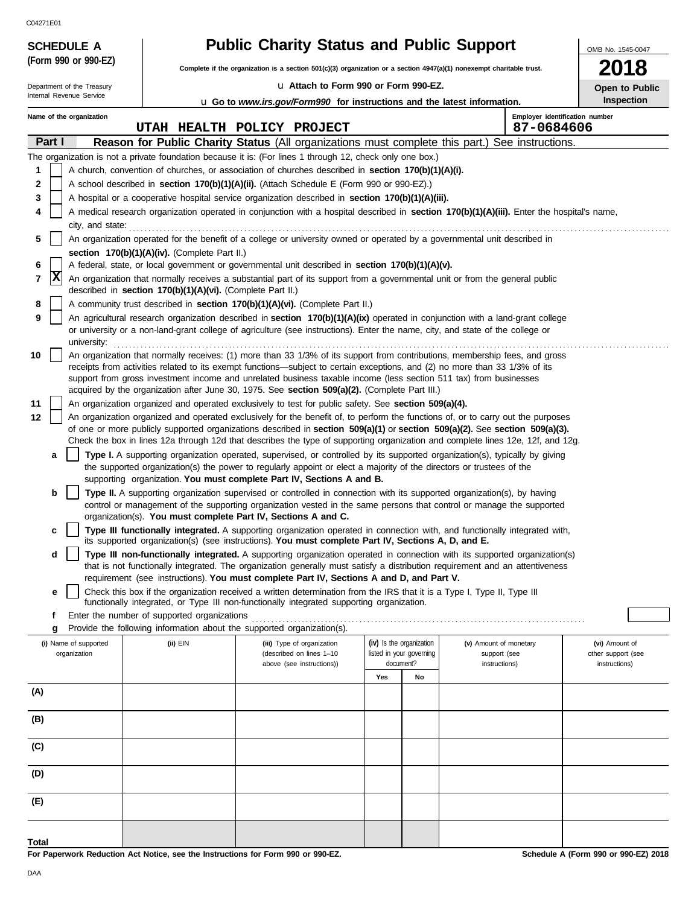C04271E01

**(Form 990 or 990-EZ)**

**SCHEDULE A** 

|  | <b>Public Charity Status and Public Support</b> |
|--|-------------------------------------------------|
|--|-------------------------------------------------|

**Complete if the organization is a section 501(c)(3) organization or a section 4947(a)(1) nonexempt charitable trust.**

u **Attach to Form 990 or Form 990-EZ.**

**2018 Open to Public**

OMB No. 1545-0047

| u Attach to Form 990 or Form 990-EZ.<br>Department of the Treasury |                                       |                  |                                                            |                                                                                                                                                                                                                                                                                                                                                                                                    |                   |                                                                   | Open to Public                                          |                                                       |
|--------------------------------------------------------------------|---------------------------------------|------------------|------------------------------------------------------------|----------------------------------------------------------------------------------------------------------------------------------------------------------------------------------------------------------------------------------------------------------------------------------------------------------------------------------------------------------------------------------------------------|-------------------|-------------------------------------------------------------------|---------------------------------------------------------|-------------------------------------------------------|
|                                                                    | Internal Revenue Service              |                  |                                                            | <b>u</b> Go to <i>www.irs.gov/Form990</i> for instructions and the latest information.                                                                                                                                                                                                                                                                                                             | <b>Inspection</b> |                                                                   |                                                         |                                                       |
|                                                                    | Name of the organization              |                  |                                                            | UTAH HEALTH POLICY PROJECT                                                                                                                                                                                                                                                                                                                                                                         |                   |                                                                   |                                                         | Employer identification number<br>87-0684606          |
|                                                                    | Part I                                |                  |                                                            | <b>Reason for Public Charity Status</b> (All organizations must complete this part.) See instructions.                                                                                                                                                                                                                                                                                             |                   |                                                                   |                                                         |                                                       |
|                                                                    |                                       |                  |                                                            | The organization is not a private foundation because it is: (For lines 1 through 12, check only one box.)                                                                                                                                                                                                                                                                                          |                   |                                                                   |                                                         |                                                       |
| 1                                                                  |                                       |                  |                                                            | A church, convention of churches, or association of churches described in section 170(b)(1)(A)(i).                                                                                                                                                                                                                                                                                                 |                   |                                                                   |                                                         |                                                       |
| 2                                                                  |                                       |                  |                                                            | A school described in section 170(b)(1)(A)(ii). (Attach Schedule E (Form 990 or 990-EZ).)                                                                                                                                                                                                                                                                                                          |                   |                                                                   |                                                         |                                                       |
| 3                                                                  |                                       |                  |                                                            | A hospital or a cooperative hospital service organization described in section 170(b)(1)(A)(iii).                                                                                                                                                                                                                                                                                                  |                   |                                                                   |                                                         |                                                       |
| 4                                                                  |                                       |                  |                                                            | A medical research organization operated in conjunction with a hospital described in section 170(b)(1)(A)(iii). Enter the hospital's name,                                                                                                                                                                                                                                                         |                   |                                                                   |                                                         |                                                       |
| 5                                                                  |                                       | city, and state: |                                                            | An organization operated for the benefit of a college or university owned or operated by a governmental unit described in                                                                                                                                                                                                                                                                          |                   |                                                                   |                                                         |                                                       |
|                                                                    |                                       |                  | section 170(b)(1)(A)(iv). (Complete Part II.)              |                                                                                                                                                                                                                                                                                                                                                                                                    |                   |                                                                   |                                                         |                                                       |
| 6<br>7                                                             | X                                     |                  |                                                            | A federal, state, or local government or governmental unit described in section 170(b)(1)(A)(v).<br>An organization that normally receives a substantial part of its support from a governmental unit or from the general public                                                                                                                                                                   |                   |                                                                   |                                                         |                                                       |
| 8                                                                  |                                       |                  | described in section 170(b)(1)(A)(vi). (Complete Part II.) | A community trust described in section 170(b)(1)(A)(vi). (Complete Part II.)                                                                                                                                                                                                                                                                                                                       |                   |                                                                   |                                                         |                                                       |
| 9                                                                  |                                       |                  |                                                            | An agricultural research organization described in section 170(b)(1)(A)(ix) operated in conjunction with a land-grant college                                                                                                                                                                                                                                                                      |                   |                                                                   |                                                         |                                                       |
|                                                                    |                                       | university:      |                                                            | or university or a non-land-grant college of agriculture (see instructions). Enter the name, city, and state of the college or                                                                                                                                                                                                                                                                     |                   |                                                                   |                                                         |                                                       |
| 10                                                                 |                                       |                  |                                                            | An organization that normally receives: (1) more than 33 1/3% of its support from contributions, membership fees, and gross<br>receipts from activities related to its exempt functions—subject to certain exceptions, and (2) no more than 33 1/3% of its<br>support from gross investment income and unrelated business taxable income (less section 511 tax) from businesses                    |                   |                                                                   |                                                         |                                                       |
|                                                                    |                                       |                  |                                                            | acquired by the organization after June 30, 1975. See section 509(a)(2). (Complete Part III.)                                                                                                                                                                                                                                                                                                      |                   |                                                                   |                                                         |                                                       |
| 11                                                                 |                                       |                  |                                                            | An organization organized and operated exclusively to test for public safety. See section 509(a)(4).                                                                                                                                                                                                                                                                                               |                   |                                                                   |                                                         |                                                       |
| 12                                                                 |                                       |                  |                                                            | An organization organized and operated exclusively for the benefit of, to perform the functions of, or to carry out the purposes<br>of one or more publicly supported organizations described in section 509(a)(1) or section 509(a)(2). See section 509(a)(3).<br>Check the box in lines 12a through 12d that describes the type of supporting organization and complete lines 12e, 12f, and 12g. |                   |                                                                   |                                                         |                                                       |
|                                                                    | а                                     |                  |                                                            | Type I. A supporting organization operated, supervised, or controlled by its supported organization(s), typically by giving                                                                                                                                                                                                                                                                        |                   |                                                                   |                                                         |                                                       |
|                                                                    |                                       |                  |                                                            | the supported organization(s) the power to regularly appoint or elect a majority of the directors or trustees of the                                                                                                                                                                                                                                                                               |                   |                                                                   |                                                         |                                                       |
|                                                                    |                                       |                  |                                                            | supporting organization. You must complete Part IV, Sections A and B.                                                                                                                                                                                                                                                                                                                              |                   |                                                                   |                                                         |                                                       |
|                                                                    | b                                     |                  |                                                            | Type II. A supporting organization supervised or controlled in connection with its supported organization(s), by having<br>control or management of the supporting organization vested in the same persons that control or manage the supported                                                                                                                                                    |                   |                                                                   |                                                         |                                                       |
|                                                                    | c                                     |                  |                                                            | organization(s). You must complete Part IV, Sections A and C.<br>Type III functionally integrated. A supporting organization operated in connection with, and functionally integrated with,                                                                                                                                                                                                        |                   |                                                                   |                                                         |                                                       |
|                                                                    |                                       |                  |                                                            | its supported organization(s) (see instructions). You must complete Part IV, Sections A, D, and E.                                                                                                                                                                                                                                                                                                 |                   |                                                                   |                                                         |                                                       |
|                                                                    | d                                     |                  |                                                            | Type III non-functionally integrated. A supporting organization operated in connection with its supported organization(s)                                                                                                                                                                                                                                                                          |                   |                                                                   |                                                         |                                                       |
|                                                                    |                                       |                  |                                                            | that is not functionally integrated. The organization generally must satisfy a distribution requirement and an attentiveness<br>requirement (see instructions). You must complete Part IV, Sections A and D, and Part V.                                                                                                                                                                           |                   |                                                                   |                                                         |                                                       |
|                                                                    | е                                     |                  |                                                            | Check this box if the organization received a written determination from the IRS that it is a Type I, Type II, Type III                                                                                                                                                                                                                                                                            |                   |                                                                   |                                                         |                                                       |
|                                                                    |                                       |                  |                                                            | functionally integrated, or Type III non-functionally integrated supporting organization.                                                                                                                                                                                                                                                                                                          |                   |                                                                   |                                                         |                                                       |
|                                                                    | f                                     |                  | Enter the number of supported organizations                |                                                                                                                                                                                                                                                                                                                                                                                                    |                   |                                                                   |                                                         |                                                       |
|                                                                    | g                                     |                  |                                                            | Provide the following information about the supported organization(s).                                                                                                                                                                                                                                                                                                                             |                   |                                                                   |                                                         |                                                       |
|                                                                    | (i) Name of supported<br>organization |                  | $(ii)$ $EIN$                                               | (iii) Type of organization<br>(described on lines 1-10<br>above (see instructions))                                                                                                                                                                                                                                                                                                                |                   | (iv) Is the organization<br>listed in your governing<br>document? | (v) Amount of monetary<br>support (see<br>instructions) | (vi) Amount of<br>other support (see<br>instructions) |
|                                                                    |                                       |                  |                                                            |                                                                                                                                                                                                                                                                                                                                                                                                    | Yes               | No                                                                |                                                         |                                                       |
| (A)                                                                |                                       |                  |                                                            |                                                                                                                                                                                                                                                                                                                                                                                                    |                   |                                                                   |                                                         |                                                       |
| (B)                                                                |                                       |                  |                                                            |                                                                                                                                                                                                                                                                                                                                                                                                    |                   |                                                                   |                                                         |                                                       |
|                                                                    |                                       |                  |                                                            |                                                                                                                                                                                                                                                                                                                                                                                                    |                   |                                                                   |                                                         |                                                       |
| (C)                                                                |                                       |                  |                                                            |                                                                                                                                                                                                                                                                                                                                                                                                    |                   |                                                                   |                                                         |                                                       |
| (D)                                                                |                                       |                  |                                                            |                                                                                                                                                                                                                                                                                                                                                                                                    |                   |                                                                   |                                                         |                                                       |
| (E)                                                                |                                       |                  |                                                            |                                                                                                                                                                                                                                                                                                                                                                                                    |                   |                                                                   |                                                         |                                                       |
|                                                                    |                                       |                  |                                                            |                                                                                                                                                                                                                                                                                                                                                                                                    |                   |                                                                   |                                                         |                                                       |

**For Paperwork Reduction Act Notice, see the Instructions for Form 990 or 990-EZ.**

**Total**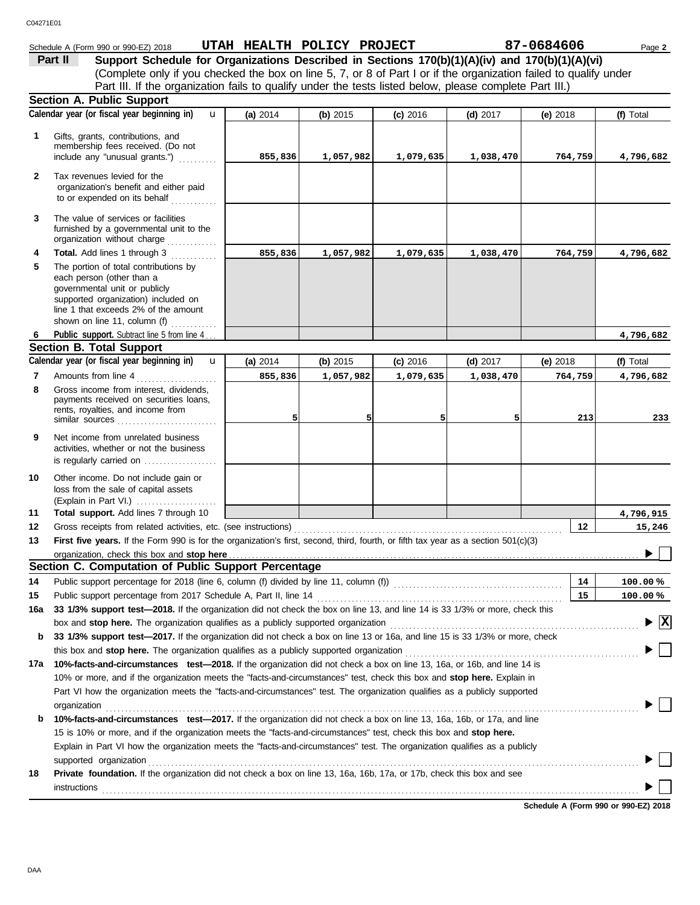## Schedule A (Form 990 or 990-EZ) 2018 **UTAH HEALTH POLICY PROJECT** 87-0684606 Page 2

 $\overline{a}$ 

| Part II | Support Schedule for Organizations Described in Sections 170(b)(1)(A)(iv) and 170(b)(1)(A)(vi)                    |
|---------|-------------------------------------------------------------------------------------------------------------------|
|         | (Complete only if you checked the box on line 5, 7, or 8 of Part I or if the organization failed to qualify under |
|         | Part III. If the organization fails to qualify under the tests listed below, please complete Part III.)           |
|         | aatian A Dublia Cunnart                                                                                           |

|     | Section A. Public Support                                                                                                                                                                                                                            |          |           |            |            |                                      |                                          |
|-----|------------------------------------------------------------------------------------------------------------------------------------------------------------------------------------------------------------------------------------------------------|----------|-----------|------------|------------|--------------------------------------|------------------------------------------|
|     | Calendar year (or fiscal year beginning in)<br>u                                                                                                                                                                                                     | (a) 2014 | (b) 2015  | $(c)$ 2016 | (d) $2017$ | (e) $2018$                           | (f) Total                                |
| 1   | Gifts, grants, contributions, and<br>membership fees received. (Do not<br>include any "unusual grants.")                                                                                                                                             | 855,836  | 1,057,982 | 1,079,635  | 1,038,470  | 764,759                              | 4,796,682                                |
| 2   | Tax revenues levied for the<br>organization's benefit and either paid<br>to or expended on its behalf                                                                                                                                                |          |           |            |            |                                      |                                          |
| 3   | The value of services or facilities<br>furnished by a governmental unit to the<br>organization without charge                                                                                                                                        |          |           |            |            |                                      |                                          |
| 4   | Total. Add lines 1 through 3                                                                                                                                                                                                                         | 855,836  | 1,057,982 | 1,079,635  | 1,038,470  | 764,759                              | 4,796,682                                |
| 5   | The portion of total contributions by<br>each person (other than a<br>governmental unit or publicly<br>supported organization) included on<br>line 1 that exceeds 2% of the amount<br>shown on line 11, column (f)                                   |          |           |            |            |                                      |                                          |
| 6   | Public support. Subtract line 5 from line 4                                                                                                                                                                                                          |          |           |            |            |                                      | 4,796,682                                |
|     | <b>Section B. Total Support</b>                                                                                                                                                                                                                      |          |           |            |            |                                      |                                          |
|     | Calendar year (or fiscal year beginning in)<br>$\mathbf{u}$                                                                                                                                                                                          | (a) 2014 | (b) 2015  | $(c)$ 2016 | (d) $2017$ | $(e)$ 2018                           | (f) Total                                |
| 7   | Amounts from line 4                                                                                                                                                                                                                                  | 855,836  | 1,057,982 | 1,079,635  | 1,038,470  | 764,759                              | 4,796,682                                |
| 8   | Gross income from interest, dividends,<br>payments received on securities loans,<br>rents, royalties, and income from<br>similar sources                                                                                                             | 5        | 5         | 5          | 5          | 213                                  | 233                                      |
| 9   | Net income from unrelated business<br>activities, whether or not the business<br>is regularly carried on                                                                                                                                             |          |           |            |            |                                      |                                          |
| 10  | Other income. Do not include gain or<br>loss from the sale of capital assets<br>(Explain in Part VI.)                                                                                                                                                |          |           |            |            |                                      |                                          |
| 11  | Total support. Add lines 7 through 10                                                                                                                                                                                                                |          |           |            |            |                                      | 4,796,915                                |
| 12  |                                                                                                                                                                                                                                                      |          |           |            |            | 12                                   | 15,246                                   |
| 13  | First five years. If the Form 990 is for the organization's first, second, third, fourth, or fifth tax year as a section 501(c)(3)                                                                                                                   |          |           |            |            |                                      |                                          |
|     | organization, check this box and stop here                                                                                                                                                                                                           |          |           |            |            |                                      |                                          |
|     | Section C. Computation of Public Support Percentage                                                                                                                                                                                                  |          |           |            |            |                                      |                                          |
| 14  | Public support percentage for 2018 (line 6, column (f) divided by line 11, column (f)) [[[[[[[[[[[[[[[[[[[[[[                                                                                                                                        |          |           |            |            | 14                                   | 100.00%                                  |
| 15  |                                                                                                                                                                                                                                                      |          |           |            |            | 15                                   | 100.00%                                  |
|     | <b>16a</b> 33 1/3% support test—2018. If the organization did not check the box on line 13, and line 14 is 33 1/3% or more, check this                                                                                                               |          |           |            |            |                                      |                                          |
|     | box and stop here. The organization qualifies as a publicly supported organization                                                                                                                                                                   |          |           |            |            |                                      | $\blacktriangleright$ $\boxed{\text{X}}$ |
| b   | 33 1/3% support test-2017. If the organization did not check a box on line 13 or 16a, and line 15 is 33 1/3% or more, check                                                                                                                          |          |           |            |            |                                      |                                          |
|     | this box and stop here. The organization qualifies as a publicly supported organization                                                                                                                                                              |          |           |            |            |                                      |                                          |
| 17а | 10%-facts-and-circumstances test-2018. If the organization did not check a box on line 13, 16a, or 16b, and line 14 is                                                                                                                               |          |           |            |            |                                      |                                          |
|     | 10% or more, and if the organization meets the "facts-and-circumstances" test, check this box and stop here. Explain in<br>Part VI how the organization meets the "facts-and-circumstances" test. The organization qualifies as a publicly supported |          |           |            |            |                                      |                                          |
|     | organization                                                                                                                                                                                                                                         |          |           |            |            |                                      |                                          |
| b   | 10%-facts-and-circumstances test-2017. If the organization did not check a box on line 13, 16a, 16b, or 17a, and line                                                                                                                                |          |           |            |            |                                      |                                          |
|     | 15 is 10% or more, and if the organization meets the "facts-and-circumstances" test, check this box and stop here.                                                                                                                                   |          |           |            |            |                                      |                                          |
|     | Explain in Part VI how the organization meets the "facts-and-circumstances" test. The organization qualifies as a publicly                                                                                                                           |          |           |            |            |                                      |                                          |
|     | supported organization                                                                                                                                                                                                                               |          |           |            |            |                                      |                                          |
| 18  | Private foundation. If the organization did not check a box on line 13, 16a, 16b, 17a, or 17b, check this box and see                                                                                                                                |          |           |            |            |                                      |                                          |
|     | <b>instructions</b>                                                                                                                                                                                                                                  |          |           |            |            |                                      |                                          |
|     |                                                                                                                                                                                                                                                      |          |           |            |            | Schedule A (Form 990 or 990-EZ) 2018 |                                          |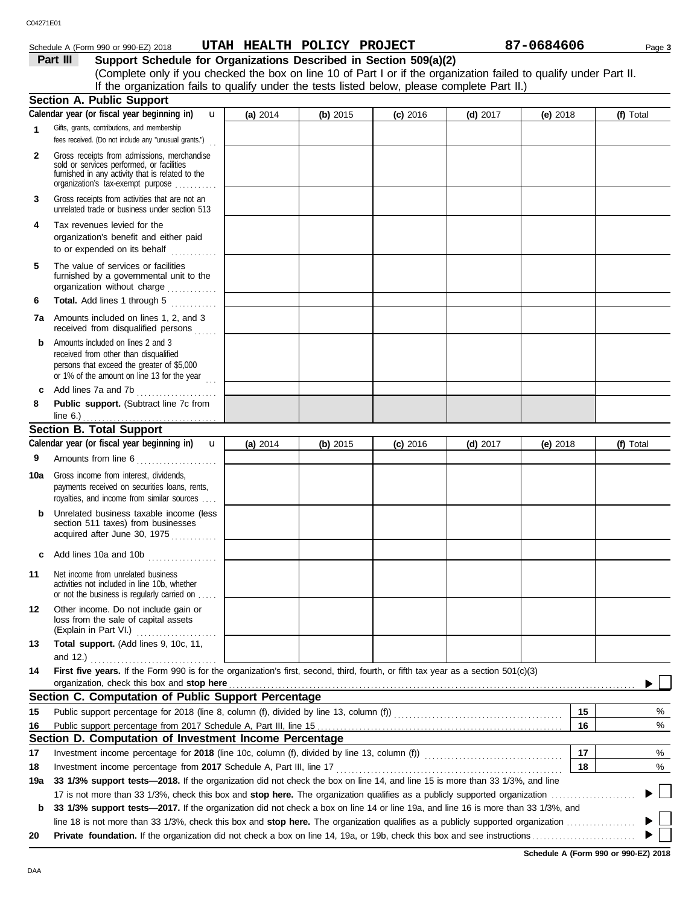### Schedule A (Form 990 or 990-EZ) 2018 **UTAH HEALTH POLICY PROJECT** 87-0684606 Page 3

**Part III Support Schedule for Organizations Described in Section 509(a)(2)** (Complete only if you checked the box on line 10 of Part I or if the organization failed to qualify under Part II. If the organization fails to qualify under the tests listed below, please complete Part II.)

|              | <b>Section A. Public Support</b>                                                                                                                                                 |            |            |            |            |            |           |
|--------------|----------------------------------------------------------------------------------------------------------------------------------------------------------------------------------|------------|------------|------------|------------|------------|-----------|
|              | Calendar year (or fiscal year beginning in)<br>u                                                                                                                                 | (a) 2014   | (b) 2015   | $(c)$ 2016 | $(d)$ 2017 | (e) 2018   | (f) Total |
| $\mathbf{1}$ | Gifts, grants, contributions, and membership                                                                                                                                     |            |            |            |            |            |           |
|              | fees received. (Do not include any "unusual grants.")                                                                                                                            |            |            |            |            |            |           |
| $\mathbf{2}$ | Gross receipts from admissions, merchandise<br>sold or services performed, or facilities                                                                                         |            |            |            |            |            |           |
|              | furnished in any activity that is related to the<br>organization's tax-exempt purpose                                                                                            |            |            |            |            |            |           |
|              |                                                                                                                                                                                  |            |            |            |            |            |           |
| 3            | Gross receipts from activities that are not an<br>unrelated trade or business under section 513                                                                                  |            |            |            |            |            |           |
| 4            | Tax revenues levied for the<br>organization's benefit and either paid<br>to or expended on its behalf                                                                            |            |            |            |            |            |           |
| 5            | The value of services or facilities<br>furnished by a governmental unit to the<br>organization without charge                                                                    |            |            |            |            |            |           |
| 6            | Total. Add lines 1 through 5<br>. <b>.</b> .                                                                                                                                     |            |            |            |            |            |           |
|              | <b>7a</b> Amounts included on lines 1, 2, and 3<br>received from disqualified persons                                                                                            |            |            |            |            |            |           |
| b            | Amounts included on lines 2 and 3<br>received from other than disqualified<br>persons that exceed the greater of \$5,000<br>or 1% of the amount on line 13 for the year $\ldots$ |            |            |            |            |            |           |
| C            | Add lines 7a and 7b<br>.                                                                                                                                                         |            |            |            |            |            |           |
| 8            | Public support. (Subtract line 7c from                                                                                                                                           |            |            |            |            |            |           |
|              | line $6.$ )                                                                                                                                                                      |            |            |            |            |            |           |
|              | <b>Section B. Total Support</b><br>Calendar year (or fiscal year beginning in)                                                                                                   |            |            |            |            |            |           |
|              | $\mathbf{u}$                                                                                                                                                                     | (a) $2014$ | (b) $2015$ | $(c)$ 2016 | (d) $2017$ | (e) $2018$ | (f) Total |
| 9            | Amounts from line 6                                                                                                                                                              |            |            |            |            |            |           |
| 10a          | Gross income from interest, dividends,<br>payments received on securities loans, rents,<br>royalties, and income from similar sources                                            |            |            |            |            |            |           |
| b            | Unrelated business taxable income (less<br>section 511 taxes) from businesses<br>acquired after June 30, 1975                                                                    |            |            |            |            |            |           |
| c            | Add lines 10a and 10b                                                                                                                                                            |            |            |            |            |            |           |
| 11           | Net income from unrelated business<br>activities not included in line 10b, whether<br>or not the business is regularly carried on                                                |            |            |            |            |            |           |
| 12           | Other income. Do not include gain or<br>loss from the sale of capital assets<br>(Explain in Part VI.)<br>.                                                                       |            |            |            |            |            |           |
| 13           | Total support. (Add lines 9, 10c, 11,                                                                                                                                            |            |            |            |            |            |           |
|              | and 12.) $\ldots$                                                                                                                                                                |            |            |            |            |            |           |
| 14           | First five years. If the Form 990 is for the organization's first, second, third, fourth, or fifth tax year as a section 501(c)(3)                                               |            |            |            |            |            |           |
|              | organization, check this box and stop here                                                                                                                                       |            |            |            |            |            |           |
|              | Section C. Computation of Public Support Percentage                                                                                                                              |            |            |            |            |            |           |
| 15           | Public support percentage for 2018 (line 8, column (f), divided by line 13, column (f)) [[[[[[[[[[[[[[[[[[[[[                                                                    |            |            |            |            | 15         | %         |
| 16           |                                                                                                                                                                                  |            |            |            |            | 16         | %         |
|              | Section D. Computation of Investment Income Percentage                                                                                                                           |            |            |            |            |            |           |
| 17           |                                                                                                                                                                                  |            |            |            |            | 17         | %         |
| 18           | Investment income percentage from 2017 Schedule A, Part III, line 17                                                                                                             |            |            |            |            | 18         | %         |
| 19a          | 33 1/3% support tests-2018. If the organization did not check the box on line 14, and line 15 is more than 33 1/3%, and line                                                     |            |            |            |            |            |           |
|              |                                                                                                                                                                                  |            |            |            |            |            |           |
| b            | 33 1/3% support tests—2017. If the organization did not check a box on line 14 or line 19a, and line 16 is more than 33 1/3%, and                                                |            |            |            |            |            |           |
|              |                                                                                                                                                                                  |            |            |            |            |            |           |
| 20           |                                                                                                                                                                                  |            |            |            |            |            |           |

**Schedule A (Form 990 or 990-EZ) 2018**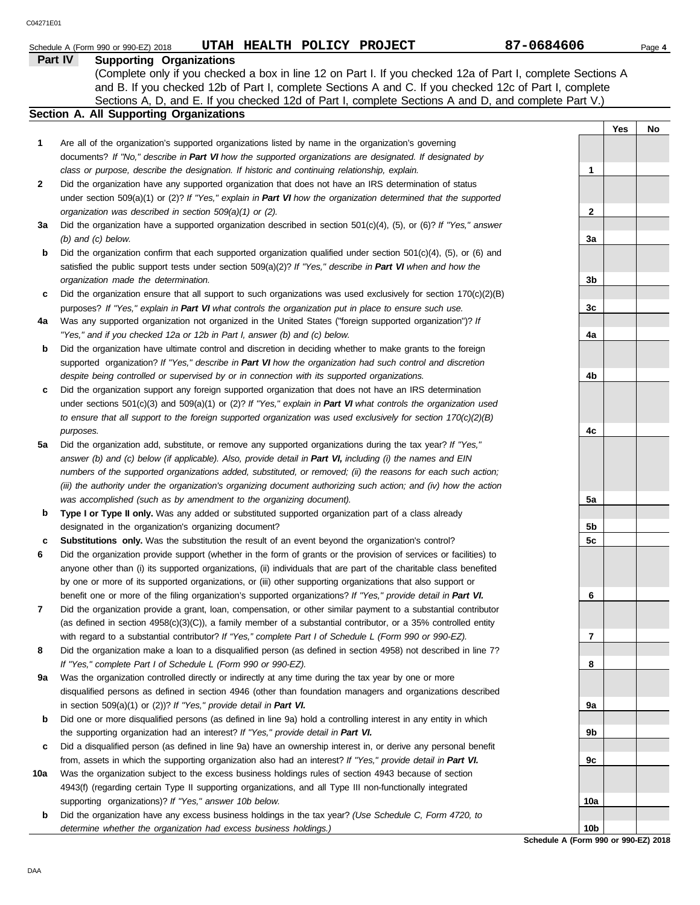|     | UTAH HEALTH POLICY PROJECT<br>Schedule A (Form 990 or 990-EZ) 2018                                                  | 87-0684606      | Page 4    |  |
|-----|---------------------------------------------------------------------------------------------------------------------|-----------------|-----------|--|
|     | Part IV<br><b>Supporting Organizations</b>                                                                          |                 |           |  |
|     | (Complete only if you checked a box in line 12 on Part I. If you checked 12a of Part I, complete Sections A         |                 |           |  |
|     | and B. If you checked 12b of Part I, complete Sections A and C. If you checked 12c of Part I, complete              |                 |           |  |
|     | Sections A, D, and E. If you checked 12d of Part I, complete Sections A and D, and complete Part V.)                |                 |           |  |
|     | <b>Section A. All Supporting Organizations</b>                                                                      |                 |           |  |
|     |                                                                                                                     |                 | Yes<br>No |  |
| 1   | Are all of the organization's supported organizations listed by name in the organization's governing                |                 |           |  |
|     | documents? If "No," describe in Part VI how the supported organizations are designated. If designated by            |                 |           |  |
|     | class or purpose, describe the designation. If historic and continuing relationship, explain.                       | 1               |           |  |
| 2   | Did the organization have any supported organization that does not have an IRS determination of status              |                 |           |  |
|     | under section 509(a)(1) or (2)? If "Yes," explain in Part VI how the organization determined that the supported     |                 |           |  |
|     | organization was described in section 509(a)(1) or (2).                                                             | 2               |           |  |
| За  | Did the organization have a supported organization described in section $501(c)(4)$ , (5), or (6)? If "Yes," answer |                 |           |  |
|     | $(b)$ and $(c)$ below.                                                                                              | 3a              |           |  |
| b   | Did the organization confirm that each supported organization qualified under section $501(c)(4)$ , (5), or (6) and |                 |           |  |
|     | satisfied the public support tests under section 509(a)(2)? If "Yes," describe in Part VI when and how the          |                 |           |  |
|     | organization made the determination.                                                                                | 3b              |           |  |
| с   | Did the organization ensure that all support to such organizations was used exclusively for section $170(c)(2)(B)$  |                 |           |  |
|     | purposes? If "Yes," explain in Part VI what controls the organization put in place to ensure such use.              | 3c              |           |  |
| 4a  | Was any supported organization not organized in the United States ("foreign supported organization")? If            |                 |           |  |
|     | "Yes," and if you checked 12a or 12b in Part I, answer (b) and (c) below.                                           | 4a              |           |  |
| b   | Did the organization have ultimate control and discretion in deciding whether to make grants to the foreign         |                 |           |  |
|     | supported organization? If "Yes," describe in Part VI how the organization had such control and discretion          |                 |           |  |
|     | despite being controlled or supervised by or in connection with its supported organizations.                        | 4b              |           |  |
| c   | Did the organization support any foreign supported organization that does not have an IRS determination             |                 |           |  |
|     | under sections $501(c)(3)$ and $509(a)(1)$ or (2)? If "Yes," explain in Part VI what controls the organization used |                 |           |  |
|     | to ensure that all support to the foreign supported organization was used exclusively for section $170(c)(2)(B)$    |                 |           |  |
|     | purposes.                                                                                                           | 4c              |           |  |
| 5а  | Did the organization add, substitute, or remove any supported organizations during the tax year? If "Yes,"          |                 |           |  |
|     | answer (b) and (c) below (if applicable). Also, provide detail in Part VI, including (i) the names and EIN          |                 |           |  |
|     | numbers of the supported organizations added, substituted, or removed; (ii) the reasons for each such action;       |                 |           |  |
|     | (iii) the authority under the organization's organizing document authorizing such action; and (iv) how the action   |                 |           |  |
|     | was accomplished (such as by amendment to the organizing document).                                                 | 5a              |           |  |
| b   | Type I or Type II only. Was any added or substituted supported organization part of a class already                 |                 |           |  |
|     | designated in the organization's organizing document?                                                               | 5b              |           |  |
| с   | <b>Substitutions only.</b> Was the substitution the result of an event beyond the organization's control?           | 5 <sub>c</sub>  |           |  |
| 6   | Did the organization provide support (whether in the form of grants or the provision of services or facilities) to  |                 |           |  |
|     | anyone other than (i) its supported organizations, (ii) individuals that are part of the charitable class benefited |                 |           |  |
|     | by one or more of its supported organizations, or (iii) other supporting organizations that also support or         |                 |           |  |
|     | benefit one or more of the filing organization's supported organizations? If "Yes," provide detail in Part VI.      | 6               |           |  |
| 7   | Did the organization provide a grant, loan, compensation, or other similar payment to a substantial contributor     |                 |           |  |
|     | (as defined in section $4958(c)(3)(C)$ ), a family member of a substantial contributor, or a 35% controlled entity  |                 |           |  |
|     | with regard to a substantial contributor? If "Yes," complete Part I of Schedule L (Form 990 or 990-EZ).             | 7               |           |  |
| 8   | Did the organization make a loan to a disqualified person (as defined in section 4958) not described in line 7?     |                 |           |  |
|     | If "Yes," complete Part I of Schedule L (Form 990 or 990-EZ).                                                       | 8               |           |  |
| 9а  | Was the organization controlled directly or indirectly at any time during the tax year by one or more               |                 |           |  |
|     | disqualified persons as defined in section 4946 (other than foundation managers and organizations described         |                 |           |  |
|     | in section $509(a)(1)$ or $(2)$ ? If "Yes," provide detail in Part VI.                                              | 9а              |           |  |
| b   | Did one or more disqualified persons (as defined in line 9a) hold a controlling interest in any entity in which     |                 |           |  |
|     | the supporting organization had an interest? If "Yes," provide detail in Part VI.                                   | 9b              |           |  |
| с   | Did a disqualified person (as defined in line 9a) have an ownership interest in, or derive any personal benefit     |                 |           |  |
|     | from, assets in which the supporting organization also had an interest? If "Yes," provide detail in Part VI.        | 9c              |           |  |
| 10a | Was the organization subject to the excess business holdings rules of section 4943 because of section               |                 |           |  |
|     | 4943(f) (regarding certain Type II supporting organizations, and all Type III non-functionally integrated           |                 |           |  |
|     | supporting organizations)? If "Yes," answer 10b below.                                                              | 10a             |           |  |
| b   | Did the organization have any excess business holdings in the tax year? (Use Schedule C, Form 4720, to              |                 |           |  |
|     | determine whether the organization had excess business holdings.)                                                   | 10 <sub>b</sub> |           |  |

**Schedule A (Form 990 or 990-EZ) 2018**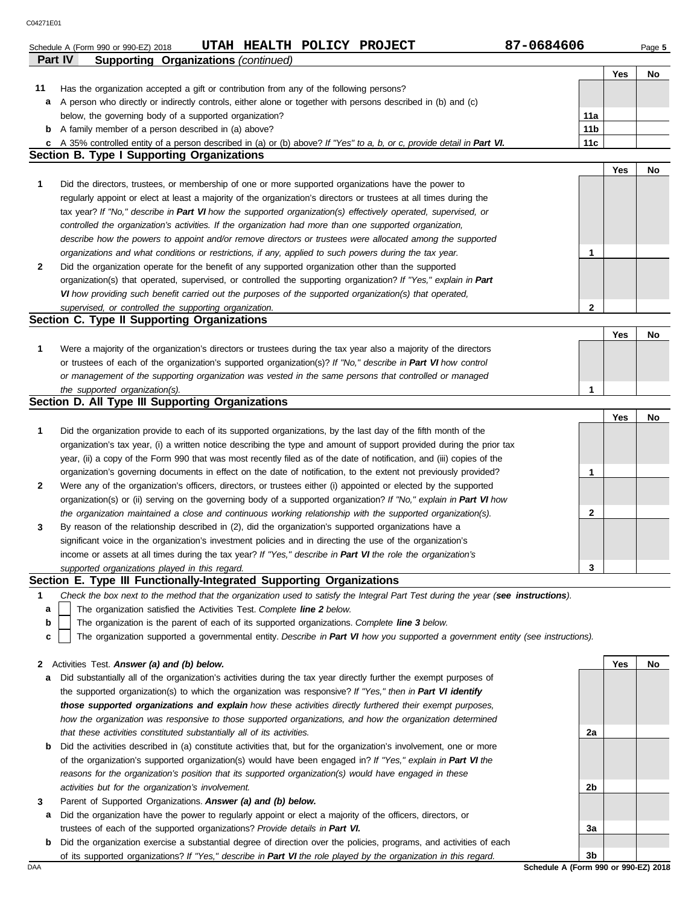| C04271E01 |                                                                                                                                                                                                                           |                 |     |        |
|-----------|---------------------------------------------------------------------------------------------------------------------------------------------------------------------------------------------------------------------------|-----------------|-----|--------|
|           | 87-0684606<br>UTAH HEALTH POLICY PROJECT<br>Schedule A (Form 990 or 990-EZ) 2018                                                                                                                                          |                 |     | Page 5 |
| Part IV   | <b>Supporting Organizations (continued)</b>                                                                                                                                                                               |                 |     |        |
|           |                                                                                                                                                                                                                           |                 | Yes | No     |
| 11        | Has the organization accepted a gift or contribution from any of the following persons?                                                                                                                                   |                 |     |        |
| а         | A person who directly or indirectly controls, either alone or together with persons described in (b) and (c)                                                                                                              |                 |     |        |
|           | below, the governing body of a supported organization?                                                                                                                                                                    | 11a             |     |        |
| b         | A family member of a person described in (a) above?                                                                                                                                                                       | 11 <sub>b</sub> |     |        |
| с         | A 35% controlled entity of a person described in (a) or (b) above? If "Yes" to a, b, or c, provide detail in Part VI.                                                                                                     | 11c             |     |        |
|           | <b>Section B. Type I Supporting Organizations</b>                                                                                                                                                                         |                 |     |        |
|           |                                                                                                                                                                                                                           |                 | Yes | No     |
| 1         | Did the directors, trustees, or membership of one or more supported organizations have the power to                                                                                                                       |                 |     |        |
|           | regularly appoint or elect at least a majority of the organization's directors or trustees at all times during the                                                                                                        |                 |     |        |
|           | tax year? If "No," describe in Part VI how the supported organization(s) effectively operated, supervised, or                                                                                                             |                 |     |        |
|           | controlled the organization's activities. If the organization had more than one supported organization,                                                                                                                   |                 |     |        |
|           | describe how the powers to appoint and/or remove directors or trustees were allocated among the supported                                                                                                                 |                 |     |        |
|           | organizations and what conditions or restrictions, if any, applied to such powers during the tax year.                                                                                                                    | 1               |     |        |
| 2         | Did the organization operate for the benefit of any supported organization other than the supported                                                                                                                       |                 |     |        |
|           | organization(s) that operated, supervised, or controlled the supporting organization? If "Yes," explain in Part<br>VI how providing such benefit carried out the purposes of the supported organization(s) that operated, |                 |     |        |
|           | supervised, or controlled the supporting organization.                                                                                                                                                                    | 2               |     |        |
|           | Section C. Type II Supporting Organizations                                                                                                                                                                               |                 |     |        |
|           |                                                                                                                                                                                                                           |                 | Yes | No     |
| 1         | Were a majority of the organization's directors or trustees during the tax year also a majority of the directors                                                                                                          |                 |     |        |
|           | or trustees of each of the organization's supported organization(s)? If "No," describe in Part VI how control                                                                                                             |                 |     |        |
|           | or management of the supporting organization was vested in the same persons that controlled or managed                                                                                                                    |                 |     |        |
|           | the supported organization(s).                                                                                                                                                                                            | 1               |     |        |
|           | Section D. All Type III Supporting Organizations                                                                                                                                                                          |                 |     |        |
|           |                                                                                                                                                                                                                           |                 | Yes | No     |
| 1         | Did the organization provide to each of its supported organizations, by the last day of the fifth month of the                                                                                                            |                 |     |        |
|           | organization's tax year, (i) a written notice describing the type and amount of support provided during the prior tax                                                                                                     |                 |     |        |
|           | year, (ii) a copy of the Form 990 that was most recently filed as of the date of notification, and (iii) copies of the                                                                                                    |                 |     |        |
|           | organization's governing documents in effect on the date of notification, to the extent not previously provided?                                                                                                          | 1               |     |        |
| 2         | Were any of the organization's officers, directors, or trustees either (i) appointed or elected by the supported                                                                                                          |                 |     |        |
|           | organization(s) or (ii) serving on the governing body of a supported organization? If "No," explain in Part VI how                                                                                                        |                 |     |        |
|           | the organization maintained a close and continuous working relationship with the supported organization(s).                                                                                                               | 2               |     |        |
| 3         | By reason of the relationship described in (2), did the organization's supported organizations have a                                                                                                                     |                 |     |        |
|           | significant voice in the organization's investment policies and in directing the use of the organization's                                                                                                                |                 |     |        |
|           | income or assets at all times during the tax year? If "Yes," describe in Part VI the role the organization's                                                                                                              |                 |     |        |
|           | supported organizations played in this regard.                                                                                                                                                                            | 3               |     |        |
|           | Section E. Type III Functionally-Integrated Supporting Organizations                                                                                                                                                      |                 |     |        |
| 1         | Check the box next to the method that the organization used to satisfy the Integral Part Test during the year (see instructions).                                                                                         |                 |     |        |
| а         | The organization satisfied the Activities Test. Complete line 2 below.                                                                                                                                                    |                 |     |        |
| b         | The organization is the parent of each of its supported organizations. Complete line 3 below.                                                                                                                             |                 |     |        |
| c         | The organization supported a governmental entity. Describe in Part VI how you supported a government entity (see instructions).                                                                                           |                 |     |        |
|           | Activities Test. Answer (a) and (b) below.                                                                                                                                                                                |                 | Yes | No     |
| 2         | Did substantially all of the organization's activities during the tax year directly further the exempt purposes of                                                                                                        |                 |     |        |
| а         | the supported organization(s) to which the organization was responsive? If "Yes," then in Part VI identify                                                                                                                |                 |     |        |
|           | those supported organizations and explain how these activities directly furthered their exempt purposes,                                                                                                                  |                 |     |        |
|           | how the organization was responsive to those supported organizations, and how the organization determined                                                                                                                 |                 |     |        |
|           | that these activities constituted substantially all of its activities.                                                                                                                                                    | 2a              |     |        |
| b         | Did the activities described in (a) constitute activities that, but for the organization's involvement, one or more                                                                                                       |                 |     |        |
|           | of the organization's supported organization(s) would have been engaged in? If "Yes," explain in Part VI the                                                                                                              |                 |     |        |
|           | reasons for the organization's position that its supported organization(s) would have engaged in these                                                                                                                    |                 |     |        |
|           | activities but for the organization's involvement.                                                                                                                                                                        | 2 <sub>b</sub>  |     |        |

- **3** Parent of Supported Organizations. *Answer (a) and (b) below.*
- **a** Did the organization have the power to regularly appoint or elect a majority of the officers, directors, or trustees of each of the supported organizations? *Provide details in Part VI.*
- **b** Did the organization exercise a substantial degree of direction over the policies, programs, and activities of each of its supported organizations? *If "Yes," describe in Part VI the role played by the organization in this regard.*

DAA **SChedule A (Form 990 or 990-EZ) 2018 3b**

**3a**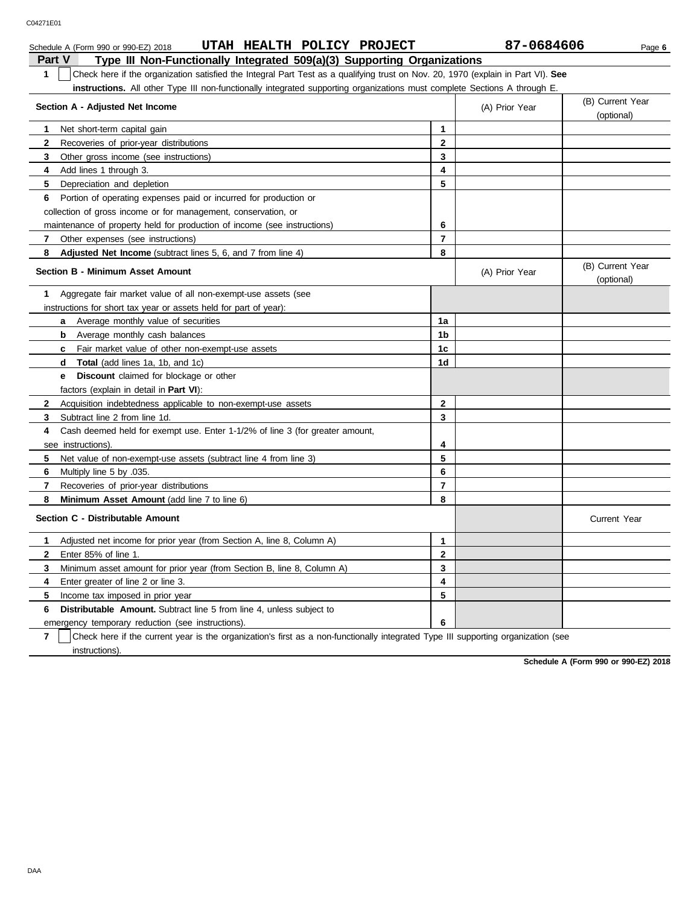|               | UTAH HEALTH POLICY PROJECT<br>Schedule A (Form 990 or 990-EZ) 2018                                                               |                | 87-0684606     | Page 6                         |  |  |  |  |
|---------------|----------------------------------------------------------------------------------------------------------------------------------|----------------|----------------|--------------------------------|--|--|--|--|
| <b>Part V</b> | Type III Non-Functionally Integrated 509(a)(3) Supporting Organizations                                                          |                |                |                                |  |  |  |  |
| 1             | Check here if the organization satisfied the Integral Part Test as a qualifying trust on Nov. 20, 1970 (explain in Part VI). See |                |                |                                |  |  |  |  |
|               | <b>instructions.</b> All other Type III non-functionally integrated supporting organizations must complete Sections A through E. |                |                |                                |  |  |  |  |
|               | Section A - Adjusted Net Income                                                                                                  |                | (A) Prior Year | (B) Current Year               |  |  |  |  |
|               |                                                                                                                                  |                |                | (optional)                     |  |  |  |  |
| 1             | Net short-term capital gain                                                                                                      | 1              |                |                                |  |  |  |  |
| 2             | Recoveries of prior-year distributions                                                                                           | 2              |                |                                |  |  |  |  |
| 3             | Other gross income (see instructions)                                                                                            | 3              |                |                                |  |  |  |  |
| 4             | Add lines 1 through 3.                                                                                                           | 4              |                |                                |  |  |  |  |
| 5             | Depreciation and depletion                                                                                                       | 5              |                |                                |  |  |  |  |
| 6             | Portion of operating expenses paid or incurred for production or                                                                 |                |                |                                |  |  |  |  |
|               | collection of gross income or for management, conservation, or                                                                   |                |                |                                |  |  |  |  |
|               | maintenance of property held for production of income (see instructions)                                                         | 6              |                |                                |  |  |  |  |
| 7             | Other expenses (see instructions)                                                                                                | 7              |                |                                |  |  |  |  |
| 8             | <b>Adjusted Net Income</b> (subtract lines 5, 6, and 7 from line 4)                                                              | 8              |                |                                |  |  |  |  |
|               | <b>Section B - Minimum Asset Amount</b>                                                                                          |                | (A) Prior Year | (B) Current Year<br>(optional) |  |  |  |  |
| 1             | Aggregate fair market value of all non-exempt-use assets (see                                                                    |                |                |                                |  |  |  |  |
|               | instructions for short tax year or assets held for part of year):                                                                |                |                |                                |  |  |  |  |
|               | Average monthly value of securities<br>a                                                                                         | 1a             |                |                                |  |  |  |  |
|               | Average monthly cash balances<br>b                                                                                               | 1b             |                |                                |  |  |  |  |
|               | <b>c</b> Fair market value of other non-exempt-use assets                                                                        | 1c             |                |                                |  |  |  |  |
|               | <b>Total</b> (add lines 1a, 1b, and 1c)<br>d                                                                                     | 1d             |                |                                |  |  |  |  |
|               | <b>Discount</b> claimed for blockage or other<br>e                                                                               |                |                |                                |  |  |  |  |
|               | factors (explain in detail in Part VI):                                                                                          |                |                |                                |  |  |  |  |
| $\mathbf{2}$  | Acquisition indebtedness applicable to non-exempt-use assets                                                                     | $\mathbf{2}$   |                |                                |  |  |  |  |
| 3             | Subtract line 2 from line 1d.                                                                                                    | 3              |                |                                |  |  |  |  |
| 4             | Cash deemed held for exempt use. Enter 1-1/2% of line 3 (for greater amount,                                                     |                |                |                                |  |  |  |  |
|               | see instructions).                                                                                                               | 4              |                |                                |  |  |  |  |
| 5             | Net value of non-exempt-use assets (subtract line 4 from line 3)                                                                 | 5              |                |                                |  |  |  |  |
| 6             | Multiply line 5 by .035.                                                                                                         | 6              |                |                                |  |  |  |  |
| 7             | Recoveries of prior-year distributions                                                                                           | $\overline{7}$ |                |                                |  |  |  |  |
| 8             | Minimum Asset Amount (add line 7 to line 6)                                                                                      | 8              |                |                                |  |  |  |  |
|               | Section C - Distributable Amount                                                                                                 |                |                | <b>Current Year</b>            |  |  |  |  |
| 1             | Adjusted net income for prior year (from Section A, line 8, Column A)                                                            | $\mathbf{1}$   |                |                                |  |  |  |  |
| $\mathbf{2}$  | Enter 85% of line 1.                                                                                                             | 2              |                |                                |  |  |  |  |
| 3             | Minimum asset amount for prior year (from Section B, line 8, Column A)                                                           | 3              |                |                                |  |  |  |  |
| 4             | Enter greater of line 2 or line 3.                                                                                               | 4              |                |                                |  |  |  |  |
| 5             | Income tax imposed in prior year                                                                                                 | 5              |                |                                |  |  |  |  |
| 6             | <b>Distributable Amount.</b> Subtract line 5 from line 4, unless subject to                                                      |                |                |                                |  |  |  |  |
|               | emergency temporary reduction (see instructions).                                                                                | 6              |                |                                |  |  |  |  |

emergency temporary reduction (see instructions).

**7** instructions). Check here if the current year is the organization's first as a non-functionally integrated Type III supporting organization (see

**Schedule A (Form 990 or 990-EZ) 2018**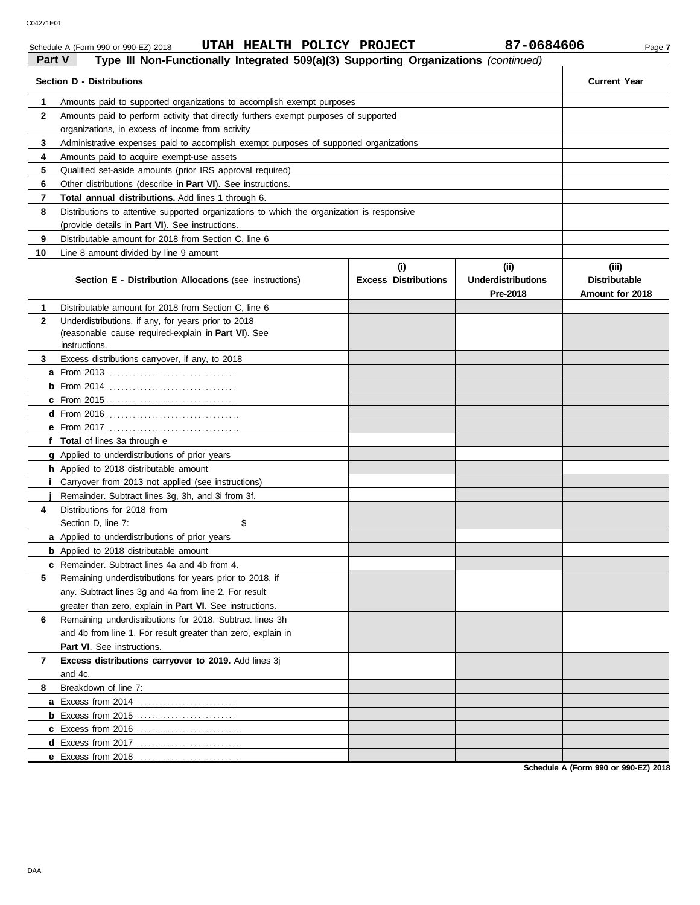## Schedule A (Form 990 or 990-EZ) 2018 **UTAH HEALTH POLICY PROJECT** 87-0684606 Page 7

| Part V      | Type III Non-Functionally Integrated 509(a)(3) Supporting Organizations (continued)                                                           |                             |                                       |                                         |
|-------------|-----------------------------------------------------------------------------------------------------------------------------------------------|-----------------------------|---------------------------------------|-----------------------------------------|
|             | <b>Section D - Distributions</b>                                                                                                              |                             |                                       | <b>Current Year</b>                     |
| 1           | Amounts paid to supported organizations to accomplish exempt purposes                                                                         |                             |                                       |                                         |
| $\mathbf 2$ | Amounts paid to perform activity that directly furthers exempt purposes of supported                                                          |                             |                                       |                                         |
|             | organizations, in excess of income from activity                                                                                              |                             |                                       |                                         |
| 3           | Administrative expenses paid to accomplish exempt purposes of supported organizations                                                         |                             |                                       |                                         |
| 4<br>5      | Amounts paid to acquire exempt-use assets                                                                                                     |                             |                                       |                                         |
| 6           | Qualified set-aside amounts (prior IRS approval required)                                                                                     |                             |                                       |                                         |
| 7           | Other distributions (describe in <b>Part VI</b> ). See instructions.<br>Total annual distributions. Add lines 1 through 6.                    |                             |                                       |                                         |
| 8           |                                                                                                                                               |                             |                                       |                                         |
|             | Distributions to attentive supported organizations to which the organization is responsive<br>(provide details in Part VI). See instructions. |                             |                                       |                                         |
| 9           | Distributable amount for 2018 from Section C, line 6                                                                                          |                             |                                       |                                         |
| 10          | Line 8 amount divided by line 9 amount                                                                                                        |                             |                                       |                                         |
|             |                                                                                                                                               | (i)                         | (i)                                   | (iii)                                   |
|             | <b>Section E - Distribution Allocations (see instructions)</b>                                                                                | <b>Excess Distributions</b> | <b>Underdistributions</b><br>Pre-2018 | <b>Distributable</b><br>Amount for 2018 |
| 1           | Distributable amount for 2018 from Section C, line 6                                                                                          |                             |                                       |                                         |
| 2           | Underdistributions, if any, for years prior to 2018                                                                                           |                             |                                       |                                         |
|             | (reasonable cause required-explain in Part VI). See                                                                                           |                             |                                       |                                         |
| 3           | instructions.<br>Excess distributions carryover, if any, to 2018                                                                              |                             |                                       |                                         |
|             |                                                                                                                                               |                             |                                       |                                         |
|             |                                                                                                                                               |                             |                                       |                                         |
|             |                                                                                                                                               |                             |                                       |                                         |
|             |                                                                                                                                               |                             |                                       |                                         |
|             |                                                                                                                                               |                             |                                       |                                         |
|             | f Total of lines 3a through e                                                                                                                 |                             |                                       |                                         |
|             | g Applied to underdistributions of prior years                                                                                                |                             |                                       |                                         |
|             | h Applied to 2018 distributable amount                                                                                                        |                             |                                       |                                         |
|             | Carryover from 2013 not applied (see instructions)                                                                                            |                             |                                       |                                         |
|             | Remainder. Subtract lines 3g, 3h, and 3i from 3f.                                                                                             |                             |                                       |                                         |
| 4           | Distributions for 2018 from                                                                                                                   |                             |                                       |                                         |
|             | \$<br>Section D, line 7:                                                                                                                      |                             |                                       |                                         |
|             | a Applied to underdistributions of prior years                                                                                                |                             |                                       |                                         |
|             | <b>b</b> Applied to 2018 distributable amount                                                                                                 |                             |                                       |                                         |
|             | c Remainder. Subtract lines 4a and 4b from 4.                                                                                                 |                             |                                       |                                         |
| 5           | Remaining underdistributions for years prior to 2018, if                                                                                      |                             |                                       |                                         |
|             | any. Subtract lines 3g and 4a from line 2. For result                                                                                         |                             |                                       |                                         |
|             | greater than zero, explain in Part VI. See instructions.                                                                                      |                             |                                       |                                         |
| 6           | Remaining underdistributions for 2018. Subtract lines 3h                                                                                      |                             |                                       |                                         |
|             | and 4b from line 1. For result greater than zero, explain in                                                                                  |                             |                                       |                                         |
|             | <b>Part VI.</b> See instructions.                                                                                                             |                             |                                       |                                         |
| 7           | Excess distributions carryover to 2019. Add lines 3j                                                                                          |                             |                                       |                                         |
|             | and 4c.                                                                                                                                       |                             |                                       |                                         |
| 8           | Breakdown of line 7:                                                                                                                          |                             |                                       |                                         |
|             |                                                                                                                                               |                             |                                       |                                         |
|             |                                                                                                                                               |                             |                                       |                                         |
|             |                                                                                                                                               |                             |                                       |                                         |
|             |                                                                                                                                               |                             |                                       |                                         |
|             |                                                                                                                                               |                             |                                       |                                         |

**Schedule A (Form 990 or 990-EZ) 2018**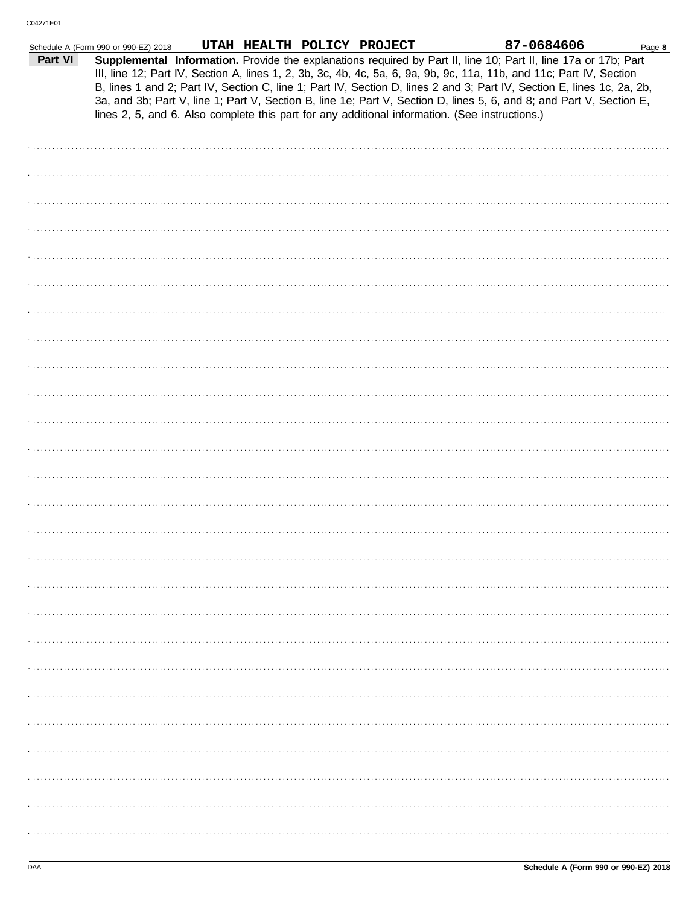|         | Schedule A (Form 990 or 990-EZ) 2018 |  | UTAH HEALTH POLICY PROJECT |                                                                                                | 87-0684606                                                                                                                                                                                                                                                                                                                                                                                                                                                                                | Page 8 |
|---------|--------------------------------------|--|----------------------------|------------------------------------------------------------------------------------------------|-------------------------------------------------------------------------------------------------------------------------------------------------------------------------------------------------------------------------------------------------------------------------------------------------------------------------------------------------------------------------------------------------------------------------------------------------------------------------------------------|--------|
| Part VI |                                      |  |                            | lines 2, 5, and 6. Also complete this part for any additional information. (See instructions.) | Supplemental Information. Provide the explanations required by Part II, line 10; Part II, line 17a or 17b; Part<br>III, line 12; Part IV, Section A, lines 1, 2, 3b, 3c, 4b, 4c, 5a, 6, 9a, 9b, 9c, 11a, 11b, and 11c; Part IV, Section<br>B, lines 1 and 2; Part IV, Section C, line 1; Part IV, Section D, lines 2 and 3; Part IV, Section E, lines 1c, 2a, 2b,<br>3a, and 3b; Part V, line 1; Part V, Section B, line 1e; Part V, Section D, lines 5, 6, and 8; and Part V, Section E, |        |
|         |                                      |  |                            |                                                                                                |                                                                                                                                                                                                                                                                                                                                                                                                                                                                                           |        |
|         |                                      |  |                            |                                                                                                |                                                                                                                                                                                                                                                                                                                                                                                                                                                                                           |        |
|         |                                      |  |                            |                                                                                                |                                                                                                                                                                                                                                                                                                                                                                                                                                                                                           |        |
|         |                                      |  |                            |                                                                                                |                                                                                                                                                                                                                                                                                                                                                                                                                                                                                           |        |
|         |                                      |  |                            |                                                                                                |                                                                                                                                                                                                                                                                                                                                                                                                                                                                                           |        |
|         |                                      |  |                            |                                                                                                |                                                                                                                                                                                                                                                                                                                                                                                                                                                                                           |        |
|         |                                      |  |                            |                                                                                                |                                                                                                                                                                                                                                                                                                                                                                                                                                                                                           |        |
|         |                                      |  |                            |                                                                                                |                                                                                                                                                                                                                                                                                                                                                                                                                                                                                           |        |
|         |                                      |  |                            |                                                                                                |                                                                                                                                                                                                                                                                                                                                                                                                                                                                                           |        |
|         |                                      |  |                            |                                                                                                |                                                                                                                                                                                                                                                                                                                                                                                                                                                                                           |        |
|         |                                      |  |                            |                                                                                                |                                                                                                                                                                                                                                                                                                                                                                                                                                                                                           |        |
|         |                                      |  |                            |                                                                                                |                                                                                                                                                                                                                                                                                                                                                                                                                                                                                           |        |
|         |                                      |  |                            |                                                                                                |                                                                                                                                                                                                                                                                                                                                                                                                                                                                                           |        |
|         |                                      |  |                            |                                                                                                |                                                                                                                                                                                                                                                                                                                                                                                                                                                                                           |        |
|         |                                      |  |                            |                                                                                                |                                                                                                                                                                                                                                                                                                                                                                                                                                                                                           |        |
|         |                                      |  |                            |                                                                                                |                                                                                                                                                                                                                                                                                                                                                                                                                                                                                           |        |
|         |                                      |  |                            |                                                                                                |                                                                                                                                                                                                                                                                                                                                                                                                                                                                                           |        |
|         |                                      |  |                            |                                                                                                |                                                                                                                                                                                                                                                                                                                                                                                                                                                                                           |        |
|         |                                      |  |                            |                                                                                                |                                                                                                                                                                                                                                                                                                                                                                                                                                                                                           |        |
|         |                                      |  |                            |                                                                                                |                                                                                                                                                                                                                                                                                                                                                                                                                                                                                           |        |
|         |                                      |  |                            |                                                                                                |                                                                                                                                                                                                                                                                                                                                                                                                                                                                                           |        |
|         |                                      |  |                            |                                                                                                |                                                                                                                                                                                                                                                                                                                                                                                                                                                                                           |        |
|         |                                      |  |                            |                                                                                                |                                                                                                                                                                                                                                                                                                                                                                                                                                                                                           |        |
|         |                                      |  |                            |                                                                                                |                                                                                                                                                                                                                                                                                                                                                                                                                                                                                           |        |
|         |                                      |  |                            |                                                                                                |                                                                                                                                                                                                                                                                                                                                                                                                                                                                                           |        |
|         |                                      |  |                            |                                                                                                |                                                                                                                                                                                                                                                                                                                                                                                                                                                                                           |        |
|         |                                      |  |                            |                                                                                                |                                                                                                                                                                                                                                                                                                                                                                                                                                                                                           |        |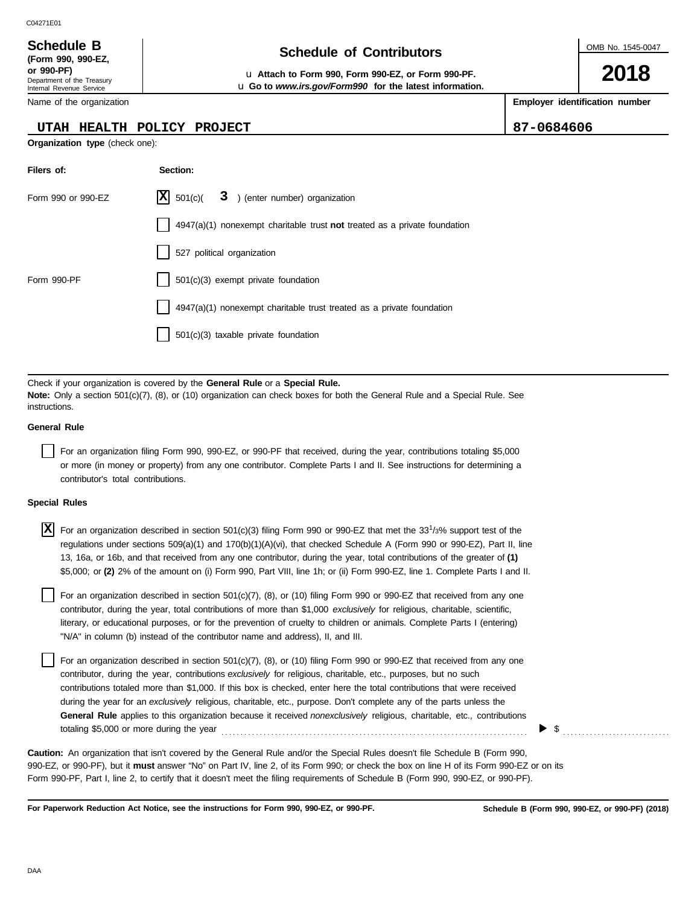| (Form 990, 990-EZ,         |
|----------------------------|
| or 990-PF)                 |
| Department of the Treasury |
| Internal Revenue Service   |

Name of the organization

## **UTAH HEALTH POLICY PROJECT 87-0684606**

**Organization type** (check one):

**Filers of: Section:**

| Schedule B       | <b>Schedule of Contributors</b> |
|------------------|---------------------------------|
| /Earm 000 000.E7 |                                 |

**or 990-PF)** u **Attach to Form 990, Form 990-EZ, or Form 990-PF.** u **Go to** *www.irs.gov/Form990* **for the latest information.** OMB No. 1545-0047

**2018**

**Employer identification number**

| Form 990 or 990-EZ                 | X <br>501(c)<br>3 ) (enter number) organization                                                                                                                                                                                                                                                                                                                                                                                                                                                                                                                                                                                         |  |
|------------------------------------|-----------------------------------------------------------------------------------------------------------------------------------------------------------------------------------------------------------------------------------------------------------------------------------------------------------------------------------------------------------------------------------------------------------------------------------------------------------------------------------------------------------------------------------------------------------------------------------------------------------------------------------------|--|
|                                    | $4947(a)(1)$ nonexempt charitable trust <b>not</b> treated as a private foundation                                                                                                                                                                                                                                                                                                                                                                                                                                                                                                                                                      |  |
|                                    | 527 political organization                                                                                                                                                                                                                                                                                                                                                                                                                                                                                                                                                                                                              |  |
| Form 990-PF                        | 501(c)(3) exempt private foundation                                                                                                                                                                                                                                                                                                                                                                                                                                                                                                                                                                                                     |  |
|                                    | 4947(a)(1) nonexempt charitable trust treated as a private foundation                                                                                                                                                                                                                                                                                                                                                                                                                                                                                                                                                                   |  |
|                                    | 501(c)(3) taxable private foundation                                                                                                                                                                                                                                                                                                                                                                                                                                                                                                                                                                                                    |  |
|                                    |                                                                                                                                                                                                                                                                                                                                                                                                                                                                                                                                                                                                                                         |  |
| instructions.                      | Check if your organization is covered by the General Rule or a Special Rule.<br>Note: Only a section 501(c)(7), (8), or (10) organization can check boxes for both the General Rule and a Special Rule. See                                                                                                                                                                                                                                                                                                                                                                                                                             |  |
| <b>General Rule</b>                |                                                                                                                                                                                                                                                                                                                                                                                                                                                                                                                                                                                                                                         |  |
| contributor's total contributions. | For an organization filing Form 990, 990-EZ, or 990-PF that received, during the year, contributions totaling \$5,000<br>or more (in money or property) from any one contributor. Complete Parts I and II. See instructions for determining a                                                                                                                                                                                                                                                                                                                                                                                           |  |
| <b>Special Rules</b>               |                                                                                                                                                                                                                                                                                                                                                                                                                                                                                                                                                                                                                                         |  |
| ΙX                                 | For an organization described in section 501(c)(3) filing Form 990 or 990-EZ that met the 33 <sup>1</sup> /3% support test of the<br>regulations under sections $509(a)(1)$ and $170(b)(1)(A)(vi)$ , that checked Schedule A (Form 990 or 990-EZ), Part II, line<br>13, 16a, or 16b, and that received from any one contributor, during the year, total contributions of the greater of (1)<br>\$5,000; or (2) 2% of the amount on (i) Form 990, Part VIII, line 1h; or (ii) Form 990-EZ, line 1. Complete Parts I and II.                                                                                                              |  |
|                                    | For an organization described in section 501(c)(7), (8), or (10) filing Form 990 or 990-EZ that received from any one<br>contributor, during the year, total contributions of more than \$1,000 exclusively for religious, charitable, scientific,<br>literary, or educational purposes, or for the prevention of cruelty to children or animals. Complete Parts I (entering)<br>"N/A" in column (b) instead of the contributor name and address), II, and III.                                                                                                                                                                         |  |
|                                    | For an organization described in section 501(c)(7), (8), or (10) filing Form 990 or 990-EZ that received from any one<br>contributor, during the year, contributions exclusively for religious, charitable, etc., purposes, but no such<br>contributions totaled more than \$1,000. If this box is checked, enter here the total contributions that were received<br>during the year for an exclusively religious, charitable, etc., purpose. Don't complete any of the parts unless the<br><b>General Rule</b> applies to this organization because it received <i>nonexclusively</i> religious, charitable, etc., contributions<br>\$ |  |
|                                    | <b>Caution:</b> An organization that isn't covered by the General Rule and/or the Special Rules doesn't file Schedule B (Form 990,<br>990-EZ, or 990-PF), but it must answer "No" on Part IV, line 2, of its Form 990; or check the box on line H of its Form 990-EZ or on its<br>Form 990-PF, Part I, line 2, to certify that it doesn't meet the filing requirements of Schedule B (Form 990, 990-EZ, or 990-PF).                                                                                                                                                                                                                     |  |

**For Paperwork Reduction Act Notice, see the instructions for Form 990, 990-EZ, or 990-PF.**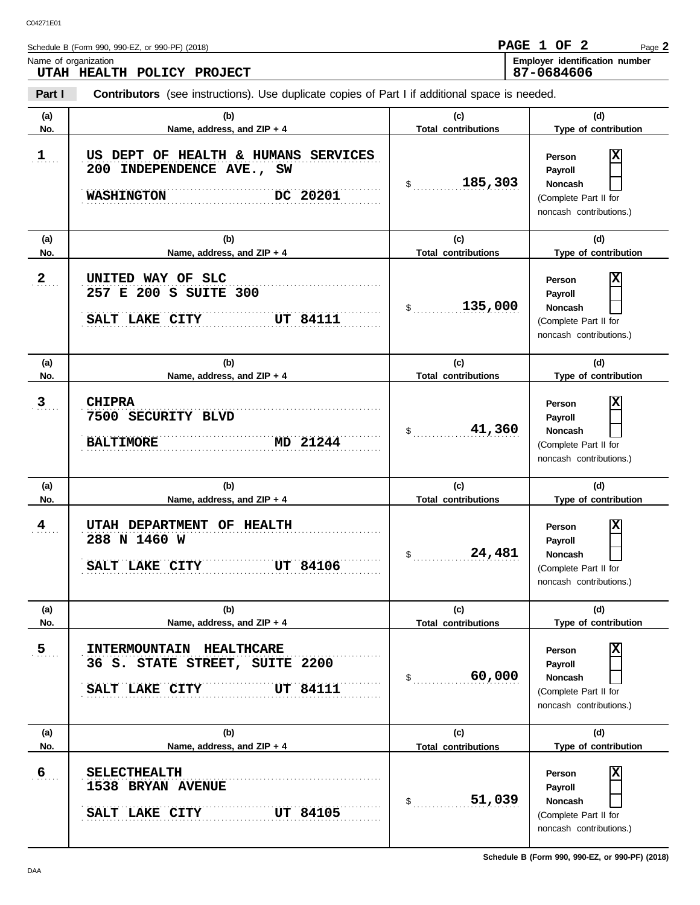|                      | Schedule B (Form 990, 990-EZ, or 990-PF) (2018)                                                       |                                   | PAGE 1 OF<br>$\mathbf{2}$<br>Page 2                                                          |
|----------------------|-------------------------------------------------------------------------------------------------------|-----------------------------------|----------------------------------------------------------------------------------------------|
| Name of organization |                                                                                                       |                                   | Employer identification number<br>87-0684606                                                 |
|                      | UTAH HEALTH POLICY PROJECT                                                                            |                                   |                                                                                              |
| Part I               | <b>Contributors</b> (see instructions). Use duplicate copies of Part I if additional space is needed. |                                   |                                                                                              |
| (a)<br>No.           | (b)<br>Name, address, and ZIP + 4                                                                     | (c)<br><b>Total contributions</b> | (d)<br>Type of contribution                                                                  |
| $\mathbf{1}$         | US DEPT OF HEALTH & HUMANS SERVICES<br>200 INDEPENDENCE AVE., SW<br><b>WASHINGTON</b><br>DC 20201     | 185,303<br>\$                     | Person<br>Payroll<br><b>Noncash</b><br>(Complete Part II for<br>noncash contributions.)      |
| (a)<br>No.           | (b)<br>Name, address, and ZIP + 4                                                                     | (c)<br><b>Total contributions</b> | (d)<br>Type of contribution                                                                  |
| 2                    | UNITED WAY OF SLC<br>257 E 200 S SUITE 300<br><b>UT 84111</b><br>SALT LAKE CITY                       | 135,000<br>\$                     | Person<br>Payroll<br><b>Noncash</b><br>(Complete Part II for<br>noncash contributions.)      |
| (a)<br>No.           | (b)<br>Name, address, and ZIP + 4                                                                     | (c)<br><b>Total contributions</b> | (d)<br>Type of contribution                                                                  |
| 3 <sub>1</sub>       | <b>CHIPRA</b><br><u>.</u><br>7500 SECURITY BLVD<br><b>BALTIMORE</b><br>MD 21244                       | 41,360<br>\$                      | Person<br>Payroll<br><b>Noncash</b><br>(Complete Part II for<br>noncash contributions.)      |
| (a)<br>No.           | (b)<br>Name, address, and ZIP + 4                                                                     | (c)<br><b>Total contributions</b> | (d)<br>Type of contribution                                                                  |
| $\frac{4}{1}$        | UTAH DEPARTMENT OF HEALTH<br>288 N 1460 W<br><b>UT 84106</b><br>SALT LAKE CITY                        | 24,481<br>\$                      | х<br>Person<br><b>Payroll</b><br>Noncash<br>(Complete Part II for<br>noncash contributions.) |
| (a)<br>No.           | (b)<br>Name, address, and ZIP + 4                                                                     | (c)<br><b>Total contributions</b> | (d)<br>Type of contribution                                                                  |
| $5$                  | INTERMOUNTAIN HEALTHCARE<br>36 S. STATE STREET, SUITE 2200<br><b>UT 84111</b><br>SALT LAKE CITY       | 60,000<br>$\mathsf{\$}$           | х<br>Person<br>Payroll<br><b>Noncash</b><br>(Complete Part II for<br>noncash contributions.) |
| (a)                  | (b)                                                                                                   | (c)                               | (d)                                                                                          |
| No.                  | Name, address, and ZIP + 4                                                                            | <b>Total contributions</b>        | Type of contribution                                                                         |
| 6                    | <b>SELECTHEALTH</b><br><b>1538 BRYAN AVENUE</b><br>SALT LAKE CITY<br><b>UT 84105</b>                  | 51,039<br>$\mathsf{\$}$           | х<br>Person<br>Payroll<br>Noncash<br>(Complete Part II for<br>noncash contributions.)        |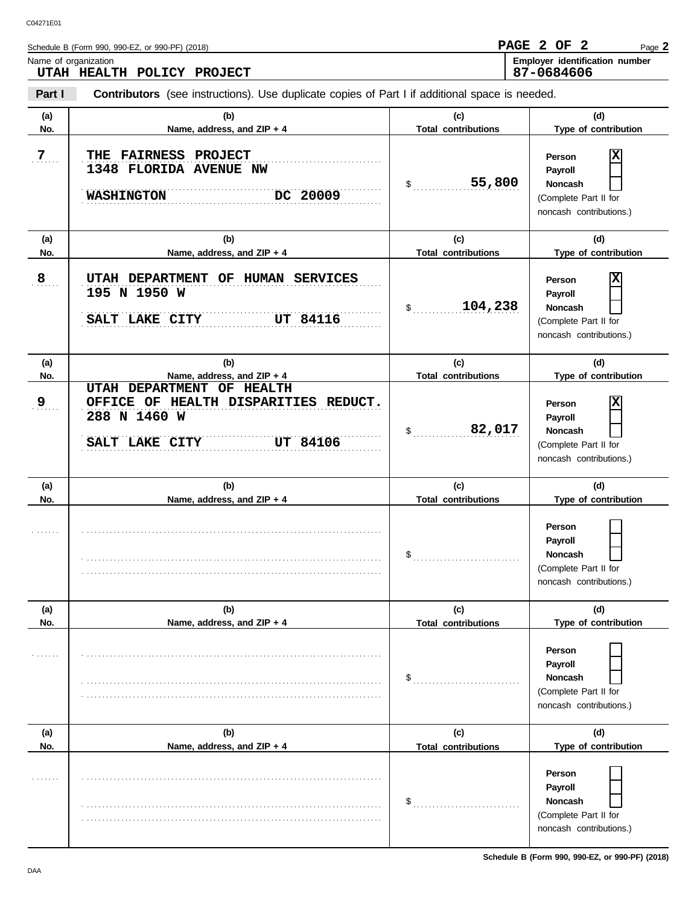|                      | Schedule B (Form 990, 990-EZ, or 990-PF) (2018)                                                                        |                                   | PAGE 2 OF<br>$\mathbf{2}$<br>Page 2                                                                      |
|----------------------|------------------------------------------------------------------------------------------------------------------------|-----------------------------------|----------------------------------------------------------------------------------------------------------|
| Name of organization | UTAH HEALTH POLICY PROJECT                                                                                             |                                   | Employer identification number<br>87-0684606                                                             |
| Part I               | Contributors (see instructions). Use duplicate copies of Part I if additional space is needed.                         |                                   |                                                                                                          |
| (a)<br>No.           | (b)<br>Name, address, and ZIP + 4                                                                                      | (c)<br><b>Total contributions</b> | (d)<br>Type of contribution                                                                              |
| 7.                   | <b>THE FAIRNESS PROJECT</b><br><b>1348 FLORIDA AVENUE NW</b><br>DC 20009<br><b>WASHINGTON</b>                          | 55,800<br>\$                      | х<br>Person<br>Payroll<br><b>Noncash</b><br>(Complete Part II for<br>noncash contributions.)             |
| (a)<br>No.           | (b)<br>Name, address, and ZIP + 4                                                                                      | (c)<br><b>Total contributions</b> | (d)<br>Type of contribution                                                                              |
| 8                    | UTAH DEPARTMENT OF HUMAN SERVICES<br>195 N 1950 W<br>SALT LAKE CITY<br><b>UT 84116</b>                                 | 104,238<br>\$                     | х<br>Person<br>Payroll<br><b>Noncash</b><br>(Complete Part II for<br>noncash contributions.)             |
| (a)<br>No.           | (b)<br>Name, address, and ZIP + 4                                                                                      | (c)<br><b>Total contributions</b> | (d)<br>Type of contribution                                                                              |
| 9                    | UTAH DEPARTMENT OF HEALTH<br>OFFICE OF HEALTH DISPARITIES REDUCT.<br>288 N 1460 W<br>SALT LAKE CITY<br><b>UT 84106</b> | 82,017<br>\$                      | х<br>Person<br>Payroll<br><b>Noncash</b><br>(Complete Part II for<br>noncash contributions.)             |
| (a)<br>No.           | (b)<br>Name, address, and ZIP + 4                                                                                      | (c)<br><b>Total contributions</b> | (d)<br>Type of contribution                                                                              |
|                      |                                                                                                                        | \$                                | Person<br>Payroll<br>Noncash<br>(Complete Part II for<br>noncash contributions.)                         |
| (a)<br>No.           | (b)<br>Name, address, and ZIP + 4                                                                                      | (c)<br><b>Total contributions</b> | (d)<br>Type of contribution                                                                              |
| 1.1.1.1.1            |                                                                                                                        | \$                                | Person<br>Payroll<br>Noncash<br>(Complete Part II for<br>noncash contributions.)                         |
| (a)                  | (b)                                                                                                                    | (c)                               | (d)                                                                                                      |
| No.                  | Name, address, and ZIP + 4                                                                                             | <b>Total contributions</b><br>\$  | Type of contribution<br>Person<br>Payroll<br>Noncash<br>(Complete Part II for<br>noncash contributions.) |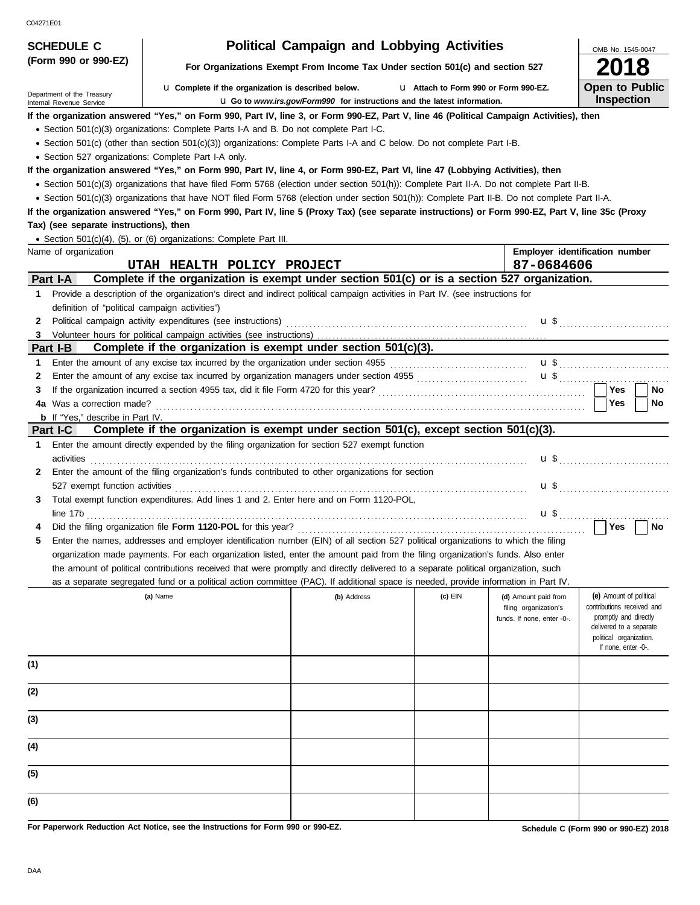| CU4Z I LUI                                           |                                                                                                                                                                                                                                                                               |                                                                                 |                                       |                                               |                                                       |  |  |  |
|------------------------------------------------------|-------------------------------------------------------------------------------------------------------------------------------------------------------------------------------------------------------------------------------------------------------------------------------|---------------------------------------------------------------------------------|---------------------------------------|-----------------------------------------------|-------------------------------------------------------|--|--|--|
| <b>SCHEDULE C</b><br>(Form 990 or 990-EZ)            |                                                                                                                                                                                                                                                                               | <b>Political Campaign and Lobbying Activities</b>                               |                                       |                                               | OMB No. 1545-0047                                     |  |  |  |
|                                                      |                                                                                                                                                                                                                                                                               | For Organizations Exempt From Income Tax Under section 501(c) and section 527   |                                       |                                               |                                                       |  |  |  |
| Department of the Treasury                           | <b>u</b> Complete if the organization is described below.                                                                                                                                                                                                                     |                                                                                 | L1 Attach to Form 990 or Form 990-EZ. |                                               | <b>Open to Public</b>                                 |  |  |  |
| Internal Revenue Service                             |                                                                                                                                                                                                                                                                               | <b>u</b> Go to www.irs.gov/Form990 for instructions and the latest information. |                                       |                                               | <b>Inspection</b>                                     |  |  |  |
|                                                      | If the organization answered "Yes," on Form 990, Part IV, line 3, or Form 990-EZ, Part V, line 46 (Political Campaign Activities), then                                                                                                                                       |                                                                                 |                                       |                                               |                                                       |  |  |  |
|                                                      | • Section 501(c)(3) organizations: Complete Parts I-A and B. Do not complete Part I-C.                                                                                                                                                                                        |                                                                                 |                                       |                                               |                                                       |  |  |  |
|                                                      | • Section 501(c) (other than section 501(c)(3)) organizations: Complete Parts I-A and C below. Do not complete Part I-B.                                                                                                                                                      |                                                                                 |                                       |                                               |                                                       |  |  |  |
| • Section 527 organizations: Complete Part I-A only. |                                                                                                                                                                                                                                                                               |                                                                                 |                                       |                                               |                                                       |  |  |  |
|                                                      | If the organization answered "Yes," on Form 990, Part IV, line 4, or Form 990-EZ, Part VI, line 47 (Lobbying Activities), then<br>• Section 501(c)(3) organizations that have filed Form 5768 (election under section 501(h)): Complete Part II-A. Do not complete Part II-B. |                                                                                 |                                       |                                               |                                                       |  |  |  |
|                                                      | • Section 501(c)(3) organizations that have NOT filed Form 5768 (election under section 501(h)): Complete Part II-B. Do not complete Part II-A.                                                                                                                               |                                                                                 |                                       |                                               |                                                       |  |  |  |
|                                                      | If the organization answered "Yes," on Form 990, Part IV, line 5 (Proxy Tax) (see separate instructions) or Form 990-EZ, Part V, line 35c (Proxy                                                                                                                              |                                                                                 |                                       |                                               |                                                       |  |  |  |
| Tax) (see separate instructions), then               |                                                                                                                                                                                                                                                                               |                                                                                 |                                       |                                               |                                                       |  |  |  |
|                                                      | • Section 501(c)(4), (5), or (6) organizations: Complete Part III.                                                                                                                                                                                                            |                                                                                 |                                       |                                               |                                                       |  |  |  |
| Name of organization                                 |                                                                                                                                                                                                                                                                               |                                                                                 |                                       |                                               | Employer identification number                        |  |  |  |
| 87-0684606<br>UTAH HEALTH POLICY PROJECT             |                                                                                                                                                                                                                                                                               |                                                                                 |                                       |                                               |                                                       |  |  |  |
| Part I-A                                             | Complete if the organization is exempt under section 501(c) or is a section 527 organization.                                                                                                                                                                                 |                                                                                 |                                       |                                               |                                                       |  |  |  |
| 1                                                    | Provide a description of the organization's direct and indirect political campaign activities in Part IV. (see instructions for                                                                                                                                               |                                                                                 |                                       |                                               |                                                       |  |  |  |
| definition of "political campaign activities")       |                                                                                                                                                                                                                                                                               |                                                                                 |                                       |                                               |                                                       |  |  |  |
| 2                                                    | Political campaign activity expenditures (see instructions) maturities contains and contained an activity expenditures (see instructions) maturities and contained and contained and contained and contained and contained and                                                |                                                                                 |                                       |                                               |                                                       |  |  |  |
| 3                                                    |                                                                                                                                                                                                                                                                               |                                                                                 |                                       |                                               |                                                       |  |  |  |
| Part I-B<br>1                                        | Complete if the organization is exempt under section 501(c)(3).                                                                                                                                                                                                               |                                                                                 |                                       |                                               |                                                       |  |  |  |
| 2                                                    |                                                                                                                                                                                                                                                                               |                                                                                 |                                       |                                               | <b>u</b> \$                                           |  |  |  |
| 3                                                    |                                                                                                                                                                                                                                                                               |                                                                                 |                                       |                                               | Yes  <br>No                                           |  |  |  |
|                                                      |                                                                                                                                                                                                                                                                               |                                                                                 |                                       |                                               | Yes<br>No                                             |  |  |  |
| <b>b</b> If "Yes," describe in Part IV.              |                                                                                                                                                                                                                                                                               |                                                                                 |                                       |                                               |                                                       |  |  |  |
| Part I-C                                             | Complete if the organization is exempt under section 501(c), except section 501(c)(3).                                                                                                                                                                                        |                                                                                 |                                       |                                               |                                                       |  |  |  |
| 1                                                    | Enter the amount directly expended by the filing organization for section 527 exempt function                                                                                                                                                                                 |                                                                                 |                                       |                                               |                                                       |  |  |  |
| activities<br>2                                      | Enter the amount of the filing organization's funds contributed to other organizations for section                                                                                                                                                                            |                                                                                 |                                       |                                               | <b>u</b> \$                                           |  |  |  |
|                                                      |                                                                                                                                                                                                                                                                               |                                                                                 |                                       |                                               |                                                       |  |  |  |
| 3                                                    | Total exempt function expenditures. Add lines 1 and 2. Enter here and on Form 1120-POL,                                                                                                                                                                                       |                                                                                 |                                       |                                               |                                                       |  |  |  |
|                                                      |                                                                                                                                                                                                                                                                               |                                                                                 |                                       |                                               |                                                       |  |  |  |
|                                                      |                                                                                                                                                                                                                                                                               |                                                                                 |                                       |                                               | │ Yes<br>No                                           |  |  |  |
| 5                                                    | Enter the names, addresses and employer identification number (EIN) of all section 527 political organizations to which the filing                                                                                                                                            |                                                                                 |                                       |                                               |                                                       |  |  |  |
|                                                      | organization made payments. For each organization listed, enter the amount paid from the filing organization's funds. Also enter                                                                                                                                              |                                                                                 |                                       |                                               |                                                       |  |  |  |
|                                                      | the amount of political contributions received that were promptly and directly delivered to a separate political organization, such                                                                                                                                           |                                                                                 |                                       |                                               |                                                       |  |  |  |
|                                                      | as a separate segregated fund or a political action committee (PAC). If additional space is needed, provide information in Part IV.                                                                                                                                           |                                                                                 |                                       |                                               |                                                       |  |  |  |
|                                                      | (a) Name                                                                                                                                                                                                                                                                      | (b) Address                                                                     | (c) EIN                               | (d) Amount paid from<br>filing organization's | (e) Amount of political<br>contributions received and |  |  |  |
|                                                      |                                                                                                                                                                                                                                                                               |                                                                                 |                                       | funds. If none, enter -0-.                    | promptly and directly                                 |  |  |  |
|                                                      |                                                                                                                                                                                                                                                                               |                                                                                 |                                       |                                               | delivered to a separate<br>political organization.    |  |  |  |
|                                                      |                                                                                                                                                                                                                                                                               |                                                                                 |                                       |                                               | If none, enter -0-.                                   |  |  |  |
| (1)                                                  |                                                                                                                                                                                                                                                                               |                                                                                 |                                       |                                               |                                                       |  |  |  |
|                                                      |                                                                                                                                                                                                                                                                               |                                                                                 |                                       |                                               |                                                       |  |  |  |
| (2)                                                  |                                                                                                                                                                                                                                                                               |                                                                                 |                                       |                                               |                                                       |  |  |  |
|                                                      |                                                                                                                                                                                                                                                                               |                                                                                 |                                       |                                               |                                                       |  |  |  |
| (3)                                                  |                                                                                                                                                                                                                                                                               |                                                                                 |                                       |                                               |                                                       |  |  |  |
| (4)                                                  |                                                                                                                                                                                                                                                                               |                                                                                 |                                       |                                               |                                                       |  |  |  |
| (5)                                                  |                                                                                                                                                                                                                                                                               |                                                                                 |                                       |                                               |                                                       |  |  |  |
| (6)                                                  |                                                                                                                                                                                                                                                                               |                                                                                 |                                       |                                               |                                                       |  |  |  |
|                                                      |                                                                                                                                                                                                                                                                               |                                                                                 |                                       |                                               |                                                       |  |  |  |

**For Paperwork Reduction Act Notice, see the Instructions for Form 990 or 990-EZ.**

**Schedule C (Form 990 or 990-EZ) 2018**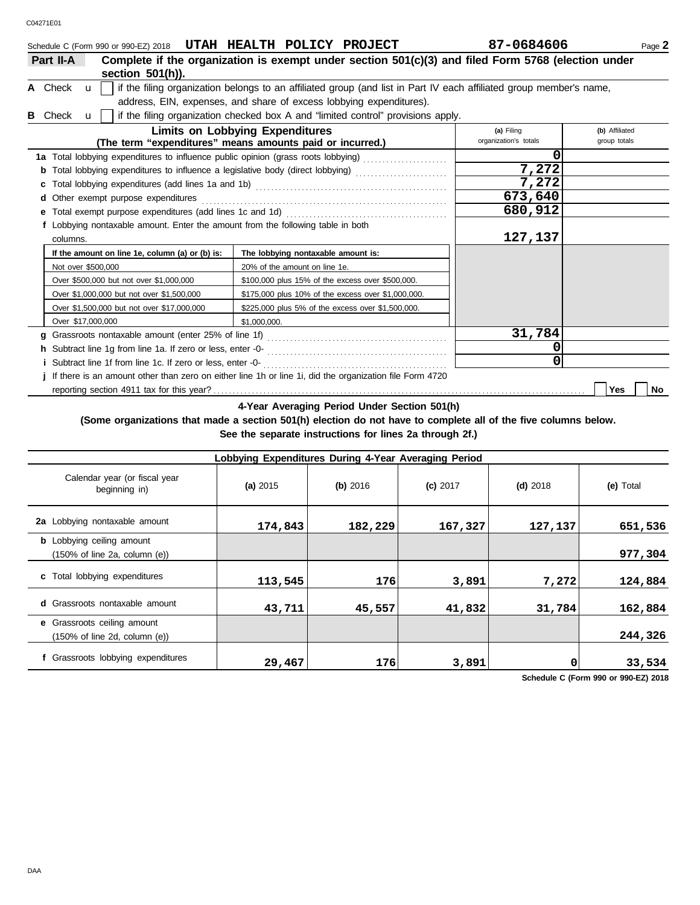| HEALTH POLICY PROJECT<br>UTAH<br>Schedule C (Form 990 or 990-EZ) 2018                                                              | 87-0684606                          | Page 2                         |  |  |  |  |
|------------------------------------------------------------------------------------------------------------------------------------|-------------------------------------|--------------------------------|--|--|--|--|
| Complete if the organization is exempt under section 501(c)(3) and filed Form 5768 (election under<br>Part II-A                    |                                     |                                |  |  |  |  |
| section $501(h)$ ).                                                                                                                |                                     |                                |  |  |  |  |
| if the filing organization belongs to an affiliated group (and list in Part IV each affiliated group member's name,<br>A Check u l |                                     |                                |  |  |  |  |
| address, EIN, expenses, and share of excess lobbying expenditures).                                                                |                                     |                                |  |  |  |  |
| If the filing organization checked box A and "limited control" provisions apply.<br>B Check u                                      |                                     |                                |  |  |  |  |
| <b>Limits on Lobbying Expenditures</b><br>(The term "expenditures" means amounts paid or incurred.)                                | (a) Filing<br>organization's totals | (b) Affiliated<br>group totals |  |  |  |  |
| 1a Total lobbying expenditures to influence public opinion (grass roots lobbying)                                                  |                                     |                                |  |  |  |  |
| h Total lobbying ovanadityon to influence a logiclative body (direct lobbying)                                                     | ר פרי                               |                                |  |  |  |  |

|                                                                                 | 7,272                                                                                                     |         |           |
|---------------------------------------------------------------------------------|-----------------------------------------------------------------------------------------------------------|---------|-----------|
|                                                                                 |                                                                                                           | 7,272   |           |
| d Other exempt purpose expenditures                                             |                                                                                                           | 673,640 |           |
|                                                                                 |                                                                                                           | 680,912 |           |
| f Lobbying nontaxable amount. Enter the amount from the following table in both |                                                                                                           |         |           |
| columns.                                                                        | 127,137                                                                                                   |         |           |
| If the amount on line 1e, column (a) or (b) is:                                 | The lobbying nontaxable amount is:                                                                        |         |           |
| Not over \$500,000                                                              | 20% of the amount on line 1e.                                                                             |         |           |
| Over \$500,000 but not over \$1,000,000                                         | \$100,000 plus 15% of the excess over \$500,000.                                                          |         |           |
| Over \$1,000,000 but not over \$1,500,000                                       | \$175,000 plus 10% of the excess over \$1,000,000.                                                        |         |           |
| Over \$1,500,000 but not over \$17,000,000                                      | \$225,000 plus 5% of the excess over \$1,500,000.                                                         |         |           |
| Over \$17,000,000                                                               | \$1,000,000.                                                                                              |         |           |
|                                                                                 |                                                                                                           | 31,784  |           |
|                                                                                 |                                                                                                           |         |           |
| i Subtract line 1f from line 1c. If zero or less, enter -0-                     |                                                                                                           |         |           |
|                                                                                 | j If there is an amount other than zero on either line 1h or line 1i, did the organization file Form 4720 |         |           |
|                                                                                 |                                                                                                           |         | Yes<br>No |

**4-Year Averaging Period Under Section 501(h)**

**(Some organizations that made a section 501(h) election do not have to complete all of the five columns below. See the separate instructions for lines 2a through 2f.)**

| Lobbying Expenditures During 4-Year Averaging Period                                   |          |            |            |            |           |  |  |  |  |  |  |
|----------------------------------------------------------------------------------------|----------|------------|------------|------------|-----------|--|--|--|--|--|--|
| Calendar year (or fiscal year<br>beginning in)                                         | (a) 2015 | $(b)$ 2016 | $(c)$ 2017 | $(d)$ 2018 | (e) Total |  |  |  |  |  |  |
| 2a Lobbying nontaxable amount                                                          | 174,843  | 182,229    | 167,327    | 127,137    | 651,536   |  |  |  |  |  |  |
| <b>b</b> Lobbying ceiling amount<br>$(150\% \text{ of line } 2a, \text{ column } (e))$ |          |            |            |            | 977,304   |  |  |  |  |  |  |
| c Total lobbying expenditures                                                          | 113,545  | 176        | 3,891      | 7,272      | 124,884   |  |  |  |  |  |  |
| <b>d</b> Grassroots nontaxable amount                                                  | 43,711   | 45,557     | 41,832     | 31,784     | 162,884   |  |  |  |  |  |  |
| e Grassroots ceiling amount<br>$(150\% \text{ of line } 2d, \text{ column } (e))$      |          |            |            |            | 244,326   |  |  |  |  |  |  |
| f Grassroots lobbying expenditures                                                     | 29,467   | 1761       | 3,891      | 0          | 33,534    |  |  |  |  |  |  |

**Schedule C (Form 990 or 990-EZ) 2018**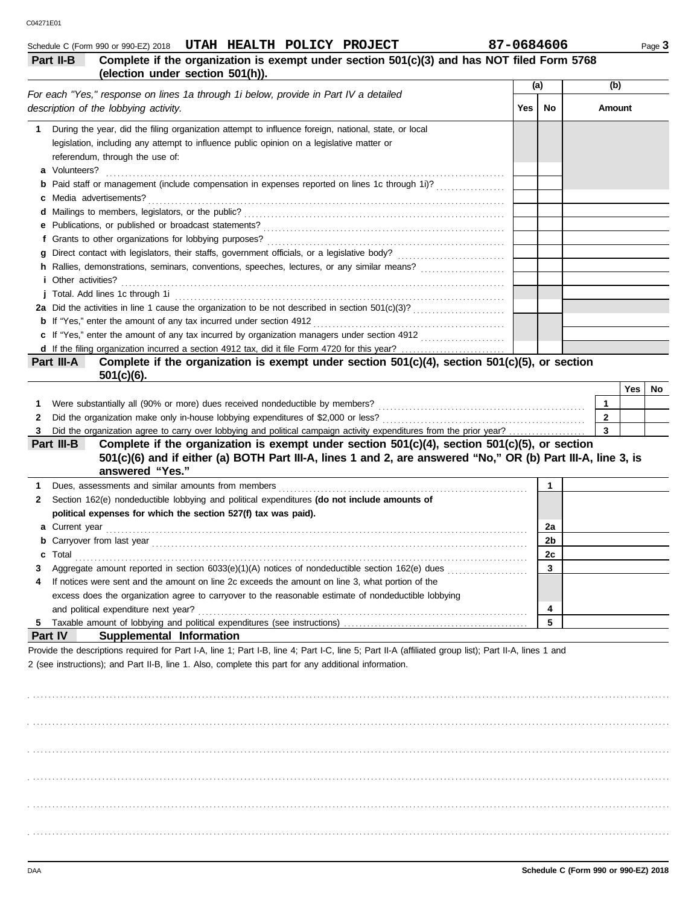| 1            | During the year, did the filing organization attempt to influence foreign, national, state, or local                                                                                                                                      |             |                                      |              |     |     |
|--------------|-------------------------------------------------------------------------------------------------------------------------------------------------------------------------------------------------------------------------------------------|-------------|--------------------------------------|--------------|-----|-----|
|              | legislation, including any attempt to influence public opinion on a legislative matter or                                                                                                                                                 |             |                                      |              |     |     |
|              | referendum, through the use of:                                                                                                                                                                                                           |             |                                      |              |     |     |
|              | a Volunteers?                                                                                                                                                                                                                             |             |                                      |              |     |     |
|              | <b>b</b> Paid staff or management (include compensation in expenses reported on lines 1c through 1i)?                                                                                                                                     |             |                                      |              |     |     |
|              |                                                                                                                                                                                                                                           |             |                                      |              |     |     |
|              |                                                                                                                                                                                                                                           |             |                                      |              |     |     |
|              |                                                                                                                                                                                                                                           |             |                                      |              |     |     |
|              |                                                                                                                                                                                                                                           |             |                                      |              |     |     |
|              |                                                                                                                                                                                                                                           |             |                                      |              |     |     |
|              |                                                                                                                                                                                                                                           |             |                                      |              |     |     |
|              | <i>i</i> Other activities?                                                                                                                                                                                                                |             |                                      |              |     |     |
|              |                                                                                                                                                                                                                                           |             |                                      |              |     |     |
|              | 2a Did the activities in line 1 cause the organization to be not described in section 501(c)(3)?                                                                                                                                          |             |                                      |              |     |     |
|              |                                                                                                                                                                                                                                           |             |                                      |              |     |     |
|              |                                                                                                                                                                                                                                           |             |                                      |              |     |     |
|              | d If the filing organization incurred a section 4912 tax, did it file Form 4720 for this year?                                                                                                                                            |             |                                      |              |     |     |
|              | Complete if the organization is exempt under section 501(c)(4), section 501(c)(5), or section<br>Part III-A                                                                                                                               |             |                                      |              |     |     |
|              | $501(c)(6)$ .                                                                                                                                                                                                                             |             |                                      |              |     |     |
|              |                                                                                                                                                                                                                                           |             |                                      |              | Yes | No. |
| 1            |                                                                                                                                                                                                                                           |             |                                      | $\mathbf{1}$ |     |     |
| 2            |                                                                                                                                                                                                                                           |             |                                      | $\mathbf{2}$ |     |     |
| 3            | Did the organization agree to carry over lobbying and political campaign activity expenditures from the prior year?                                                                                                                       |             |                                      | 3            |     |     |
|              | Complete if the organization is exempt under section 501(c)(4), section 501(c)(5), or section<br>Part III-B                                                                                                                               |             |                                      |              |     |     |
|              | 501(c)(6) and if either (a) BOTH Part III-A, lines 1 and 2, are answered "No," OR (b) Part III-A, line 3, is                                                                                                                              |             |                                      |              |     |     |
|              | answered "Yes."                                                                                                                                                                                                                           |             |                                      |              |     |     |
| 1            | Dues, assessments and similar amounts from members [11] contained as a set of the system of states and similar                                                                                                                            | $\mathbf 1$ |                                      |              |     |     |
| $\mathbf{z}$ | Section 162(e) nondeductible lobbying and political expenditures (do not include amounts of                                                                                                                                               |             |                                      |              |     |     |
|              | political expenses for which the section 527(f) tax was paid).                                                                                                                                                                            |             |                                      |              |     |     |
|              |                                                                                                                                                                                                                                           | 2a          |                                      |              |     |     |
|              | <b>b</b> Carryover from last year <i>manufacture content of the content of the content of the content of the content of the content of the content of the content of the content of the content of the content of the content of the </i> | 2b          |                                      |              |     |     |
| с            |                                                                                                                                                                                                                                           | 2c          |                                      |              |     |     |
| 3            |                                                                                                                                                                                                                                           | 3           |                                      |              |     |     |
| 4            | If notices were sent and the amount on line 2c exceeds the amount on line 3, what portion of the                                                                                                                                          |             |                                      |              |     |     |
|              | excess does the organization agree to carryover to the reasonable estimate of nondeductible lobbying                                                                                                                                      |             |                                      |              |     |     |
|              |                                                                                                                                                                                                                                           | 4           |                                      |              |     |     |
|              |                                                                                                                                                                                                                                           | 5           |                                      |              |     |     |
|              | Part IV<br><b>Supplemental Information</b>                                                                                                                                                                                                |             |                                      |              |     |     |
|              | Provide the descriptions required for Part I-A, line 1; Part I-B, line 4; Part I-C, line 5; Part II-A (affiliated group list); Part II-A, lines 1 and                                                                                     |             |                                      |              |     |     |
|              | 2 (see instructions); and Part II-B, line 1. Also, complete this part for any additional information.                                                                                                                                     |             |                                      |              |     |     |
|              |                                                                                                                                                                                                                                           |             |                                      |              |     |     |
|              |                                                                                                                                                                                                                                           |             |                                      |              |     |     |
|              |                                                                                                                                                                                                                                           |             |                                      |              |     |     |
|              |                                                                                                                                                                                                                                           |             |                                      |              |     |     |
|              |                                                                                                                                                                                                                                           |             |                                      |              |     |     |
|              |                                                                                                                                                                                                                                           |             |                                      |              |     |     |
|              |                                                                                                                                                                                                                                           |             |                                      |              |     |     |
|              |                                                                                                                                                                                                                                           |             |                                      |              |     |     |
|              |                                                                                                                                                                                                                                           |             |                                      |              |     |     |
|              |                                                                                                                                                                                                                                           |             |                                      |              |     |     |
|              |                                                                                                                                                                                                                                           |             |                                      |              |     |     |
|              |                                                                                                                                                                                                                                           |             |                                      |              |     |     |
|              |                                                                                                                                                                                                                                           |             |                                      |              |     |     |
|              |                                                                                                                                                                                                                                           |             |                                      |              |     |     |
|              |                                                                                                                                                                                                                                           |             |                                      |              |     |     |
| DAA          |                                                                                                                                                                                                                                           |             | Schedule C (Form 990 or 990-EZ) 2018 |              |     |     |
|              |                                                                                                                                                                                                                                           |             |                                      |              |     |     |

**Part II-B Complete if the organization is exempt under section 501(c)(3) and has NOT filed Form 5768**

**(election under section 501(h)).**

*For each "Yes," response on lines 1a through 1i below, provide in Part IV a detailed* 

*description of the lobbying activity.*

Schedule C (Form 990 or 990-EZ) 2018 **UTAH HEALTH POLICY PROJECT** 87-0684606 Page 3

**No Amount**

**(a) (b)**

**Yes**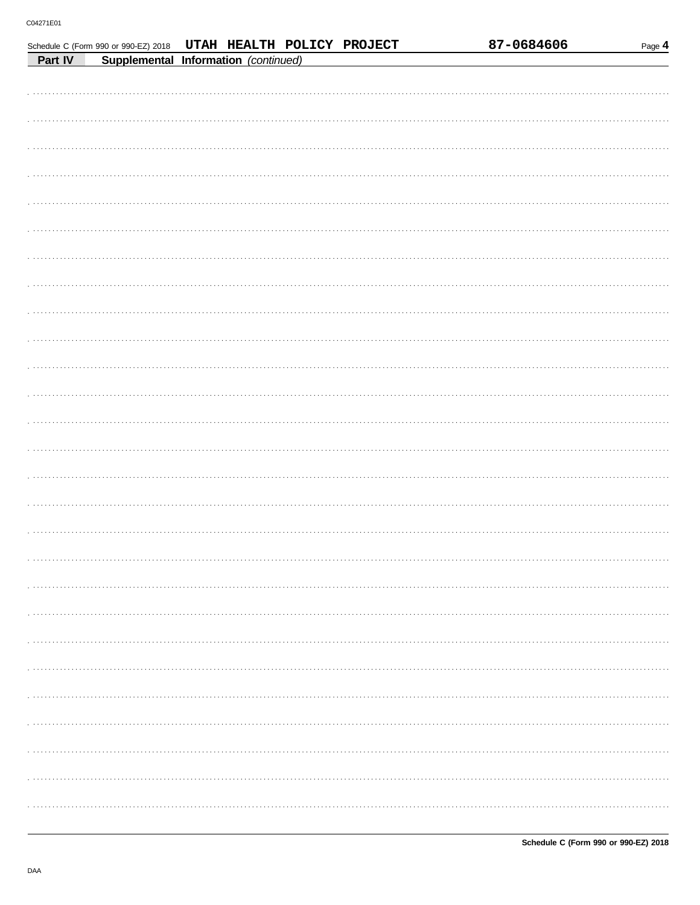|         | Schedule C (Form 990 or 990-EZ) 2018 | UTAH HEALTH POLICY PROJECT |  |  | 87-0684606 | Page 4 |
|---------|--------------------------------------|----------------------------|--|--|------------|--------|
| Part IV | Supplemental Information (continued) |                            |  |  |            |        |
|         |                                      |                            |  |  |            |        |
|         |                                      |                            |  |  |            |        |
|         |                                      |                            |  |  |            |        |
|         |                                      |                            |  |  |            |        |
|         |                                      |                            |  |  |            |        |
|         |                                      |                            |  |  |            |        |
|         |                                      |                            |  |  |            |        |
|         |                                      |                            |  |  |            |        |
|         |                                      |                            |  |  |            |        |
|         |                                      |                            |  |  |            |        |
|         |                                      |                            |  |  |            |        |
|         |                                      |                            |  |  |            |        |
|         |                                      |                            |  |  |            |        |
|         |                                      |                            |  |  |            |        |
|         |                                      |                            |  |  |            |        |
|         |                                      |                            |  |  |            |        |
|         |                                      |                            |  |  |            |        |
|         |                                      |                            |  |  |            |        |
|         |                                      |                            |  |  |            |        |
|         |                                      |                            |  |  |            |        |
|         |                                      |                            |  |  |            |        |
|         |                                      |                            |  |  |            |        |
|         |                                      |                            |  |  |            |        |
|         |                                      |                            |  |  |            |        |
|         |                                      |                            |  |  |            |        |
|         |                                      |                            |  |  |            |        |
|         |                                      |                            |  |  |            |        |
|         |                                      |                            |  |  |            |        |
|         |                                      |                            |  |  |            |        |
|         |                                      |                            |  |  |            |        |
|         |                                      |                            |  |  |            |        |
|         |                                      |                            |  |  |            |        |
|         |                                      |                            |  |  |            |        |
|         |                                      |                            |  |  |            |        |
|         |                                      |                            |  |  |            |        |
|         |                                      |                            |  |  |            |        |
|         |                                      |                            |  |  |            |        |
|         |                                      |                            |  |  |            |        |
|         |                                      |                            |  |  |            |        |
|         |                                      |                            |  |  |            |        |
|         |                                      |                            |  |  |            |        |
|         |                                      |                            |  |  |            |        |
|         |                                      |                            |  |  |            |        |
|         |                                      |                            |  |  |            |        |
|         |                                      |                            |  |  |            |        |
|         |                                      |                            |  |  |            |        |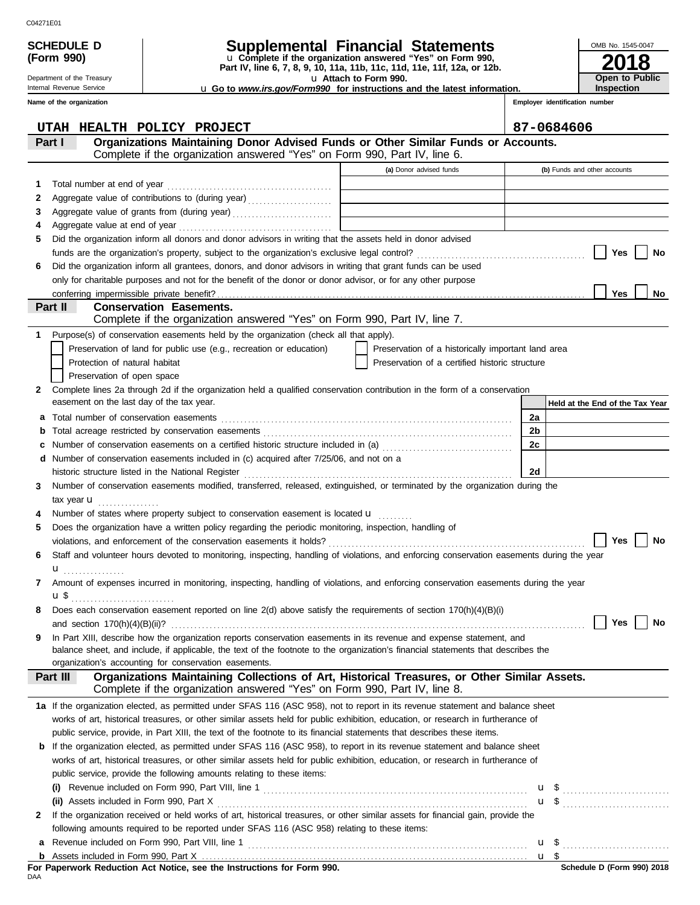**(Form 990)**

## **SCHEDULE D Supplemental Financial Statements**

**Part IV, line 6, 7, 8, 9, 10, 11a, 11b, 11c, 11d, 11e, 11f, 12a, or 12b.** u **Complete if the organization answered "Yes" on Form 990,**

u **Attach to Form 990.** 

**2018 Open to Public Inspection**

OMB No. 1545-0047

| <b>u</b> Go to <i>www.irs.gov/Form990</i> for instructions and the latest information. |  |  |  |
|----------------------------------------------------------------------------------------|--|--|--|
|                                                                                        |  |  |  |

Internal Revenue Service **Name of the organization**

Department of the Treasury

|    | UTAH HEALTH POLICY PROJECT                                                                                                                |                                                    |    | 87-0684606                      |
|----|-------------------------------------------------------------------------------------------------------------------------------------------|----------------------------------------------------|----|---------------------------------|
|    | Organizations Maintaining Donor Advised Funds or Other Similar Funds or Accounts.<br>Part I                                               |                                                    |    |                                 |
|    | Complete if the organization answered "Yes" on Form 990, Part IV, line 6.                                                                 |                                                    |    |                                 |
|    |                                                                                                                                           | (a) Donor advised funds                            |    | (b) Funds and other accounts    |
| 1. |                                                                                                                                           |                                                    |    |                                 |
| 2  | Aggregate value of contributions to (during year)                                                                                         |                                                    |    |                                 |
| З  | Aggregate value of grants from (during year)                                                                                              |                                                    |    |                                 |
| 4  |                                                                                                                                           |                                                    |    |                                 |
| 5  | Did the organization inform all donors and donor advisors in writing that the assets held in donor advised                                |                                                    |    |                                 |
|    |                                                                                                                                           |                                                    |    | Yes<br>No                       |
| 6  | Did the organization inform all grantees, donors, and donor advisors in writing that grant funds can be used                              |                                                    |    |                                 |
|    | only for charitable purposes and not for the benefit of the donor or donor advisor, or for any other purpose                              |                                                    |    |                                 |
|    |                                                                                                                                           |                                                    |    | Yes<br>No                       |
|    | <b>Conservation Easements.</b><br>Part II                                                                                                 |                                                    |    |                                 |
|    | Complete if the organization answered "Yes" on Form 990, Part IV, line 7.                                                                 |                                                    |    |                                 |
| 1. | Purpose(s) of conservation easements held by the organization (check all that apply).                                                     |                                                    |    |                                 |
|    | Preservation of land for public use (e.g., recreation or education)                                                                       | Preservation of a historically important land area |    |                                 |
|    | Protection of natural habitat                                                                                                             | Preservation of a certified historic structure     |    |                                 |
|    | Preservation of open space                                                                                                                |                                                    |    |                                 |
| 2. | Complete lines 2a through 2d if the organization held a qualified conservation contribution in the form of a conservation                 |                                                    |    |                                 |
|    | easement on the last day of the tax year.                                                                                                 |                                                    |    | Held at the End of the Tax Year |
| a  |                                                                                                                                           |                                                    | 2a |                                 |
| b  |                                                                                                                                           |                                                    | 2b |                                 |
| c  | Number of conservation easements on a certified historic structure included in (a) mature intermal conservation                           |                                                    | 2c |                                 |
|    | <b>d</b> Number of conservation easements included in (c) acquired after $7/25/06$ , and not on a                                         |                                                    |    |                                 |
|    | historic structure listed in the National Register [11] Martin Martin Martin Martin Martin Martin Martin Marti                            |                                                    | 2d |                                 |
| 3  | Number of conservation easements modified, transferred, released, extinguished, or terminated by the organization during the              |                                                    |    |                                 |
|    | tax year $\mathbf{u}$                                                                                                                     |                                                    |    |                                 |
|    | Number of states where property subject to conservation easement is located u                                                             |                                                    |    |                                 |
| 5  | Does the organization have a written policy regarding the periodic monitoring, inspection, handling of                                    |                                                    |    |                                 |
|    |                                                                                                                                           |                                                    |    | Yes<br>No                       |
| 6  | Staff and volunteer hours devoted to monitoring, inspecting, handling of violations, and enforcing conservation easements during the year |                                                    |    |                                 |
|    | $\mathbf{u}$                                                                                                                              |                                                    |    |                                 |
| 7  | Amount of expenses incurred in monitoring, inspecting, handling of violations, and enforcing conservation easements during the year       |                                                    |    |                                 |
|    | $\mathbf{u}$ \$                                                                                                                           |                                                    |    |                                 |
| 8  | Does each conservation easement reported on line 2(d) above satisfy the requirements of section 170(h)(4)(B)(i)                           |                                                    |    |                                 |
|    |                                                                                                                                           |                                                    |    | Yes<br>No                       |
| 9  | In Part XIII, describe how the organization reports conservation easements in its revenue and expense statement, and                      |                                                    |    |                                 |
|    | balance sheet, and include, if applicable, the text of the footnote to the organization's financial statements that describes the         |                                                    |    |                                 |
|    | organization's accounting for conservation easements.                                                                                     |                                                    |    |                                 |
|    | Organizations Maintaining Collections of Art, Historical Treasures, or Other Similar Assets.<br>Part III                                  |                                                    |    |                                 |
|    | Complete if the organization answered "Yes" on Form 990, Part IV, line 8.                                                                 |                                                    |    |                                 |
|    | 1a If the organization elected, as permitted under SFAS 116 (ASC 958), not to report in its revenue statement and balance sheet           |                                                    |    |                                 |
|    | works of art, historical treasures, or other similar assets held for public exhibition, education, or research in furtherance of          |                                                    |    |                                 |
|    | public service, provide, in Part XIII, the text of the footnote to its financial statements that describes these items.                   |                                                    |    |                                 |
|    | <b>b</b> If the organization elected, as permitted under SFAS 116 (ASC 958), to report in its revenue statement and balance sheet         |                                                    |    |                                 |
|    | works of art, historical treasures, or other similar assets held for public exhibition, education, or research in furtherance of          |                                                    |    |                                 |
|    | public service, provide the following amounts relating to these items:                                                                    |                                                    |    |                                 |
|    |                                                                                                                                           |                                                    |    | $\mathbf{u}$ \$                 |
|    |                                                                                                                                           |                                                    |    | $\mathbf{u}$ \$                 |
| 2  | If the organization received or held works of art, historical treasures, or other similar assets for financial gain, provide the          |                                                    |    |                                 |
|    | following amounts required to be reported under SFAS 116 (ASC 958) relating to these items:                                               |                                                    |    |                                 |
| a  |                                                                                                                                           |                                                    |    | $\mathbf{u}$ \$                 |
|    |                                                                                                                                           |                                                    |    | u <sub>s</sub>                  |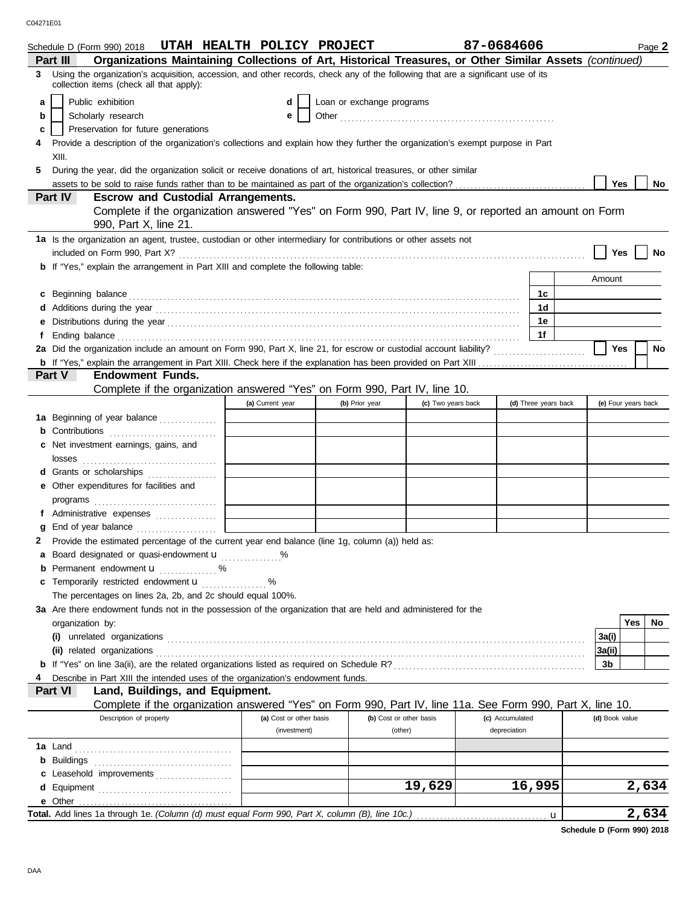C04271E01

|    | Schedule D (Form 990) 2018 UTAH HEALTH POLICY PROJECT                                                                                                                                                                                |                         |                           |                         |                    | 87-0684606      |                      | Page 2              |
|----|--------------------------------------------------------------------------------------------------------------------------------------------------------------------------------------------------------------------------------------|-------------------------|---------------------------|-------------------------|--------------------|-----------------|----------------------|---------------------|
|    | Organizations Maintaining Collections of Art, Historical Treasures, or Other Similar Assets (continued)<br>Part III                                                                                                                  |                         |                           |                         |                    |                 |                      |                     |
| 3  | Using the organization's acquisition, accession, and other records, check any of the following that are a significant use of its<br>collection items (check all that apply):                                                         |                         |                           |                         |                    |                 |                      |                     |
| a  | Public exhibition                                                                                                                                                                                                                    | d                       | Loan or exchange programs |                         |                    |                 |                      |                     |
| b  | Scholarly research                                                                                                                                                                                                                   | е                       |                           |                         |                    |                 |                      |                     |
| c  | Preservation for future generations                                                                                                                                                                                                  |                         |                           |                         |                    |                 |                      |                     |
| 4  | Provide a description of the organization's collections and explain how they further the organization's exempt purpose in Part                                                                                                       |                         |                           |                         |                    |                 |                      |                     |
|    | XIII.                                                                                                                                                                                                                                |                         |                           |                         |                    |                 |                      |                     |
| 5  | During the year, did the organization solicit or receive donations of art, historical treasures, or other similar                                                                                                                    |                         |                           |                         |                    |                 |                      |                     |
|    |                                                                                                                                                                                                                                      |                         |                           |                         |                    |                 |                      | Yes<br>No           |
|    | Part IV<br><b>Escrow and Custodial Arrangements.</b>                                                                                                                                                                                 |                         |                           |                         |                    |                 |                      |                     |
|    | Complete if the organization answered "Yes" on Form 990, Part IV, line 9, or reported an amount on Form                                                                                                                              |                         |                           |                         |                    |                 |                      |                     |
|    | 990, Part X, line 21.                                                                                                                                                                                                                |                         |                           |                         |                    |                 |                      |                     |
|    | 1a Is the organization an agent, trustee, custodian or other intermediary for contributions or other assets not                                                                                                                      |                         |                           |                         |                    |                 |                      |                     |
|    |                                                                                                                                                                                                                                      |                         |                           |                         |                    |                 |                      | Yes<br>No           |
|    | <b>b</b> If "Yes," explain the arrangement in Part XIII and complete the following table:                                                                                                                                            |                         |                           |                         |                    |                 |                      |                     |
|    |                                                                                                                                                                                                                                      |                         |                           |                         |                    |                 |                      | Amount              |
|    | c Beginning balance <b>contract to the contract of the set of the contract of the contract of the contract of the contract of the contract of the contract of the contract of the contract of the contract of the contract of th</b> |                         |                           |                         |                    |                 | 1с                   |                     |
|    |                                                                                                                                                                                                                                      |                         |                           |                         |                    |                 | 1d                   |                     |
|    |                                                                                                                                                                                                                                      |                         |                           |                         |                    |                 | 1е                   |                     |
| Ť. | Ending balance <i>communication</i> and the contract of the contract of the contract of the contract of the contract of the contract of the contract of the contract of the contract of the contract of the contract of the contrac  |                         |                           |                         |                    |                 | 1f                   |                     |
|    | 2a Did the organization include an amount on Form 990, Part X, line 21, for escrow or custodial account liability?                                                                                                                   |                         |                           |                         |                    |                 |                      | <b>Yes</b><br>No    |
|    |                                                                                                                                                                                                                                      |                         |                           |                         |                    |                 |                      |                     |
|    | Part V<br><b>Endowment Funds.</b>                                                                                                                                                                                                    |                         |                           |                         |                    |                 |                      |                     |
|    | Complete if the organization answered "Yes" on Form 990, Part IV, line 10.                                                                                                                                                           |                         |                           |                         |                    |                 |                      |                     |
|    |                                                                                                                                                                                                                                      | (a) Current year        |                           | (b) Prior year          | (c) Two years back |                 | (d) Three years back | (e) Four years back |
|    | 1a Beginning of year balance                                                                                                                                                                                                         |                         |                           |                         |                    |                 |                      |                     |
|    | <b>b</b> Contributions <b>contributions</b>                                                                                                                                                                                          |                         |                           |                         |                    |                 |                      |                     |
|    | c Net investment earnings, gains, and                                                                                                                                                                                                |                         |                           |                         |                    |                 |                      |                     |
|    | losses                                                                                                                                                                                                                               |                         |                           |                         |                    |                 |                      |                     |
|    | d Grants or scholarships                                                                                                                                                                                                             |                         |                           |                         |                    |                 |                      |                     |
|    | e Other expenditures for facilities and                                                                                                                                                                                              |                         |                           |                         |                    |                 |                      |                     |
|    |                                                                                                                                                                                                                                      |                         |                           |                         |                    |                 |                      |                     |
|    | f Administrative expenses                                                                                                                                                                                                            |                         |                           |                         |                    |                 |                      |                     |
|    |                                                                                                                                                                                                                                      |                         |                           |                         |                    |                 |                      |                     |
|    | 2 Provide the estimated percentage of the current year end balance (line 1g, column (a)) held as:                                                                                                                                    |                         |                           |                         |                    |                 |                      |                     |
|    | a Board designated or quasi-endowment u                                                                                                                                                                                              |                         |                           |                         |                    |                 |                      |                     |
|    | <b>b</b> Permanent endowment $\mathbf{u}$ %                                                                                                                                                                                          |                         |                           |                         |                    |                 |                      |                     |
|    | c Temporarily restricted endowment <b>u</b> %                                                                                                                                                                                        |                         |                           |                         |                    |                 |                      |                     |
|    | The percentages on lines 2a, 2b, and 2c should equal 100%.                                                                                                                                                                           |                         |                           |                         |                    |                 |                      |                     |
|    | 3a Are there endowment funds not in the possession of the organization that are held and administered for the                                                                                                                        |                         |                           |                         |                    |                 |                      |                     |
|    | organization by:                                                                                                                                                                                                                     |                         |                           |                         |                    |                 |                      | Yes<br>No           |
|    |                                                                                                                                                                                                                                      |                         |                           |                         |                    |                 |                      | 3a(i)               |
|    |                                                                                                                                                                                                                                      |                         |                           |                         |                    |                 |                      | 3a(ii)              |
|    |                                                                                                                                                                                                                                      |                         |                           |                         |                    |                 |                      | 3b                  |
|    | Describe in Part XIII the intended uses of the organization's endowment funds.                                                                                                                                                       |                         |                           |                         |                    |                 |                      |                     |
|    | Land, Buildings, and Equipment.<br>Part VI                                                                                                                                                                                           |                         |                           |                         |                    |                 |                      |                     |
|    | Complete if the organization answered "Yes" on Form 990, Part IV, line 11a. See Form 990, Part X, line 10.                                                                                                                           |                         |                           |                         |                    |                 |                      |                     |
|    | Description of property                                                                                                                                                                                                              | (a) Cost or other basis |                           | (b) Cost or other basis |                    | (c) Accumulated |                      | (d) Book value      |
|    |                                                                                                                                                                                                                                      | (investment)            |                           | (other)                 |                    | depreciation    |                      |                     |
|    |                                                                                                                                                                                                                                      |                         |                           |                         |                    |                 |                      |                     |
|    |                                                                                                                                                                                                                                      |                         |                           |                         |                    |                 |                      |                     |
|    | c Leasehold improvements                                                                                                                                                                                                             |                         |                           |                         |                    |                 |                      |                     |
|    |                                                                                                                                                                                                                                      |                         |                           |                         | 19,629             |                 | 16,995               | 2,634               |
|    |                                                                                                                                                                                                                                      |                         |                           |                         |                    |                 |                      |                     |
|    |                                                                                                                                                                                                                                      |                         |                           |                         |                    |                 |                      | 2,634               |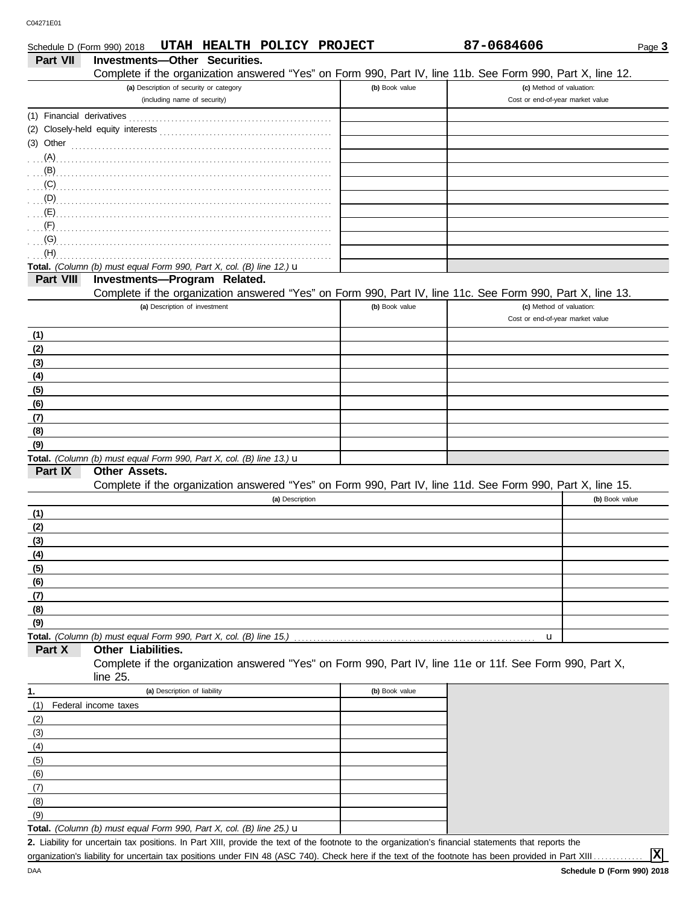| Schedule D (Form 990) 2018 | UTAH HEALTH POLICY PROJECT                                                                                   |                | 87-0684606                       | Page 3         |
|----------------------------|--------------------------------------------------------------------------------------------------------------|----------------|----------------------------------|----------------|
| Part VII                   | Investments-Other Securities.                                                                                |                |                                  |                |
|                            | Complete if the organization answered "Yes" on Form 990, Part IV, line 11b. See Form 990, Part X, line 12.   |                |                                  |                |
|                            | (a) Description of security or category                                                                      | (b) Book value | (c) Method of valuation:         |                |
|                            | (including name of security)                                                                                 |                | Cost or end-of-year market value |                |
|                            |                                                                                                              |                |                                  |                |
|                            |                                                                                                              |                |                                  |                |
|                            | (3) Other $\ldots$ $\ldots$ $\ldots$ $\ldots$ $\ldots$ $\ldots$ $\ldots$ $\ldots$ $\ldots$ $\ldots$ $\ldots$ |                |                                  |                |
| $(A)$ .                    |                                                                                                              |                |                                  |                |
|                            |                                                                                                              |                |                                  |                |
| (C)                        |                                                                                                              |                |                                  |                |
|                            |                                                                                                              |                |                                  |                |
|                            |                                                                                                              |                |                                  |                |
| (F)                        |                                                                                                              |                |                                  |                |
| (G)                        |                                                                                                              |                |                                  |                |
| (H)                        |                                                                                                              |                |                                  |                |
|                            | Total. (Column (b) must equal Form 990, Part X, col. (B) line 12.) $\mathbf u$                               |                |                                  |                |
| Part VIII                  | Investments-Program Related.                                                                                 |                |                                  |                |
|                            | Complete if the organization answered "Yes" on Form 990, Part IV, line 11c. See Form 990, Part X, line 13.   |                |                                  |                |
|                            | (a) Description of investment                                                                                | (b) Book value | (c) Method of valuation:         |                |
|                            |                                                                                                              |                | Cost or end-of-year market value |                |
| (1)                        |                                                                                                              |                |                                  |                |
| (2)                        |                                                                                                              |                |                                  |                |
| (3)                        |                                                                                                              |                |                                  |                |
| (4)                        |                                                                                                              |                |                                  |                |
| (5)                        |                                                                                                              |                |                                  |                |
| (6)                        |                                                                                                              |                |                                  |                |
| (7)                        |                                                                                                              |                |                                  |                |
| (8)                        |                                                                                                              |                |                                  |                |
| (9)                        |                                                                                                              |                |                                  |                |
|                            | Total. (Column (b) must equal Form 990, Part X, col. (B) line 13.) u                                         |                |                                  |                |
| Part IX                    | Other Assets.                                                                                                |                |                                  |                |
|                            | Complete if the organization answered "Yes" on Form 990, Part IV, line 11d. See Form 990, Part X, line 15.   |                |                                  |                |
|                            | (a) Description                                                                                              |                |                                  | (b) Book value |
| (1)                        |                                                                                                              |                |                                  |                |
| (2)                        |                                                                                                              |                |                                  |                |
| (3)                        |                                                                                                              |                |                                  |                |
| (4)                        |                                                                                                              |                |                                  |                |
| (5)                        |                                                                                                              |                |                                  |                |
| (6)                        |                                                                                                              |                |                                  |                |
| (7)                        |                                                                                                              |                |                                  |                |
| (8)                        |                                                                                                              |                |                                  |                |
| (9)                        |                                                                                                              |                |                                  |                |
|                            | Total. (Column (b) must equal Form 990, Part X, col. (B) line 15.)                                           |                | u                                |                |
| Part X                     | Other Liabilities.                                                                                           |                |                                  |                |
|                            | Complete if the organization answered "Yes" on Form 990, Part IV, line 11e or 11f. See Form 990, Part X,     |                |                                  |                |
|                            | line 25.                                                                                                     |                |                                  |                |
| 1.                         | (a) Description of liability                                                                                 | (b) Book value |                                  |                |
| (1)                        | Federal income taxes                                                                                         |                |                                  |                |
| (2)                        |                                                                                                              |                |                                  |                |
| (3)                        |                                                                                                              |                |                                  |                |
| (4)                        |                                                                                                              |                |                                  |                |
| (5)                        |                                                                                                              |                |                                  |                |
| (6)                        |                                                                                                              |                |                                  |                |
| (7)                        |                                                                                                              |                |                                  |                |
| (8)                        |                                                                                                              |                |                                  |                |
|                            |                                                                                                              |                |                                  |                |

**X**

 $(9)$ 

**Total.** *(Column (b) must equal Form 990, Part X, col. (B) line 25.)* u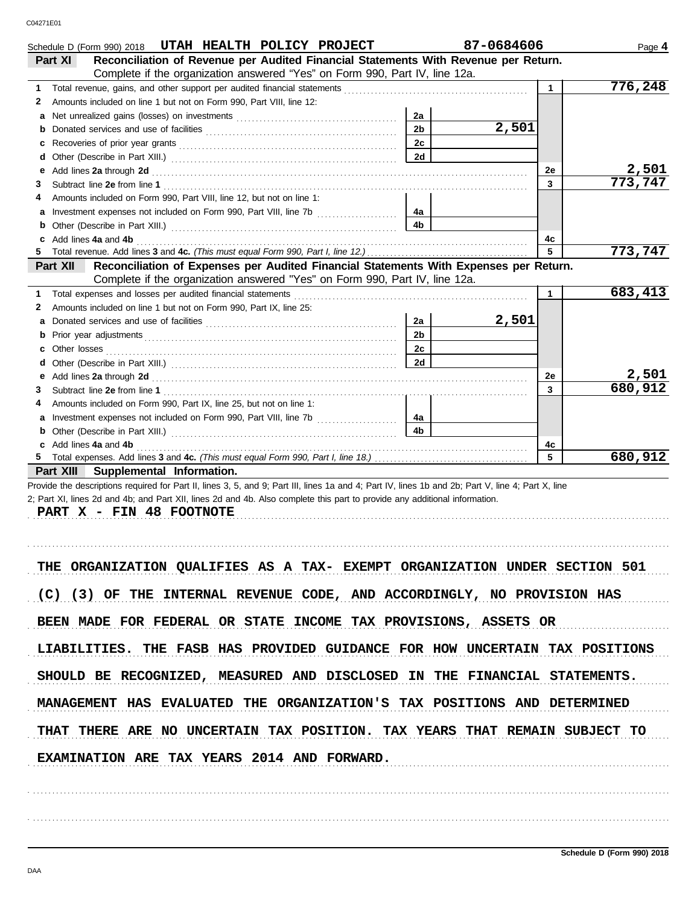| Schedule D (Form 990) 2018 UTAH HEALTH POLICY PROJECT                                                                                                                                                                                                                                                        |                      | 87-0684606 |              | Page 4           |
|--------------------------------------------------------------------------------------------------------------------------------------------------------------------------------------------------------------------------------------------------------------------------------------------------------------|----------------------|------------|--------------|------------------|
| Reconciliation of Revenue per Audited Financial Statements With Revenue per Return.<br>Part XI                                                                                                                                                                                                               |                      |            |              |                  |
| Complete if the organization answered "Yes" on Form 990, Part IV, line 12a.                                                                                                                                                                                                                                  |                      |            |              |                  |
| Total revenue, gains, and other support per audited financial statements [111][11][11][11][11][11][11][11][11]<br>1.                                                                                                                                                                                         |                      |            | $\mathbf{1}$ | 776,248          |
| Amounts included on line 1 but not on Form 990, Part VIII, line 12:<br>2                                                                                                                                                                                                                                     |                      |            |              |                  |
|                                                                                                                                                                                                                                                                                                              | 2a<br>2 <sub>b</sub> | 2,501      |              |                  |
| b                                                                                                                                                                                                                                                                                                            | 2c                   |            |              |                  |
|                                                                                                                                                                                                                                                                                                              | 2d                   |            |              |                  |
| Add lines 2a through 2d [11] Additional Property and Property and Property and Property and Property and Property and Property and Property and Property and Property and Property and Property and Property and Property and<br>е                                                                           |                      |            | 2е           | 2,501            |
| З                                                                                                                                                                                                                                                                                                            |                      |            | 3            | 773,747          |
| Amounts included on Form 990, Part VIII, line 12, but not on line 1:<br>4                                                                                                                                                                                                                                    |                      |            |              |                  |
|                                                                                                                                                                                                                                                                                                              | 4a                   |            |              |                  |
|                                                                                                                                                                                                                                                                                                              | 4b                   |            |              |                  |
|                                                                                                                                                                                                                                                                                                              |                      |            | 4с           |                  |
| 5.                                                                                                                                                                                                                                                                                                           |                      |            | 5            | 773,747          |
| Reconciliation of Expenses per Audited Financial Statements With Expenses per Return.<br>Part XII                                                                                                                                                                                                            |                      |            |              |                  |
| Complete if the organization answered "Yes" on Form 990, Part IV, line 12a.                                                                                                                                                                                                                                  |                      |            |              |                  |
| 1.                                                                                                                                                                                                                                                                                                           |                      |            | $\mathbf{1}$ | 683,413          |
| Amounts included on line 1 but not on Form 990, Part IX, line 25:<br>2                                                                                                                                                                                                                                       |                      |            |              |                  |
|                                                                                                                                                                                                                                                                                                              | 2a                   | 2,501      |              |                  |
| b                                                                                                                                                                                                                                                                                                            | 2 <sub>b</sub>       |            |              |                  |
| c                                                                                                                                                                                                                                                                                                            | 2c                   |            |              |                  |
| d                                                                                                                                                                                                                                                                                                            | 2d                   |            |              |                  |
| Add lines 2a through 2d [11] Additional Property and Table 2014 10:00 PM and Table 2014 10:00 PM and Table 20<br>е                                                                                                                                                                                           |                      |            | 2е           | 2,501<br>680,912 |
| З                                                                                                                                                                                                                                                                                                            |                      |            | 3            |                  |
| Amounts included on Form 990, Part IX, line 25, but not on line 1:<br>4                                                                                                                                                                                                                                      | 4a                   |            |              |                  |
|                                                                                                                                                                                                                                                                                                              | 4b                   |            |              |                  |
|                                                                                                                                                                                                                                                                                                              |                      |            | 4с           |                  |
| 5                                                                                                                                                                                                                                                                                                            |                      |            | 5            | 680,912          |
| Part XIII Supplemental Information.                                                                                                                                                                                                                                                                          |                      |            |              |                  |
| Provide the descriptions required for Part II, lines 3, 5, and 9; Part III, lines 1a and 4; Part IV, lines 1b and 2b; Part V, line 4; Part X, line<br>2; Part XI, lines 2d and 4b; and Part XII, lines 2d and 4b. Also complete this part to provide any additional information.<br>PART X - FIN 48 FOOTNOTE |                      |            |              |                  |
| THE ORGANIZATION QUALIFIES AS A TAX- EXEMPT ORGANIZATION UNDER SECTION 501                                                                                                                                                                                                                                   |                      |            |              |                  |
| (C) (3) OF THE INTERNAL REVENUE CODE, AND ACCORDINGLY, NO PROVISION HAS                                                                                                                                                                                                                                      |                      |            |              |                  |
| BEEN MADE FOR FEDERAL OR STATE INCOME TAX PROVISIONS, ASSETS OR                                                                                                                                                                                                                                              |                      |            |              |                  |
| LIABILITIES. THE FASB HAS PROVIDED GUIDANCE FOR HOW UNCERTAIN TAX POSITIONS                                                                                                                                                                                                                                  |                      |            |              |                  |
| SHOULD BE RECOGNIZED, MEASURED AND DISCLOSED IN THE FINANCIAL STATEMENTS.                                                                                                                                                                                                                                    |                      |            |              |                  |
| MANAGEMENT HAS EVALUATED THE ORGANIZATION'S TAX POSITIONS AND DETERMINED                                                                                                                                                                                                                                     |                      |            |              |                  |
| THAT THERE ARE NO UNCERTAIN TAX POSITION. TAX YEARS THAT REMAIN SUBJECT TO                                                                                                                                                                                                                                   |                      |            |              |                  |
| EXAMINATION ARE TAX YEARS 2014 AND FORWARD.                                                                                                                                                                                                                                                                  |                      |            |              |                  |
|                                                                                                                                                                                                                                                                                                              |                      |            |              |                  |
|                                                                                                                                                                                                                                                                                                              |                      |            |              |                  |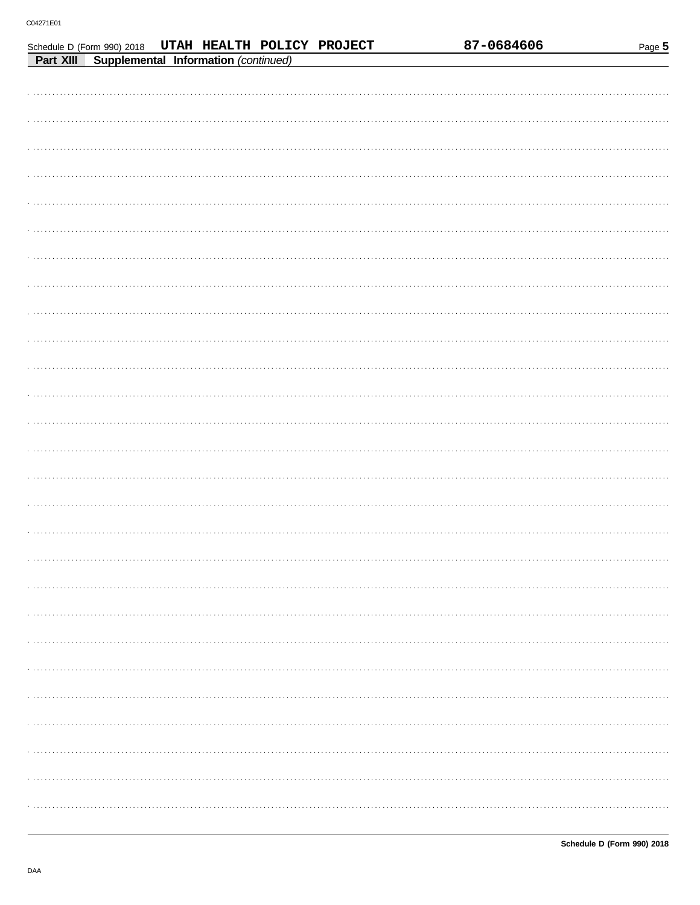Schedule D (Form 990) 2018 UTAH HEALTH POLICY PROJECT

| Part XIII Supplemental Information (continued) |
|------------------------------------------------|
|                                                |
|                                                |
|                                                |
|                                                |
|                                                |
|                                                |
|                                                |
|                                                |
|                                                |
|                                                |
|                                                |
|                                                |
|                                                |
|                                                |
|                                                |
|                                                |
|                                                |
|                                                |
|                                                |
|                                                |
|                                                |
|                                                |
|                                                |
|                                                |
|                                                |
|                                                |
|                                                |
|                                                |
|                                                |
|                                                |

87-0684606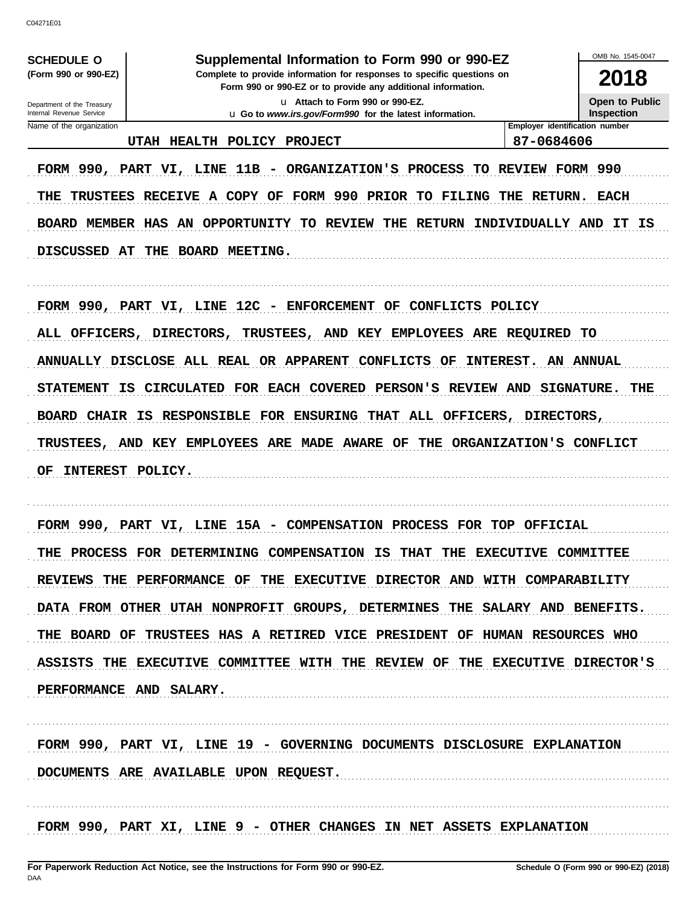C04271F01

**SCHEDULE O** (Form 990 or 990-EZ)

Department of the Treasury

### Supplemental Information to Form 990 or 990-EZ

Complete to provide information for responses to specific questions on Form 990 or 990-EZ or to provide any additional information.

> u Attach to Form 990 or 990-EZ. u Go to www.irs.gov/Form990 for the latest information.

Open to Public **Inspection** 

OMB No. 1545-0047

2018

Internal Revenue Service Name of the organization

UTAH HEALTH POLICY PROJECT

Employer identification number 87-0684606

FORM 990, PART VI, LINE 11B - ORGANIZATION'S PROCESS TO REVIEW FORM 990 THE TRUSTEES RECEIVE A COPY OF FORM 990 PRIOR TO FILING THE RETURN. EACH BOARD MEMBER HAS AN OPPORTUNITY TO REVIEW THE RETURN INDIVIDUALLY AND IT IS DISCUSSED AT THE BOARD MEETING.

FORM 990, PART VI, LINE 12C - ENFORCEMENT OF CONFLICTS POLICY ALL OFFICERS, DIRECTORS, TRUSTEES, AND KEY EMPLOYEES ARE REQUIRED TO ANNUALLY DISCLOSE ALL REAL OR APPARENT CONFLICTS OF INTEREST. **AN ANNUAL** STATEMENT IS CIRCULATED FOR EACH COVERED PERSON'S REVIEW AND SIGNATURE. THE BOARD CHAIR IS RESPONSIBLE FOR ENSURING THAT ALL OFFICERS, DIRECTORS, TRUSTEES, AND KEY EMPLOYEES ARE MADE AWARE OF THE ORGANIZATION'S CONFLICT OF INTEREST POLICY.

FORM 990, PART VI, LINE 15A - COMPENSATION PROCESS FOR TOP OFFICIAL THE PROCESS FOR DETERMINING COMPENSATION IS THAT THE EXECUTIVE COMMITTEE REVIEWS THE PERFORMANCE OF THE EXECUTIVE DIRECTOR AND WITH COMPARABILITY DATA FROM OTHER UTAH NONPROFIT GROUPS, DETERMINES THE SALARY AND BENEFITS. THE BOARD OF TRUSTEES HAS A RETIRED VICE PRESIDENT OF HUMAN RESOURCES WHO ASSISTS THE EXECUTIVE COMMITTEE WITH THE REVIEW OF THE EXECUTIVE DIRECTOR'S PERFORMANCE AND SALARY.

FORM 990, PART VI, LINE 19 - GOVERNING DOCUMENTS DISCLOSURE EXPLANATION DOCUMENTS ARE AVAILABLE UPON REQUEST.

FORM 990, PART XI, LINE 9 - OTHER CHANGES IN NET ASSETS EXPLANATION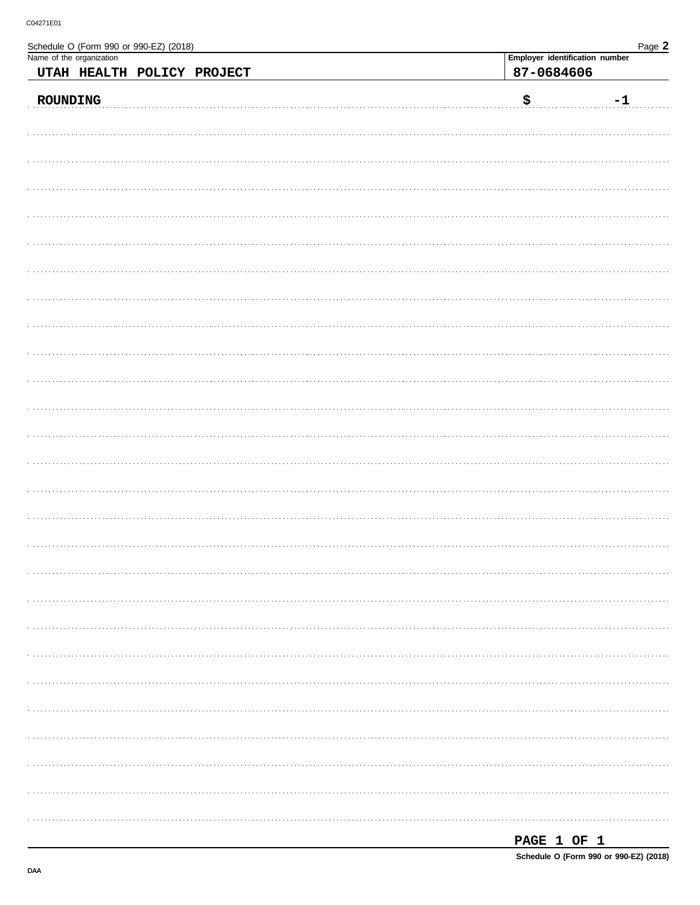Name of the organization

Schedule O (Form 990 or 990-EZ) (2018)

| UTAH HEALTH POLICY PROJECT | 87-0684606                        |
|----------------------------|-----------------------------------|
| ROUNDING                   | $\boldsymbol{\mathsf{S}}$<br>$-1$ |
|                            |                                   |
|                            |                                   |
|                            |                                   |
|                            |                                   |
|                            |                                   |
|                            |                                   |
|                            |                                   |
|                            |                                   |
|                            |                                   |
|                            |                                   |
|                            |                                   |
|                            |                                   |
|                            |                                   |
|                            |                                   |
|                            |                                   |
|                            |                                   |
|                            |                                   |
|                            |                                   |
|                            |                                   |
|                            |                                   |
|                            |                                   |
|                            |                                   |
|                            |                                   |
|                            |                                   |
|                            |                                   |
|                            |                                   |
|                            |                                   |
|                            |                                   |
|                            |                                   |
|                            |                                   |
|                            |                                   |
|                            | PAGE 1 OF 1                       |

Page 2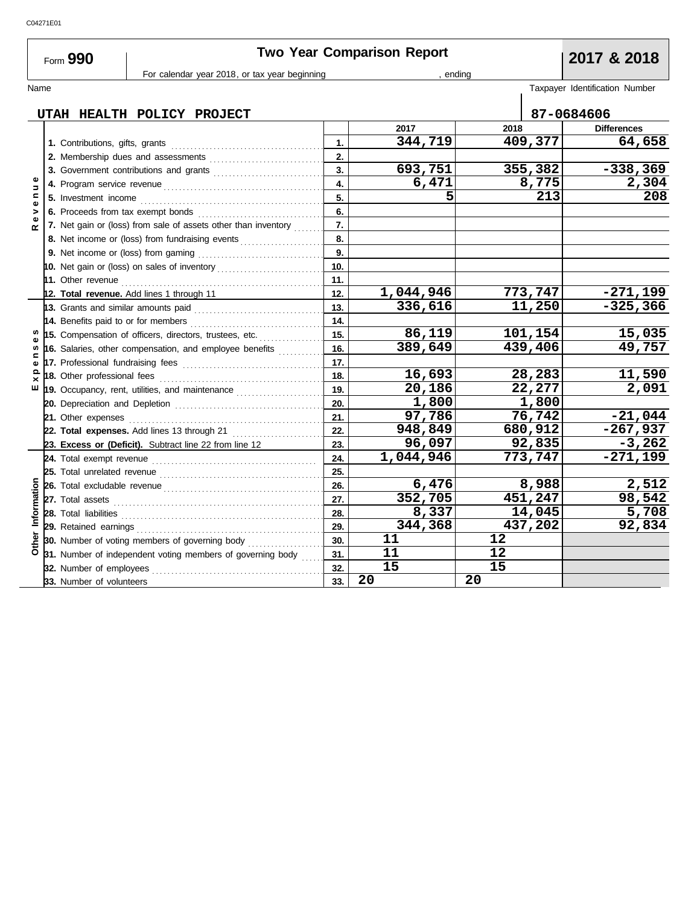| C04271E01 |  |
|-----------|--|
|           |  |

L,

| Form 990 | <b>Two Year Comparison Report</b>             | 2017 & 2018 |  |                                |
|----------|-----------------------------------------------|-------------|--|--------------------------------|
|          | For calendar year 2018, or tax year beginning | endina      |  |                                |
| Name     |                                               |             |  | Taxpayer Identification Number |

|                    | UTAH HEALTH POLICY PROJECT                                                                                            |     |           |      |         | 87-0684606         |
|--------------------|-----------------------------------------------------------------------------------------------------------------------|-----|-----------|------|---------|--------------------|
|                    |                                                                                                                       |     | 2017      | 2018 |         | <b>Differences</b> |
|                    | 1. Contributions, gifts, grants                                                                                       | 1.  | 344,719   |      | 409,377 | 64,658             |
|                    |                                                                                                                       | 2.  |           |      |         |                    |
|                    | 3. Government contributions and grants                                                                                | 3.  | 693,751   |      | 355,382 | $-338,369$         |
| Φ<br>$\Rightarrow$ |                                                                                                                       | 4.  | 6,471     |      | 8,775   | 2,304              |
| Ξ<br>$\mathbf{Q}$  |                                                                                                                       | 5.  | 5         |      | 213     | 208                |
| >                  |                                                                                                                       | 6.  |           |      |         |                    |
| ω<br>$\propto$     | 7. Net gain or (loss) from sale of assets other than inventory                                                        | 7.  |           |      |         |                    |
|                    | 8. Net income or (loss) from fundraising events                                                                       | 8.  |           |      |         |                    |
|                    |                                                                                                                       | 9.  |           |      |         |                    |
|                    |                                                                                                                       | 10. |           |      |         |                    |
|                    |                                                                                                                       | 11. |           |      |         |                    |
|                    | 12. Total revenue. Add lines 1 through 11                                                                             | 12. | 1,044,946 |      | 773,747 | $-271,199$         |
|                    | 13. Grants and similar amounts paid <i>contained and all algebras</i> and all all algebras and all algebras and all a | 13. | 336,616   |      | 11,250  | $-325,366$         |
| n                  | 14. Benefits paid to or for members                                                                                   | 14. |           |      |         |                    |
|                    | 15. Compensation of officers, directors, trustees, etc.                                                               | 15. | 86,119    |      | 101,154 | 15,035             |
| c                  | 16. Salaries, other compensation, and employee benefits                                                               | 16. | 389,649   |      | 439,406 | 49,757             |
| ω                  |                                                                                                                       | 17. |           |      |         |                    |
| ≏                  |                                                                                                                       | 18. | 16,693    |      | 28,283  | 11,590             |
| ш                  | 19. Occupancy, rent, utilities, and maintenance <i>[[19. Occupancy, rent, utilities</i> , and maintenance             | 19. | 20,186    |      | 22,277  | 2,091              |
|                    |                                                                                                                       | 20. | 1,800     |      | 1,800   |                    |
|                    | 21. Other expenses                                                                                                    | 21. | 97,786    |      | 76,742  | $-21,044$          |
|                    | 22. Total expenses. Add lines 13 through 21                                                                           | 22. | 948,849   |      | 680,912 | $-267,937$         |
|                    | 23. Excess or (Deficit). Subtract line 22 from line 12                                                                | 23. | 96,097    |      | 92,835  | $-3,262$           |
|                    | 24. Total exempt revenue                                                                                              | 24. | 1,044,946 |      | 773,747 | $-271,199$         |
|                    | 25. Total unrelated revenue                                                                                           | 25. |           |      |         |                    |
|                    |                                                                                                                       | 26. | 6,476     |      | 8,988   | 2,512              |
|                    |                                                                                                                       | 27. | 352,705   |      | 451,247 | 98,542             |
| Information        | 28. Total liabilities                                                                                                 | 28. | 8,337     |      | 14,045  | 5,708              |
|                    | 29. Retained earnings                                                                                                 | 29. | 344,368   |      | 437,202 | 92,834             |
| Other              | <b>30.</b> Number of voting members of governing body                                                                 | 30. | 11        | 12   |         |                    |
|                    | 31. Number of independent voting members of governing body                                                            | 31. | 11        | 12   |         |                    |
|                    | 32. Number of employees                                                                                               | 32. | 15        | 15   |         |                    |
|                    | 33. Number of volunteers                                                                                              | 33. | 20        | 20   |         |                    |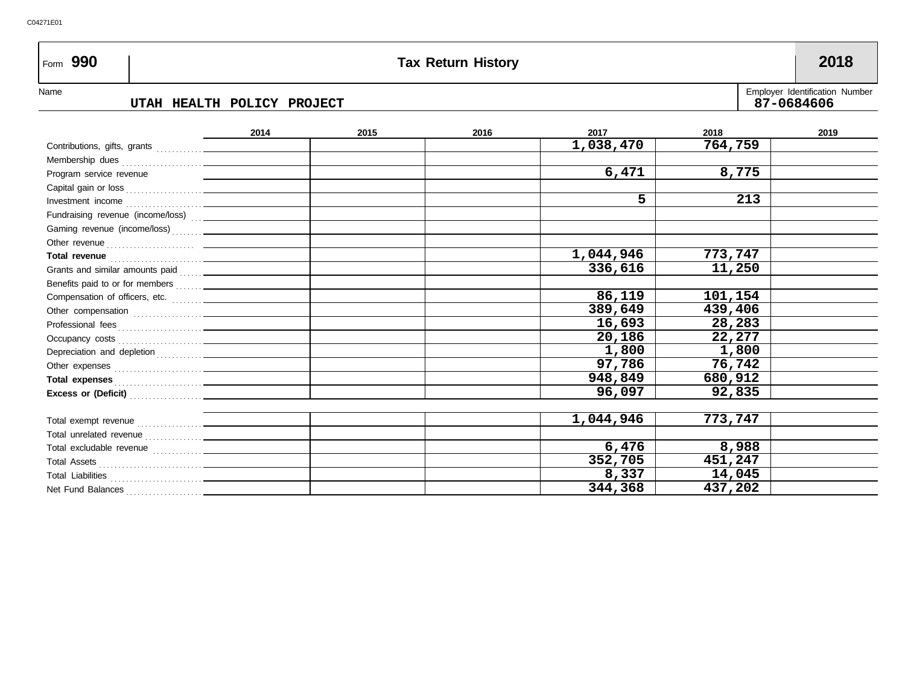## Name Employer Identification Number Form **990 Tax Return History 2018 2015 2016 2017 2018 2019** Contributions, gifts, grants **. . . . . . . . . . 2014 UTAH HEALTH POLICY PROJECT 87-0684606 1,038,470 764,759**

| 6,471<br>8,775<br>Program service revenue<br>5<br>213<br>1,044,946<br>773,747<br>Total revenue <b>contract and the contract of the contract of the contract of the contract of the contract of the contract of the contract of the contract of the contract of the contract of the contract of the contract of th</b><br>336,616<br>11,250<br>86,119<br>101,154<br>389,649<br>439,406<br>16,693<br>28,283<br>20,186<br>22,277<br>1,800<br>1,800<br>97,786<br>76,742<br>948,849<br>680,912<br>Total expenses <b>contained</b> and the contact of the contact of the contact of the contact of the contact of the contact of the contact of the contact of the contact of the contact of the contact of the contact of the contact<br>96,097<br>92,835<br>773,747<br>1,044,946<br>6,476<br>8,988<br>352,705<br>451,247<br>8,337<br>14,045<br>344,368<br>437,202 | 1,000,70 | 107,133 |  |
|---------------------------------------------------------------------------------------------------------------------------------------------------------------------------------------------------------------------------------------------------------------------------------------------------------------------------------------------------------------------------------------------------------------------------------------------------------------------------------------------------------------------------------------------------------------------------------------------------------------------------------------------------------------------------------------------------------------------------------------------------------------------------------------------------------------------------------------------------------------|----------|---------|--|
|                                                                                                                                                                                                                                                                                                                                                                                                                                                                                                                                                                                                                                                                                                                                                                                                                                                               |          |         |  |
|                                                                                                                                                                                                                                                                                                                                                                                                                                                                                                                                                                                                                                                                                                                                                                                                                                                               |          |         |  |
|                                                                                                                                                                                                                                                                                                                                                                                                                                                                                                                                                                                                                                                                                                                                                                                                                                                               |          |         |  |
|                                                                                                                                                                                                                                                                                                                                                                                                                                                                                                                                                                                                                                                                                                                                                                                                                                                               |          |         |  |
|                                                                                                                                                                                                                                                                                                                                                                                                                                                                                                                                                                                                                                                                                                                                                                                                                                                               |          |         |  |
|                                                                                                                                                                                                                                                                                                                                                                                                                                                                                                                                                                                                                                                                                                                                                                                                                                                               |          |         |  |
|                                                                                                                                                                                                                                                                                                                                                                                                                                                                                                                                                                                                                                                                                                                                                                                                                                                               |          |         |  |
|                                                                                                                                                                                                                                                                                                                                                                                                                                                                                                                                                                                                                                                                                                                                                                                                                                                               |          |         |  |
|                                                                                                                                                                                                                                                                                                                                                                                                                                                                                                                                                                                                                                                                                                                                                                                                                                                               |          |         |  |
|                                                                                                                                                                                                                                                                                                                                                                                                                                                                                                                                                                                                                                                                                                                                                                                                                                                               |          |         |  |
|                                                                                                                                                                                                                                                                                                                                                                                                                                                                                                                                                                                                                                                                                                                                                                                                                                                               |          |         |  |
|                                                                                                                                                                                                                                                                                                                                                                                                                                                                                                                                                                                                                                                                                                                                                                                                                                                               |          |         |  |
|                                                                                                                                                                                                                                                                                                                                                                                                                                                                                                                                                                                                                                                                                                                                                                                                                                                               |          |         |  |
|                                                                                                                                                                                                                                                                                                                                                                                                                                                                                                                                                                                                                                                                                                                                                                                                                                                               |          |         |  |
|                                                                                                                                                                                                                                                                                                                                                                                                                                                                                                                                                                                                                                                                                                                                                                                                                                                               |          |         |  |
|                                                                                                                                                                                                                                                                                                                                                                                                                                                                                                                                                                                                                                                                                                                                                                                                                                                               |          |         |  |
|                                                                                                                                                                                                                                                                                                                                                                                                                                                                                                                                                                                                                                                                                                                                                                                                                                                               |          |         |  |
|                                                                                                                                                                                                                                                                                                                                                                                                                                                                                                                                                                                                                                                                                                                                                                                                                                                               |          |         |  |
|                                                                                                                                                                                                                                                                                                                                                                                                                                                                                                                                                                                                                                                                                                                                                                                                                                                               |          |         |  |
|                                                                                                                                                                                                                                                                                                                                                                                                                                                                                                                                                                                                                                                                                                                                                                                                                                                               |          |         |  |
|                                                                                                                                                                                                                                                                                                                                                                                                                                                                                                                                                                                                                                                                                                                                                                                                                                                               |          |         |  |
|                                                                                                                                                                                                                                                                                                                                                                                                                                                                                                                                                                                                                                                                                                                                                                                                                                                               |          |         |  |
|                                                                                                                                                                                                                                                                                                                                                                                                                                                                                                                                                                                                                                                                                                                                                                                                                                                               |          |         |  |
|                                                                                                                                                                                                                                                                                                                                                                                                                                                                                                                                                                                                                                                                                                                                                                                                                                                               |          |         |  |
|                                                                                                                                                                                                                                                                                                                                                                                                                                                                                                                                                                                                                                                                                                                                                                                                                                                               |          |         |  |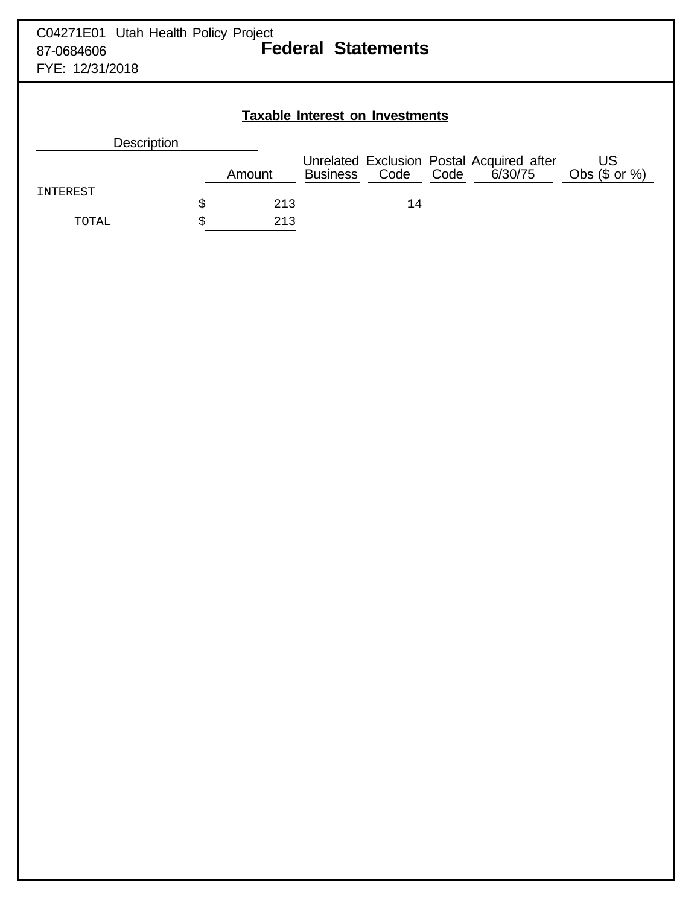## **Taxable Interest on Investments**

| <b>Description</b> |        |                 |      |      |                                                      |                        |
|--------------------|--------|-----------------|------|------|------------------------------------------------------|------------------------|
|                    | Amount | <b>Business</b> | Code | Code | Unrelated Exclusion Postal Acquired after<br>6/30/75 | US<br>Obs $(\$$ or $%$ |
| INTEREST           |        |                 |      |      |                                                      |                        |
|                    | 213    |                 | 14   |      |                                                      |                        |
| TOTAL              | 213    |                 |      |      |                                                      |                        |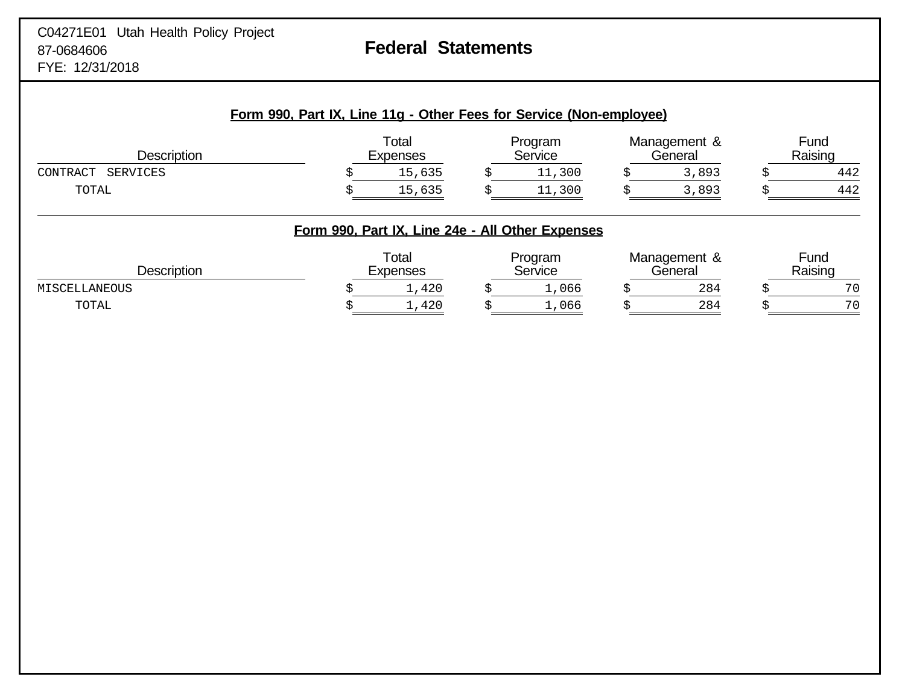**Form 990, Part IX, Line 11g - Other Fees for Service (Non-employee)**

| Description          |                                                  | Total<br>Expenses | Program<br>Service | Management &<br>General | Fund<br>Raising |
|----------------------|--------------------------------------------------|-------------------|--------------------|-------------------------|-----------------|
| CONTRACT<br>SERVICES |                                                  | 15,635            | 11,300             | 3,893                   | 442             |
| TOTAL                |                                                  | 15,635            | 11,300             | 3,893                   | 442             |
|                      | Form 990, Part IX, Line 24e - All Other Expenses |                   |                    |                         |                 |
| <b>Description</b>   |                                                  | Total<br>Expenses | Program<br>Service | Management &<br>General | Fund<br>Raising |
| MISCELLANEOUS        |                                                  | 1,420             | 1,066              | 284                     | 70              |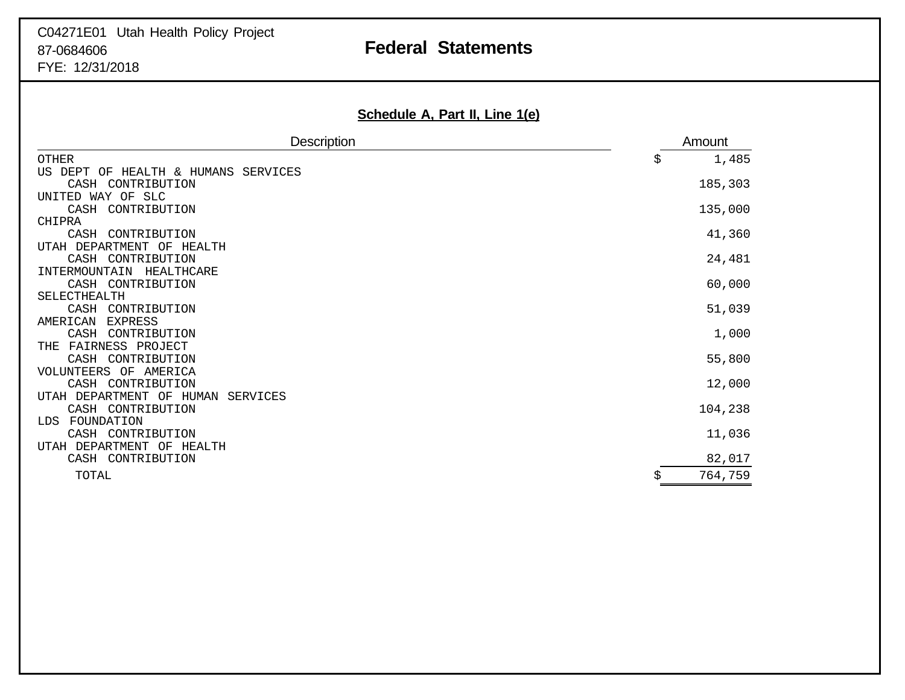# C04271E01 Utah Health Policy Project 87-0684606 **Federal Statements**

FYE: 12/31/2018

| <b>Description</b>                        | Amount      |
|-------------------------------------------|-------------|
| <b>OTHER</b>                              | 1,485<br>\$ |
| US DEPT<br>OF<br>HEALTH & HUMANS SERVICES |             |
| CASH CONTRIBUTION                         | 185,303     |
| UNITED WAY OF SLC                         |             |
| CASH CONTRIBUTION                         | 135,000     |
| CHIPRA                                    |             |
| CASH<br>CONTRIBUTION                      | 41,360      |
| UTAH DEPARTMENT OF<br>HEALTH              |             |
| CASH CONTRIBUTION                         | 24,481      |
| INTERMOUNTAIN<br>HEALTHCARE               |             |
| CASH CONTRIBUTION                         | 60,000      |
| SELECTHEALTH                              |             |
| CASH CONTRIBUTION                         | 51,039      |
| <b>EXPRESS</b><br>AMERICAN                |             |
| CASH<br>CONTRIBUTION                      | 1,000       |
| FAIRNESS PROJECT<br>THE                   |             |
| CASH CONTRIBUTION                         | 55,800      |
| VOLUNTEERS OF AMERICA                     |             |
| CASH CONTRIBUTION                         | 12,000      |
| UTAH DEPARTMENT OF HUMAN<br>SERVICES      |             |
| CASH CONTRIBUTION<br>FOUNDATION<br>LDS    | 104,238     |
| CASH CONTRIBUTION                         | 11,036      |
| UTAH DEPARTMENT OF<br>HEALTH              |             |
|                                           | 82,017      |
| CASH CONTRIBUTION                         |             |
| TOTAL                                     | 764,759     |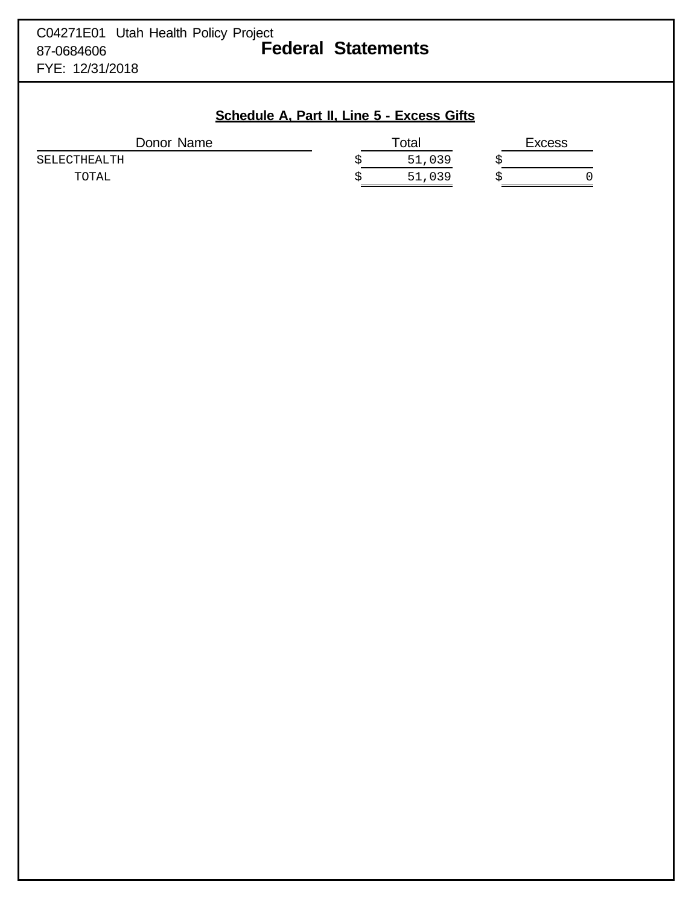| C04271E01 Utah Health Policy Project |                           |
|--------------------------------------|---------------------------|
| 87-0684606                           | <b>Federal Statements</b> |
| FYE: 12/31/2018                      |                           |

## **Schedule A, Part II, Line 5 - Excess Gifts**

| Donor Name   | Total |        |  |  | Excess |  |
|--------------|-------|--------|--|--|--------|--|
| SELECTHEALTH |       | 51,039 |  |  |        |  |
| TOTAL        |       | 51,039 |  |  |        |  |